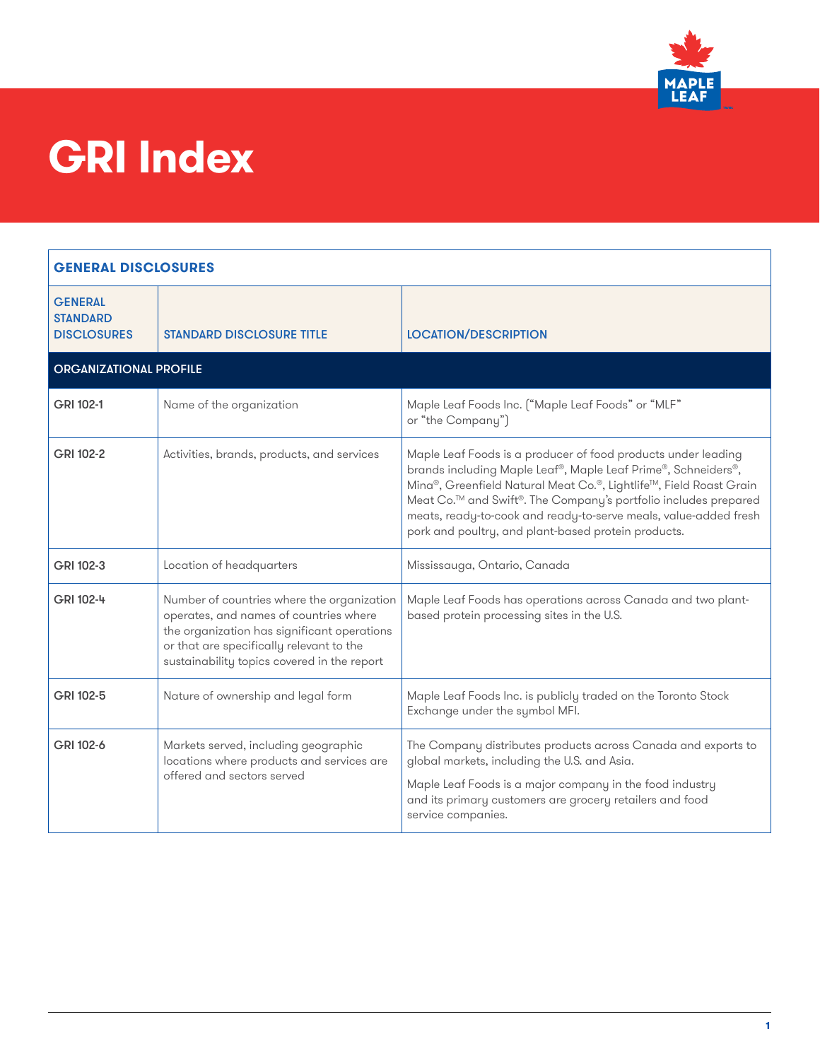

### **GRI Index**

| <b>GENERAL DISCLOSURES</b>                              |                                                                                                                                                                                                                                |                                                                                                                                                                                                                                                                                                                                                                                                                |
|---------------------------------------------------------|--------------------------------------------------------------------------------------------------------------------------------------------------------------------------------------------------------------------------------|----------------------------------------------------------------------------------------------------------------------------------------------------------------------------------------------------------------------------------------------------------------------------------------------------------------------------------------------------------------------------------------------------------------|
| <b>GENERAL</b><br><b>STANDARD</b><br><b>DISCLOSURES</b> | <b>STANDARD DISCLOSURE TITLE</b>                                                                                                                                                                                               | <b>LOCATION/DESCRIPTION</b>                                                                                                                                                                                                                                                                                                                                                                                    |
| <b>ORGANIZATIONAL PROFILE</b>                           |                                                                                                                                                                                                                                |                                                                                                                                                                                                                                                                                                                                                                                                                |
| GRI 102-1                                               | Name of the organization                                                                                                                                                                                                       | Maple Leaf Foods Inc. ("Maple Leaf Foods" or "MLF"<br>or "the Company")                                                                                                                                                                                                                                                                                                                                        |
| GRI 102-2                                               | Activities, brands, products, and services                                                                                                                                                                                     | Maple Leaf Foods is a producer of food products under leading<br>brands including Maple Leaf®, Maple Leaf Prime®, Schneiders®,<br>Mina®, Greenfield Natural Meat Co.®, Lightlife™, Field Roast Grain<br>Meat Co. <sup>™</sup> and Swift®. The Company's portfolio includes prepared<br>meats, ready-to-cook and ready-to-serve meals, value-added fresh<br>pork and poultry, and plant-based protein products. |
| GRI 102-3                                               | Location of headquarters                                                                                                                                                                                                       | Mississauga, Ontario, Canada                                                                                                                                                                                                                                                                                                                                                                                   |
| GRI 102-4                                               | Number of countries where the organization<br>operates, and names of countries where<br>the organization has significant operations<br>or that are specifically relevant to the<br>sustainability topics covered in the report | Maple Leaf Foods has operations across Canada and two plant-<br>based protein processing sites in the U.S.                                                                                                                                                                                                                                                                                                     |
| GRI 102-5                                               | Nature of ownership and legal form                                                                                                                                                                                             | Maple Leaf Foods Inc. is publicly traded on the Toronto Stock<br>Exchange under the symbol MFI.                                                                                                                                                                                                                                                                                                                |
| GRI 102-6                                               | Markets served, including geographic<br>locations where products and services are<br>offered and sectors served                                                                                                                | The Company distributes products across Canada and exports to<br>global markets, including the U.S. and Asia.<br>Maple Leaf Foods is a major company in the food industry<br>and its primary customers are grocery retailers and food<br>service companies.                                                                                                                                                    |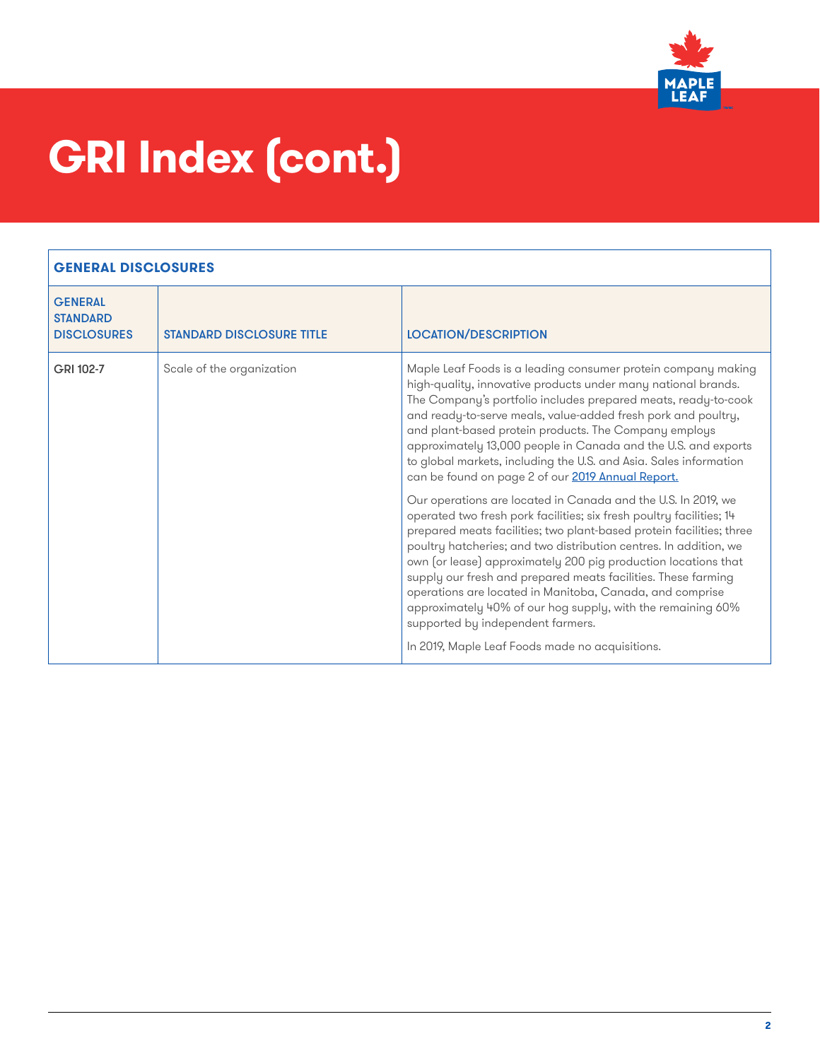

| <b>GENERAL</b><br><b>STANDARD</b><br><b>DISCLOSURES</b> | <b>STANDARD DISCLOSURE TITLE</b> | <b>LOCATION/DESCRIPTION</b>                                                                                                                                                                                                                                                                                                                                                                                                                                                                                                                                                                                                              |
|---------------------------------------------------------|----------------------------------|------------------------------------------------------------------------------------------------------------------------------------------------------------------------------------------------------------------------------------------------------------------------------------------------------------------------------------------------------------------------------------------------------------------------------------------------------------------------------------------------------------------------------------------------------------------------------------------------------------------------------------------|
| GRI 102-7                                               | Scale of the organization        | Maple Leaf Foods is a leading consumer protein company making<br>high-quality, innovative products under many national brands.<br>The Company's portfolio includes prepared meats, ready-to-cook<br>and ready-to-serve meals, value-added fresh pork and poultry,<br>and plant-based protein products. The Company employs<br>approximately 13,000 people in Canada and the U.S. and exports<br>to global markets, including the U.S. and Asia. Sales information<br>can be found on page 2 of our 2019 Annual Report.                                                                                                                   |
|                                                         |                                  | Our operations are located in Canada and the U.S. In 2019, we<br>operated two fresh pork facilities; six fresh poultry facilities; 14<br>prepared meats facilities; two plant-based protein facilities; three<br>poultry hatcheries; and two distribution centres. In addition, we<br>own (or lease) approximately 200 pig production locations that<br>supply our fresh and prepared meats facilities. These farming<br>operations are located in Manitoba, Canada, and comprise<br>approximately 40% of our hog supply, with the remaining 60%<br>supported by independent farmers.<br>In 2019, Maple Leaf Foods made no acquisitions. |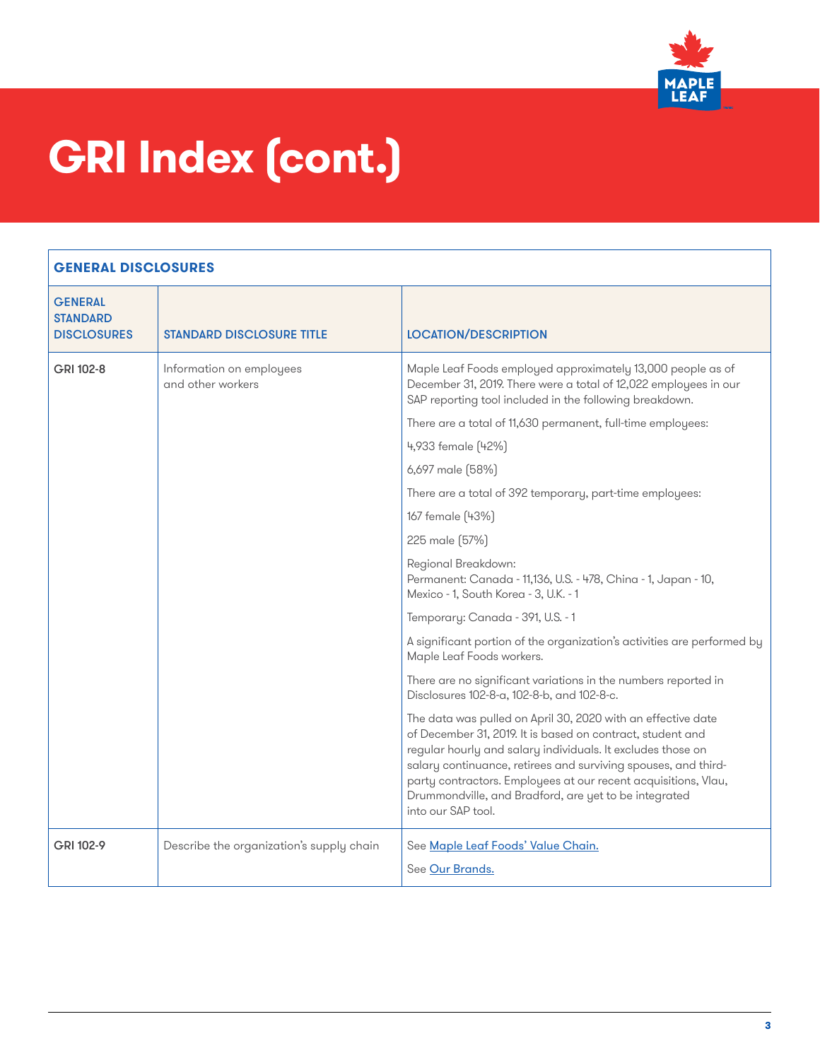

| <b>GENERAL</b><br><b>STANDARD</b><br><b>DISCLOSURES</b> | <b>STANDARD DISCLOSURE TITLE</b>              | <b>LOCATION/DESCRIPTION</b>                                                                                                                                                                                                                                                                                                                                                                                  |
|---------------------------------------------------------|-----------------------------------------------|--------------------------------------------------------------------------------------------------------------------------------------------------------------------------------------------------------------------------------------------------------------------------------------------------------------------------------------------------------------------------------------------------------------|
| GRI 102-8                                               | Information on employees<br>and other workers | Maple Leaf Foods employed approximately 13,000 people as of<br>December 31, 2019. There were a total of 12,022 employees in our<br>SAP reporting tool included in the following breakdown.                                                                                                                                                                                                                   |
|                                                         |                                               | There are a total of 11,630 permanent, full-time employees:                                                                                                                                                                                                                                                                                                                                                  |
|                                                         |                                               | 4,933 female (42%)                                                                                                                                                                                                                                                                                                                                                                                           |
|                                                         |                                               | 6,697 male (58%)                                                                                                                                                                                                                                                                                                                                                                                             |
|                                                         |                                               | There are a total of 392 temporary, part-time employees:                                                                                                                                                                                                                                                                                                                                                     |
|                                                         |                                               | 167 female (43%)                                                                                                                                                                                                                                                                                                                                                                                             |
|                                                         |                                               | 225 male (57%)                                                                                                                                                                                                                                                                                                                                                                                               |
|                                                         |                                               | Regional Breakdown:<br>Permanent: Canada - 11,136, U.S. - 478, China - 1, Japan - 10,<br>Mexico - 1, South Korea - 3, U.K. - 1                                                                                                                                                                                                                                                                               |
|                                                         |                                               | Temporary: Canada - 391, U.S. - 1                                                                                                                                                                                                                                                                                                                                                                            |
|                                                         |                                               | A significant portion of the organization's activities are performed by<br>Maple Leaf Foods workers.                                                                                                                                                                                                                                                                                                         |
|                                                         |                                               | There are no significant variations in the numbers reported in<br>Disclosures 102-8-a, 102-8-b, and 102-8-c.                                                                                                                                                                                                                                                                                                 |
|                                                         |                                               | The data was pulled on April 30, 2020 with an effective date<br>of December 31, 2019. It is based on contract, student and<br>regular hourly and salary individuals. It excludes those on<br>salary continuance, retirees and surviving spouses, and third-<br>party contractors. Employees at our recent acquisitions, Vlau,<br>Drummondville, and Bradford, are yet to be integrated<br>into our SAP tool. |
| GRI 102-9                                               | Describe the organization's supply chain      | See Maple Leaf Foods' Value Chain.<br>See Our Brands.                                                                                                                                                                                                                                                                                                                                                        |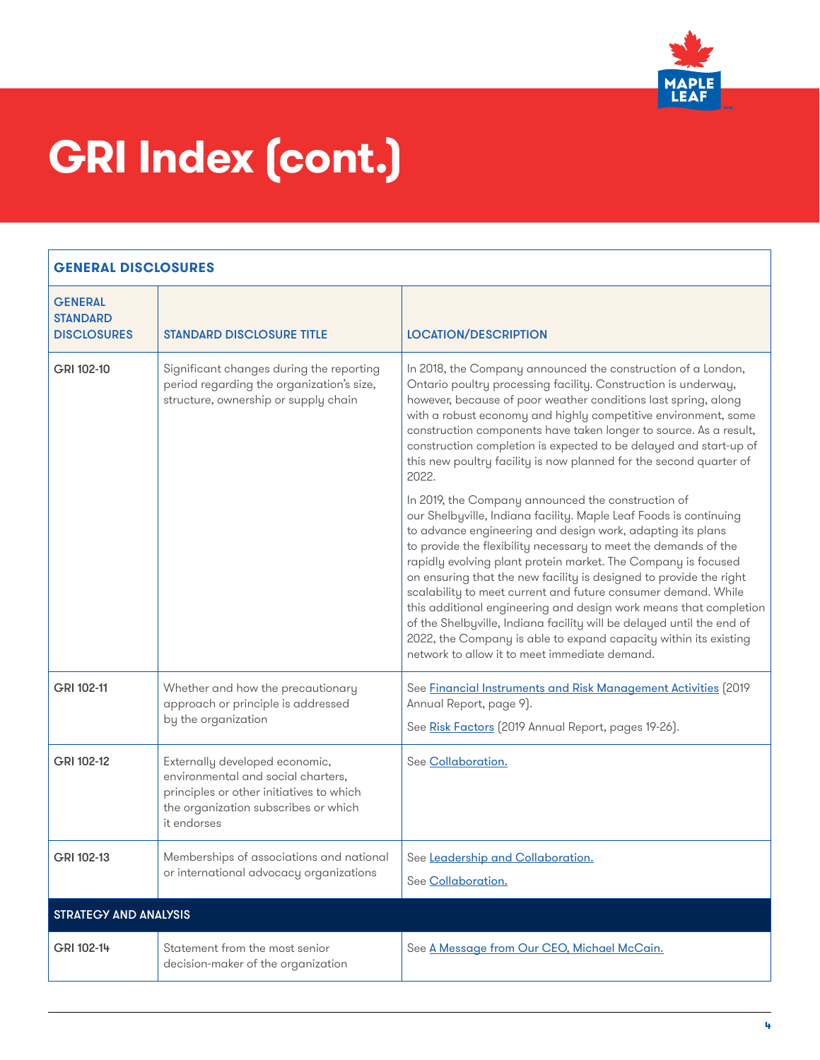

| <b>GENERAL</b><br><b>STANDARD</b><br><b>DISCLOSURES</b> | <b>STANDARD DISCLOSURE TITLE</b>                                                                                                                                        | <b>LOCATION/DESCRIPTION</b>                                                                                                                                                                                                                                                                                                                                                                                                                                                                                                                                                                                                                                                                                                         |
|---------------------------------------------------------|-------------------------------------------------------------------------------------------------------------------------------------------------------------------------|-------------------------------------------------------------------------------------------------------------------------------------------------------------------------------------------------------------------------------------------------------------------------------------------------------------------------------------------------------------------------------------------------------------------------------------------------------------------------------------------------------------------------------------------------------------------------------------------------------------------------------------------------------------------------------------------------------------------------------------|
| GRI 102-10                                              | Significant changes during the reporting<br>period regarding the organization's size,<br>structure, ownership or supply chain                                           | In 2018, the Company announced the construction of a London,<br>Ontario poultry processing facility. Construction is underway,<br>however, because of poor weather conditions last spring, along<br>with a robust economy and highly competitive environment, some<br>construction components have taken longer to source. As a result,<br>construction completion is expected to be delayed and start-up of<br>this new poultry facility is now planned for the second quarter of<br>2022.                                                                                                                                                                                                                                         |
|                                                         |                                                                                                                                                                         | In 2019, the Company announced the construction of<br>our Shelbyville, Indiana facility. Maple Leaf Foods is continuing<br>to advance engineering and design work, adapting its plans<br>to provide the flexibility necessary to meet the demands of the<br>rapidly evolving plant protein market. The Company is focused<br>on ensuring that the new facility is designed to provide the right<br>scalability to meet current and future consumer demand. While<br>this additional engineering and design work means that completion<br>of the Shelbyville, Indiana facility will be delayed until the end of<br>2022, the Company is able to expand capacity within its existing<br>network to allow it to meet immediate demand. |
| GRI 102-11                                              | Whether and how the precautionary<br>approach or principle is addressed<br>by the organization                                                                          | See <b>Financial Instruments and Risk Management Activities</b> [2019<br>Annual Report, page 9).<br>See Risk Factors (2019 Annual Report, pages 19-26).                                                                                                                                                                                                                                                                                                                                                                                                                                                                                                                                                                             |
| GRI 102-12                                              | Externally developed economic,<br>environmental and social charters,<br>principles or other initiatives to which<br>the organization subscribes or which<br>it endorses | See Collaboration.                                                                                                                                                                                                                                                                                                                                                                                                                                                                                                                                                                                                                                                                                                                  |
| GRI 102-13                                              | Memberships of associations and national<br>or international advocacy organizations                                                                                     | See Leadership and Collaboration.<br>See Collaboration.                                                                                                                                                                                                                                                                                                                                                                                                                                                                                                                                                                                                                                                                             |
| <b>STRATEGY AND ANALYSIS</b>                            |                                                                                                                                                                         |                                                                                                                                                                                                                                                                                                                                                                                                                                                                                                                                                                                                                                                                                                                                     |
| GRI 102-14                                              | Statement from the most senior<br>decision-maker of the organization                                                                                                    | See A Message from Our CEO, Michael McCain.                                                                                                                                                                                                                                                                                                                                                                                                                                                                                                                                                                                                                                                                                         |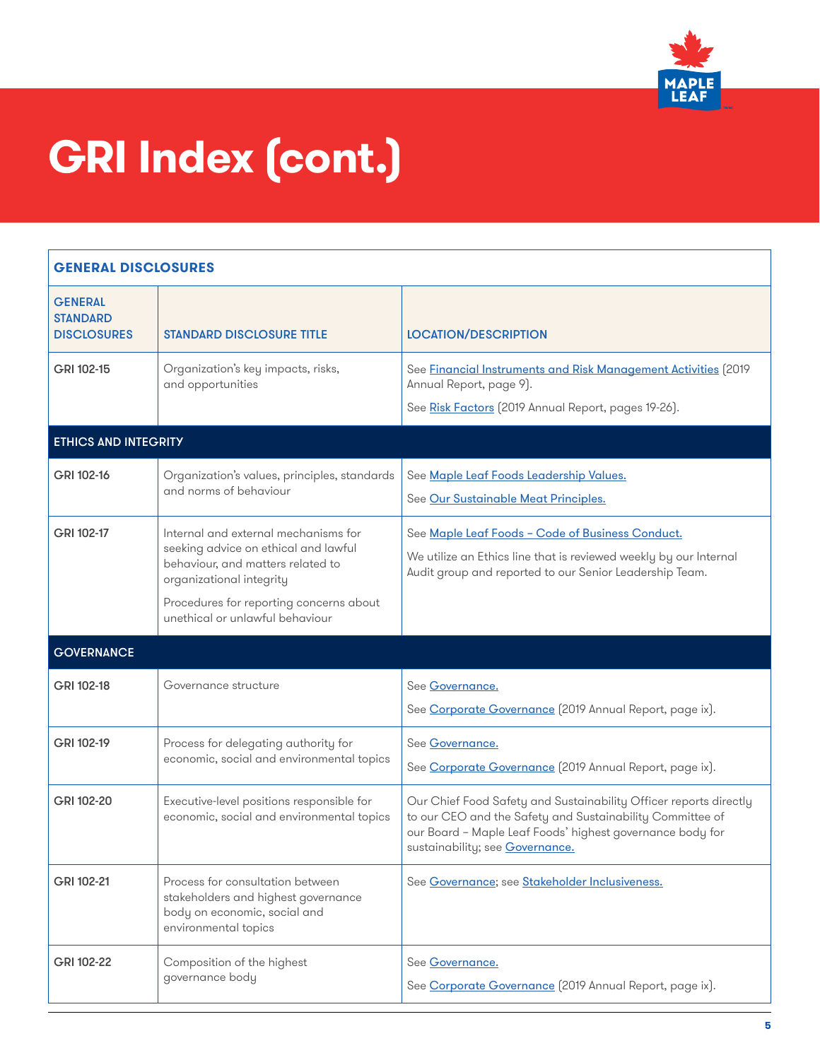

| <b>GENERAL DISCLOSURES</b>                              |                                                                                                                                                                                                                             |                                                                                                                                                                                                                                |
|---------------------------------------------------------|-----------------------------------------------------------------------------------------------------------------------------------------------------------------------------------------------------------------------------|--------------------------------------------------------------------------------------------------------------------------------------------------------------------------------------------------------------------------------|
| <b>GENERAL</b><br><b>STANDARD</b><br><b>DISCLOSURES</b> | <b>STANDARD DISCLOSURE TITLE</b>                                                                                                                                                                                            | <b>LOCATION/DESCRIPTION</b>                                                                                                                                                                                                    |
| GRI 102-15                                              | Organization's key impacts, risks,<br>and opportunities                                                                                                                                                                     | See Financial Instruments and Risk Management Activities (2019<br>Annual Report, page 9).<br>See Risk Factors (2019 Annual Report, pages 19-26).                                                                               |
| <b>ETHICS AND INTEGRITY</b>                             |                                                                                                                                                                                                                             |                                                                                                                                                                                                                                |
| GRI 102-16                                              | Organization's values, principles, standards<br>and norms of behaviour                                                                                                                                                      | See Maple Leaf Foods Leadership Values.<br>See Our Sustainable Meat Principles.                                                                                                                                                |
| GRI 102-17                                              | Internal and external mechanisms for<br>seeking advice on ethical and lawful<br>behaviour, and matters related to<br>organizational integrity<br>Procedures for reporting concerns about<br>unethical or unlawful behaviour | See Maple Leaf Foods - Code of Business Conduct.<br>We utilize an Ethics line that is reviewed weekly by our Internal<br>Audit group and reported to our Senior Leadership Team.                                               |
| <b>GOVERNANCE</b>                                       |                                                                                                                                                                                                                             |                                                                                                                                                                                                                                |
| GRI 102-18                                              | Governance structure                                                                                                                                                                                                        | See Governance.<br>See Corporate Governance (2019 Annual Report, page ix).                                                                                                                                                     |
| GRI 102-19                                              | Process for delegating authority for<br>economic, social and environmental topics                                                                                                                                           | See Governance.<br>See Corporate Governance [2019 Annual Report, page ix].                                                                                                                                                     |
| GRI 102-20                                              | Executive-level positions responsible for<br>economic, social and environmental topics                                                                                                                                      | Our Chief Food Safety and Sustainability Officer reports directly<br>to our CEO and the Safety and Sustainability Committee of<br>our Board - Maple Leaf Foods' highest governance body for<br>sustainability; see Governance. |
| GRI 102-21                                              | Process for consultation between<br>stakeholders and highest governance<br>body on economic, social and<br>environmental topics                                                                                             | See Governance; see Stakeholder Inclusiveness.                                                                                                                                                                                 |
| GRI 102-22                                              | Composition of the highest<br>governance body                                                                                                                                                                               | See Governance.<br>See Corporate Governance [2019 Annual Report, page ix].                                                                                                                                                     |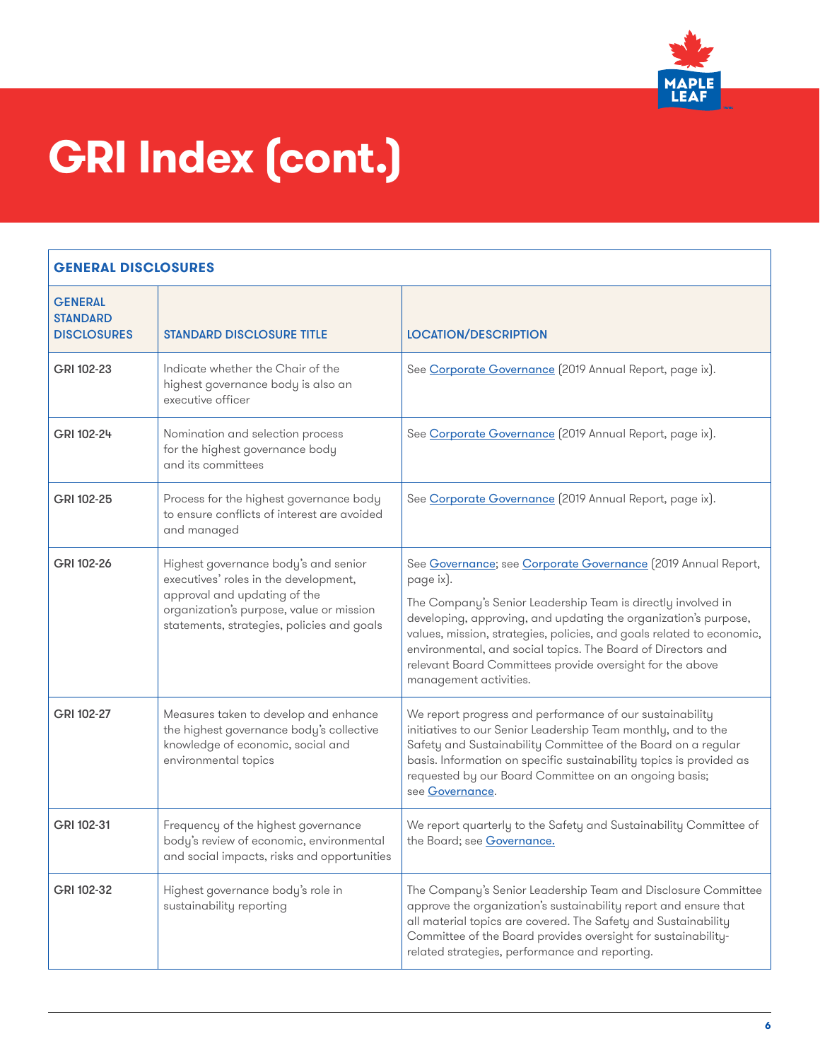

| <b>GENERAL</b><br><b>STANDARD</b><br><b>DISCLOSURES</b> | <b>STANDARD DISCLOSURE TITLE</b>                                                                                                                                                                        | <b>LOCATION/DESCRIPTION</b>                                                                                                                                                                                                                                                                                                                                                                                                                   |
|---------------------------------------------------------|---------------------------------------------------------------------------------------------------------------------------------------------------------------------------------------------------------|-----------------------------------------------------------------------------------------------------------------------------------------------------------------------------------------------------------------------------------------------------------------------------------------------------------------------------------------------------------------------------------------------------------------------------------------------|
| GRI 102-23                                              | Indicate whether the Chair of the<br>highest governance body is also an<br>executive officer                                                                                                            | See Corporate Governance [2019 Annual Report, page ix].                                                                                                                                                                                                                                                                                                                                                                                       |
| GRI 102-24                                              | Nomination and selection process<br>for the highest governance body<br>and its committees                                                                                                               | See Corporate Governance [2019 Annual Report, page ix].                                                                                                                                                                                                                                                                                                                                                                                       |
| GRI 102-25                                              | Process for the highest governance body<br>to ensure conflicts of interest are avoided<br>and managed                                                                                                   | See Corporate Governance [2019 Annual Report, page ix].                                                                                                                                                                                                                                                                                                                                                                                       |
| GRI 102-26                                              | Highest governance body's and senior<br>executives' roles in the development,<br>approval and updating of the<br>organization's purpose, value or mission<br>statements, strategies, policies and goals | See Governance; see Corporate Governance (2019 Annual Report,<br>page ix).<br>The Company's Senior Leadership Team is directly involved in<br>developing, approving, and updating the organization's purpose,<br>values, mission, strategies, policies, and goals related to economic,<br>environmental, and social topics. The Board of Directors and<br>relevant Board Committees provide oversight for the above<br>management activities. |
| GRI 102-27                                              | Measures taken to develop and enhance<br>the highest governance body's collective<br>knowledge of economic, social and<br>environmental topics                                                          | We report progress and performance of our sustainability<br>initiatives to our Senior Leadership Team monthly, and to the<br>Safety and Sustainability Committee of the Board on a regular<br>basis. Information on specific sustainability topics is provided as<br>requested by our Board Committee on an ongoing basis;<br>see Governance.                                                                                                 |
| GRI 102-31                                              | Frequency of the highest governance<br>body's review of economic, environmental<br>and social impacts, risks and opportunities                                                                          | We report quarterly to the Safety and Sustainability Committee of<br>the Board; see Governance.                                                                                                                                                                                                                                                                                                                                               |
| GRI 102-32                                              | Highest governance body's role in<br>sustainability reporting                                                                                                                                           | The Company's Senior Leadership Team and Disclosure Committee<br>approve the organization's sustainability report and ensure that<br>all material topics are covered. The Safety and Sustainability<br>Committee of the Board provides oversight for sustainability-<br>related strategies, performance and reporting.                                                                                                                        |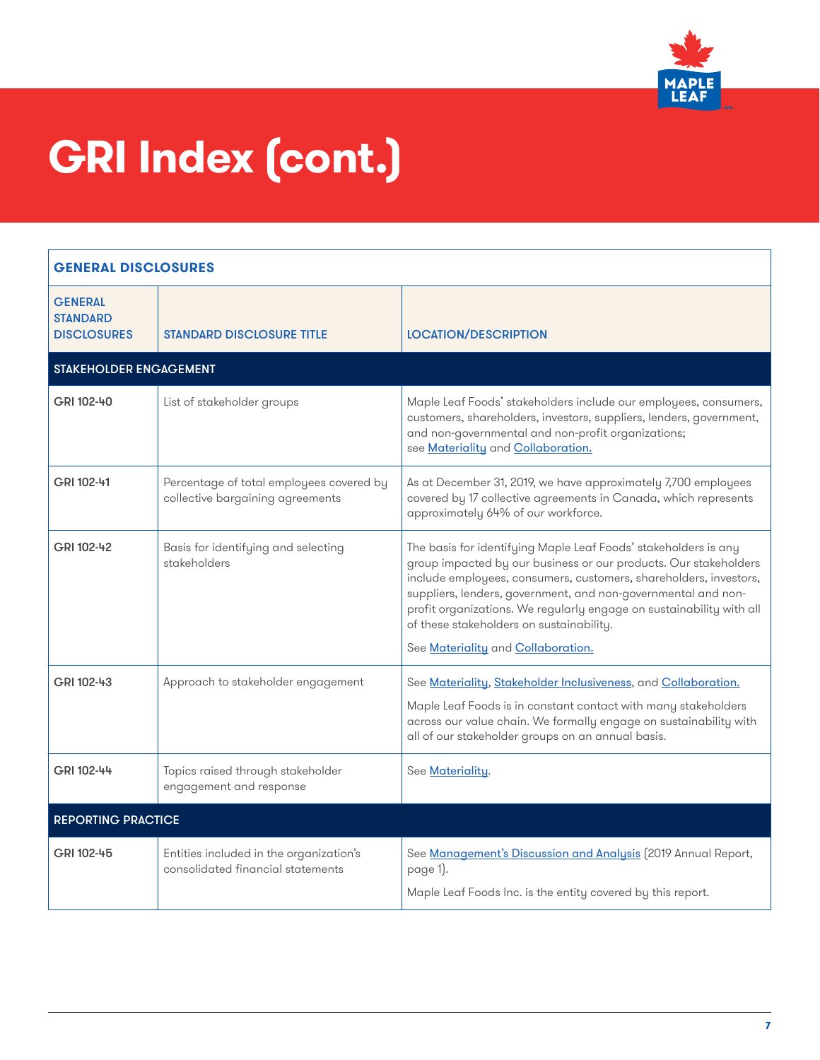

| <b>GENERAL DISCLOSURES</b>                              |                                                                              |                                                                                                                                                                                                                                                                                                                                                                                                                                     |
|---------------------------------------------------------|------------------------------------------------------------------------------|-------------------------------------------------------------------------------------------------------------------------------------------------------------------------------------------------------------------------------------------------------------------------------------------------------------------------------------------------------------------------------------------------------------------------------------|
| <b>GENERAL</b><br><b>STANDARD</b><br><b>DISCLOSURES</b> | <b>STANDARD DISCLOSURE TITLE</b>                                             | <b>LOCATION/DESCRIPTION</b>                                                                                                                                                                                                                                                                                                                                                                                                         |
| STAKEHOLDER ENGAGEMENT                                  |                                                                              |                                                                                                                                                                                                                                                                                                                                                                                                                                     |
| GRI 102-40                                              | List of stakeholder groups                                                   | Maple Leaf Foods' stakeholders include our employees, consumers,<br>customers, shareholders, investors, suppliers, lenders, government,<br>and non-governmental and non-profit organizations;<br>see Materiality and Collaboration.                                                                                                                                                                                                 |
| GRI 102-41                                              | Percentage of total employees covered by<br>collective bargaining agreements | As at December 31, 2019, we have approximately 7,700 employees<br>covered by 17 collective agreements in Canada, which represents<br>approximately 64% of our workforce.                                                                                                                                                                                                                                                            |
| GRI 102-42                                              | Basis for identifying and selecting<br>stakeholders                          | The basis for identifying Maple Leaf Foods' stakeholders is any<br>group impacted by our business or our products. Our stakeholders<br>include employees, consumers, customers, shareholders, investors,<br>suppliers, lenders, government, and non-governmental and non-<br>profit organizations. We regularly engage on sustainability with all<br>of these stakeholders on sustainability.<br>See Materiality and Collaboration. |
| GRI 102-43                                              | Approach to stakeholder engagement                                           | See Materiality, Stakeholder Inclusiveness, and Collaboration.<br>Maple Leaf Foods is in constant contact with many stakeholders<br>across our value chain. We formally engage on sustainability with<br>all of our stakeholder groups on an annual basis.                                                                                                                                                                          |
| GRI 102-44                                              | Topics raised through stakeholder<br>engagement and response                 | See Materiality.                                                                                                                                                                                                                                                                                                                                                                                                                    |
| <b>REPORTING PRACTICE</b>                               |                                                                              |                                                                                                                                                                                                                                                                                                                                                                                                                                     |
| GRI 102-45                                              | Entities included in the organization's<br>consolidated financial statements | See Management's Discussion and Analysis (2019 Annual Report,<br>page 1).<br>Maple Leaf Foods Inc. is the entity covered by this report.                                                                                                                                                                                                                                                                                            |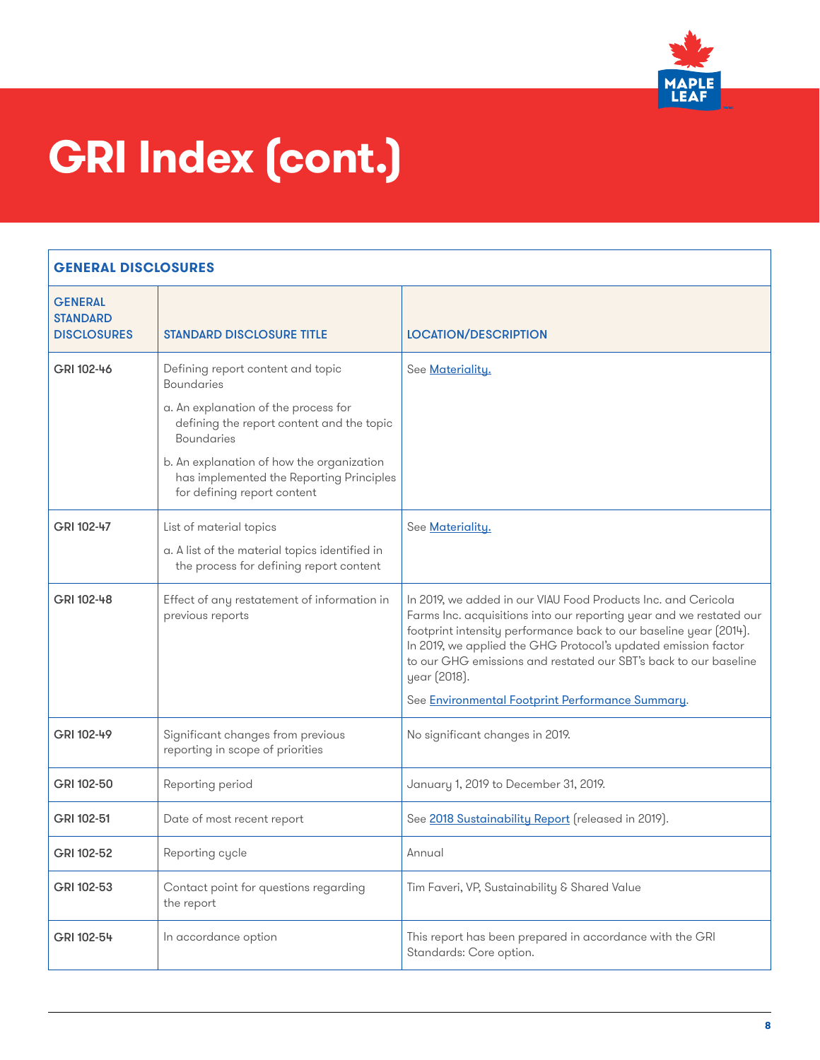

| <b>GENERAL</b><br><b>STANDARD</b><br><b>DISCLOSURES</b> | <b>STANDARD DISCLOSURE TITLE</b>                                                                                                                                                                                                                                                         | <b>LOCATION/DESCRIPTION</b>                                                                                                                                                                                                                                                                                                                                                                                         |
|---------------------------------------------------------|------------------------------------------------------------------------------------------------------------------------------------------------------------------------------------------------------------------------------------------------------------------------------------------|---------------------------------------------------------------------------------------------------------------------------------------------------------------------------------------------------------------------------------------------------------------------------------------------------------------------------------------------------------------------------------------------------------------------|
| GRI 102-46                                              | Defining report content and topic<br><b>Boundaries</b><br>a. An explanation of the process for<br>defining the report content and the topic<br><b>Boundaries</b><br>b. An explanation of how the organization<br>has implemented the Reporting Principles<br>for defining report content | See Materiality.                                                                                                                                                                                                                                                                                                                                                                                                    |
| GRI 102-47                                              | List of material topics<br>a. A list of the material topics identified in<br>the process for defining report content                                                                                                                                                                     | See <u>Materiality.</u>                                                                                                                                                                                                                                                                                                                                                                                             |
| GRI 102-48                                              | Effect of any restatement of information in<br>previous reports                                                                                                                                                                                                                          | In 2019, we added in our VIAU Food Products Inc. and Cericola<br>Farms Inc. acquisitions into our reporting year and we restated our<br>footprint intensity performance back to our baseline year (2014).<br>In 2019, we applied the GHG Protocol's updated emission factor<br>to our GHG emissions and restated our SBT's back to our baseline<br>year (2018).<br>See Environmental Footprint Performance Summary. |
| GRI 102-49                                              | Significant changes from previous<br>reporting in scope of priorities                                                                                                                                                                                                                    | No significant changes in 2019.                                                                                                                                                                                                                                                                                                                                                                                     |
| GRI 102-50                                              | Reporting period                                                                                                                                                                                                                                                                         | January 1, 2019 to December 31, 2019.                                                                                                                                                                                                                                                                                                                                                                               |
| GRI 102-51                                              | Date of most recent report                                                                                                                                                                                                                                                               | See 2018 Sustainability Report (released in 2019).                                                                                                                                                                                                                                                                                                                                                                  |
| GRI 102-52                                              | Reporting cycle                                                                                                                                                                                                                                                                          | Annual                                                                                                                                                                                                                                                                                                                                                                                                              |
| GRI 102-53                                              | Contact point for questions regarding<br>the report                                                                                                                                                                                                                                      | Tim Faveri, VP, Sustainability & Shared Value                                                                                                                                                                                                                                                                                                                                                                       |
| GRI 102-54                                              | In accordance option                                                                                                                                                                                                                                                                     | This report has been prepared in accordance with the GRI<br>Standards: Core option.                                                                                                                                                                                                                                                                                                                                 |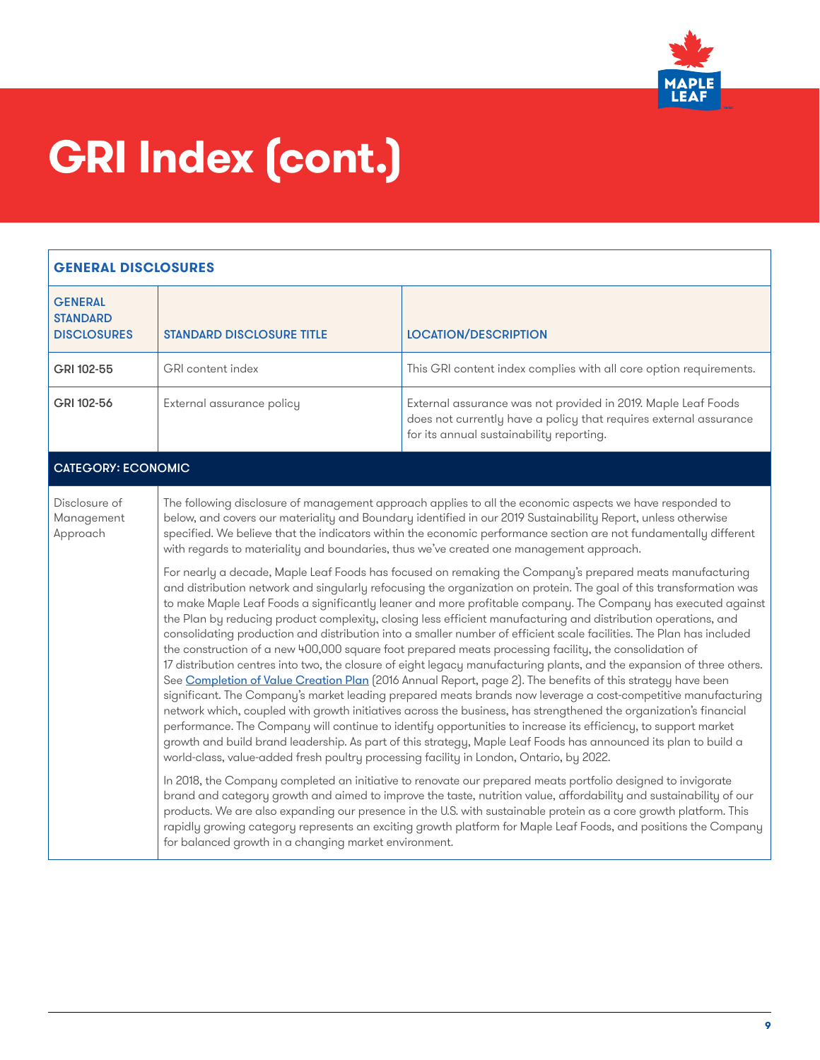

| <b>GENERAL DISCLOSURES</b>                              |                                                                                                                                                                                                                                                                                                                                                                                                                                                                                                                                                                                                                                                                                                                                                                                                                                                                                                                                                                                                                                                                                                                                                                                                                                                                                                                                                                                                                                                                                                                                                                                                                                                                                                                                                                                                                                                                                                                                                                                                                                                                                                                                                                                                                                                                                                                             |                                                                                                                                                                                |
|---------------------------------------------------------|-----------------------------------------------------------------------------------------------------------------------------------------------------------------------------------------------------------------------------------------------------------------------------------------------------------------------------------------------------------------------------------------------------------------------------------------------------------------------------------------------------------------------------------------------------------------------------------------------------------------------------------------------------------------------------------------------------------------------------------------------------------------------------------------------------------------------------------------------------------------------------------------------------------------------------------------------------------------------------------------------------------------------------------------------------------------------------------------------------------------------------------------------------------------------------------------------------------------------------------------------------------------------------------------------------------------------------------------------------------------------------------------------------------------------------------------------------------------------------------------------------------------------------------------------------------------------------------------------------------------------------------------------------------------------------------------------------------------------------------------------------------------------------------------------------------------------------------------------------------------------------------------------------------------------------------------------------------------------------------------------------------------------------------------------------------------------------------------------------------------------------------------------------------------------------------------------------------------------------------------------------------------------------------------------------------------------------|--------------------------------------------------------------------------------------------------------------------------------------------------------------------------------|
| <b>GENERAL</b><br><b>STANDARD</b><br><b>DISCLOSURES</b> | <b>STANDARD DISCLOSURE TITLE</b>                                                                                                                                                                                                                                                                                                                                                                                                                                                                                                                                                                                                                                                                                                                                                                                                                                                                                                                                                                                                                                                                                                                                                                                                                                                                                                                                                                                                                                                                                                                                                                                                                                                                                                                                                                                                                                                                                                                                                                                                                                                                                                                                                                                                                                                                                            | <b>LOCATION/DESCRIPTION</b>                                                                                                                                                    |
| GRI 102-55                                              | GRI content index                                                                                                                                                                                                                                                                                                                                                                                                                                                                                                                                                                                                                                                                                                                                                                                                                                                                                                                                                                                                                                                                                                                                                                                                                                                                                                                                                                                                                                                                                                                                                                                                                                                                                                                                                                                                                                                                                                                                                                                                                                                                                                                                                                                                                                                                                                           | This GRI content index complies with all core option requirements.                                                                                                             |
| GRI 102-56                                              | External assurance policy                                                                                                                                                                                                                                                                                                                                                                                                                                                                                                                                                                                                                                                                                                                                                                                                                                                                                                                                                                                                                                                                                                                                                                                                                                                                                                                                                                                                                                                                                                                                                                                                                                                                                                                                                                                                                                                                                                                                                                                                                                                                                                                                                                                                                                                                                                   | External assurance was not provided in 2019. Maple Leaf Foods<br>does not currently have a policy that requires external assurance<br>for its annual sustainability reporting. |
| <b>CATEGORY: ECONOMIC</b>                               |                                                                                                                                                                                                                                                                                                                                                                                                                                                                                                                                                                                                                                                                                                                                                                                                                                                                                                                                                                                                                                                                                                                                                                                                                                                                                                                                                                                                                                                                                                                                                                                                                                                                                                                                                                                                                                                                                                                                                                                                                                                                                                                                                                                                                                                                                                                             |                                                                                                                                                                                |
| Disclosure of<br>Management<br>Approach                 | The following disclosure of management approach applies to all the economic aspects we have responded to<br>below, and covers our materiality and Boundary identified in our 2019 Sustainability Report, unless otherwise<br>specified. We believe that the indicators within the economic performance section are not fundamentally different<br>with regards to materiality and boundaries, thus we've created one management approach.<br>For nearly a decade, Maple Leaf Foods has focused on remaking the Company's prepared meats manufacturing<br>and distribution network and singularly refocusing the organization on protein. The goal of this transformation was<br>to make Maple Leaf Foods a significantly leaner and more profitable company. The Company has executed against<br>the Plan by reducing product complexity, closing less efficient manufacturing and distribution operations, and<br>consolidating production and distribution into a smaller number of efficient scale facilities. The Plan has included<br>the construction of a new 400,000 square foot prepared meats processing facility, the consolidation of<br>17 distribution centres into two, the closure of eight legacy manufacturing plants, and the expansion of three others.<br>See Completion of Value Creation Plan (2016 Annual Report, page 2). The benefits of this strategy have been<br>significant. The Company's market leading prepared meats brands now leverage a cost-competitive manufacturing<br>network which, coupled with growth initiatives across the business, has strengthened the organization's financial<br>performance. The Company will continue to identify opportunities to increase its efficiency, to support market<br>growth and build brand leadership. As part of this strategy, Maple Leaf Foods has announced its plan to build a<br>world-class, value-added fresh poultry processing facility in London, Ontario, by 2022.<br>In 2018, the Company completed an initiative to renovate our prepared meats portfolio designed to invigorate<br>brand and category growth and aimed to improve the taste, nutrition value, affordability and sustainability of our<br>products. We are also expanding our presence in the U.S. with sustainable protein as a core growth platform. This |                                                                                                                                                                                |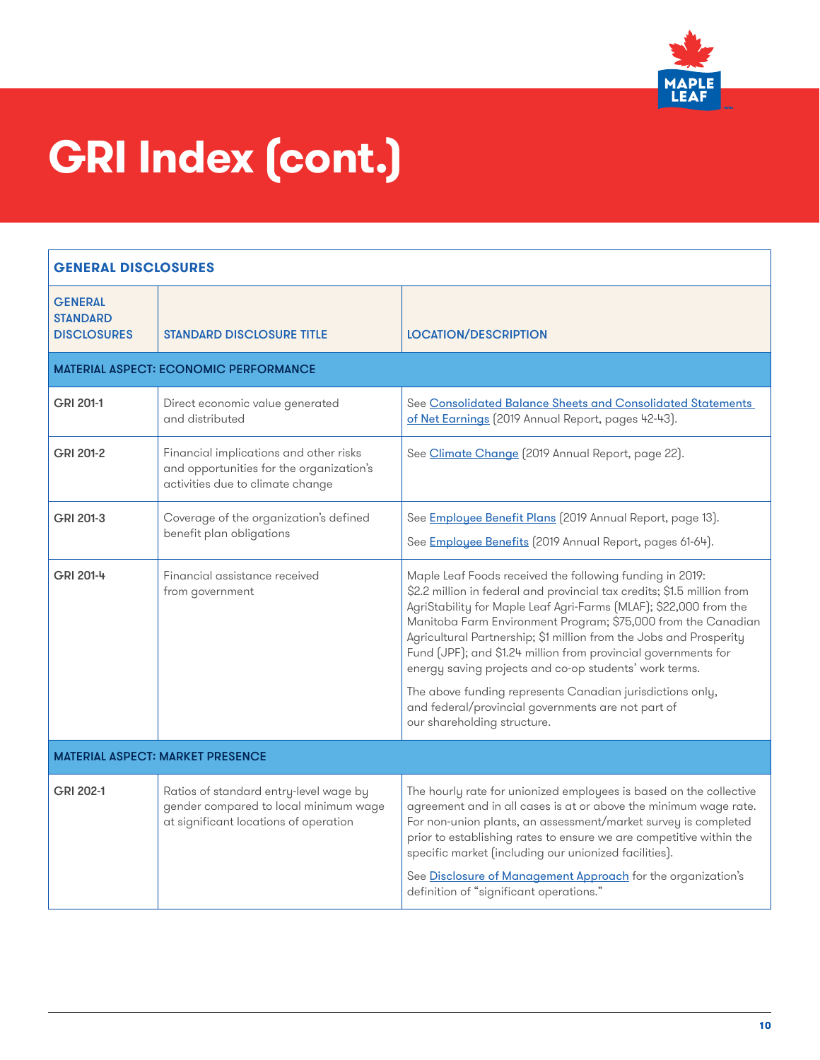

| <b>GENERAL DISCLOSURES</b>                              |                                                                                                                          |                                                                                                                                                                                                                                                                                                                                                                                                                                                                                                                                          |
|---------------------------------------------------------|--------------------------------------------------------------------------------------------------------------------------|------------------------------------------------------------------------------------------------------------------------------------------------------------------------------------------------------------------------------------------------------------------------------------------------------------------------------------------------------------------------------------------------------------------------------------------------------------------------------------------------------------------------------------------|
| <b>GENERAL</b><br><b>STANDARD</b><br><b>DISCLOSURES</b> | <b>STANDARD DISCLOSURE TITLE</b>                                                                                         | <b>LOCATION/DESCRIPTION</b>                                                                                                                                                                                                                                                                                                                                                                                                                                                                                                              |
|                                                         | <b>MATERIAL ASPECT: ECONOMIC PERFORMANCE</b>                                                                             |                                                                                                                                                                                                                                                                                                                                                                                                                                                                                                                                          |
| GRI 201-1                                               | Direct economic value generated<br>and distributed                                                                       | See Consolidated Balance Sheets and Consolidated Statements<br>of Net Earnings (2019 Annual Report, pages 42-43).                                                                                                                                                                                                                                                                                                                                                                                                                        |
| GRI 201-2                                               | Financial implications and other risks<br>and opportunities for the organization's<br>activities due to climate change   | See Climate Change (2019 Annual Report, page 22).                                                                                                                                                                                                                                                                                                                                                                                                                                                                                        |
| GRI 201-3                                               | Coverage of the organization's defined<br>benefit plan obligations                                                       | See Employee Benefit Plans (2019 Annual Report, page 13).<br>See Employee Benefits (2019 Annual Report, pages 61-64).                                                                                                                                                                                                                                                                                                                                                                                                                    |
| GRI 201-4                                               | Financial assistance received<br>from government                                                                         | Maple Leaf Foods received the following funding in 2019:<br>\$2.2 million in federal and provincial tax credits; \$1.5 million from<br>AgriStability for Maple Leaf Agri-Farms (MLAF); \$22,000 from the<br>Manitoba Farm Environment Program; \$75,000 from the Canadian<br>Agricultural Partnership; \$1 million from the Jobs and Prosperity<br>Fund (JPF); and \$1.24 million from provincial governments for<br>energy saving projects and co-op students' work terms.<br>The above funding represents Canadian jurisdictions only, |
|                                                         |                                                                                                                          | and federal/provincial governments are not part of<br>our shareholding structure.                                                                                                                                                                                                                                                                                                                                                                                                                                                        |
| <b>MATERIAL ASPECT: MARKET PRESENCE</b>                 |                                                                                                                          |                                                                                                                                                                                                                                                                                                                                                                                                                                                                                                                                          |
| GRI 202-1                                               | Ratios of standard entry-level wage by<br>gender compared to local minimum wage<br>at significant locations of operation | The hourly rate for unionized employees is based on the collective<br>agreement and in all cases is at or above the minimum wage rate.<br>For non-union plants, an assessment/market survey is completed<br>prior to establishing rates to ensure we are competitive within the<br>specific market (including our unionized facilities).<br>See Disclosure of Management Approach for the organization's<br>definition of "significant operations."                                                                                      |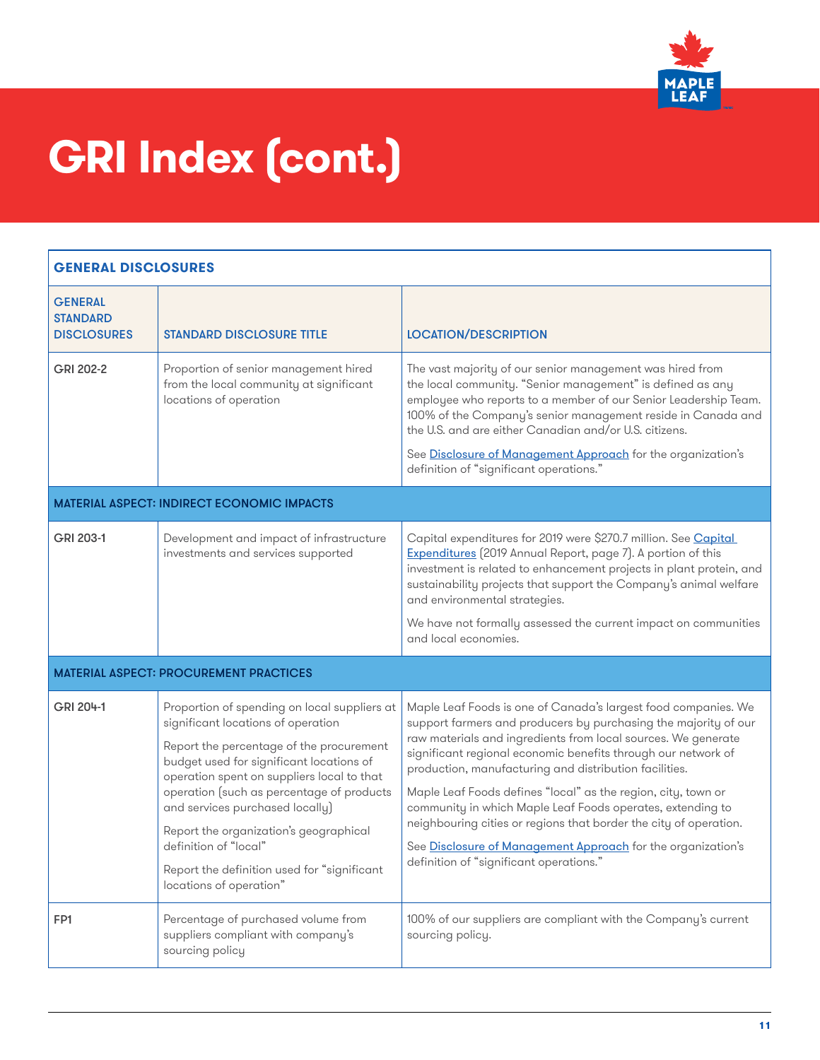

| <b>GENERAL DISCLOSURES</b>                              |                                                                                                                                                                                                                                                                                                                                                                                                                                                       |                                                                                                                                                                                                                                                                                                                                                                                                                                                                                                                                                                                                                                              |
|---------------------------------------------------------|-------------------------------------------------------------------------------------------------------------------------------------------------------------------------------------------------------------------------------------------------------------------------------------------------------------------------------------------------------------------------------------------------------------------------------------------------------|----------------------------------------------------------------------------------------------------------------------------------------------------------------------------------------------------------------------------------------------------------------------------------------------------------------------------------------------------------------------------------------------------------------------------------------------------------------------------------------------------------------------------------------------------------------------------------------------------------------------------------------------|
| <b>GENERAL</b><br><b>STANDARD</b><br><b>DISCLOSURES</b> | <b><i>STANDARD DISCLOSURE TITLE</i></b>                                                                                                                                                                                                                                                                                                                                                                                                               | <b>LOCATION/DESCRIPTION</b>                                                                                                                                                                                                                                                                                                                                                                                                                                                                                                                                                                                                                  |
| GRI 202-2                                               | Proportion of senior management hired<br>from the local community at significant<br>locations of operation                                                                                                                                                                                                                                                                                                                                            | The vast majority of our senior management was hired from<br>the local community. "Senior management" is defined as any<br>employee who reports to a member of our Senior Leadership Team.<br>100% of the Company's senior management reside in Canada and<br>the U.S. and are either Canadian and/or U.S. citizens.<br>See Disclosure of Management Approach for the organization's<br>definition of "significant operations."                                                                                                                                                                                                              |
|                                                         | <b>MATERIAL ASPECT: INDIRECT ECONOMIC IMPACTS</b>                                                                                                                                                                                                                                                                                                                                                                                                     |                                                                                                                                                                                                                                                                                                                                                                                                                                                                                                                                                                                                                                              |
| GRI 203-1                                               | Development and impact of infrastructure<br>investments and services supported                                                                                                                                                                                                                                                                                                                                                                        | Capital expenditures for 2019 were \$270.7 million. See Capital<br>Expenditures (2019 Annual Report, page 7). A portion of this<br>investment is related to enhancement projects in plant protein, and<br>sustainability projects that support the Company's animal welfare<br>and environmental strategies.<br>We have not formally assessed the current impact on communities<br>and local economies.                                                                                                                                                                                                                                      |
|                                                         | <b>MATERIAL ASPECT: PROCUREMENT PRACTICES</b>                                                                                                                                                                                                                                                                                                                                                                                                         |                                                                                                                                                                                                                                                                                                                                                                                                                                                                                                                                                                                                                                              |
| GRI 204-1                                               | Proportion of spending on local suppliers at<br>significant locations of operation<br>Report the percentage of the procurement<br>budget used for significant locations of<br>operation spent on suppliers local to that<br>operation (such as percentage of products<br>and services purchased locally)<br>Report the organization's geographical<br>definition of "local"<br>Report the definition used for "significant<br>locations of operation" | Maple Leaf Foods is one of Canada's largest food companies. We<br>support farmers and producers by purchasing the majority of our<br>raw materials and ingredients from local sources. We generate<br>significant regional economic benefits through our network of<br>production, manufacturing and distribution facilities.<br>Maple Leaf Foods defines "local" as the region, city, town or<br>community in which Maple Leaf Foods operates, extending to<br>neighbouring cities or regions that border the city of operation.<br>See Disclosure of Management Approach for the organization's<br>definition of "significant operations." |
| FP1                                                     | Percentage of purchased volume from<br>suppliers compliant with company's<br>sourcing policy                                                                                                                                                                                                                                                                                                                                                          | 100% of our suppliers are compliant with the Company's current<br>sourcing policy.                                                                                                                                                                                                                                                                                                                                                                                                                                                                                                                                                           |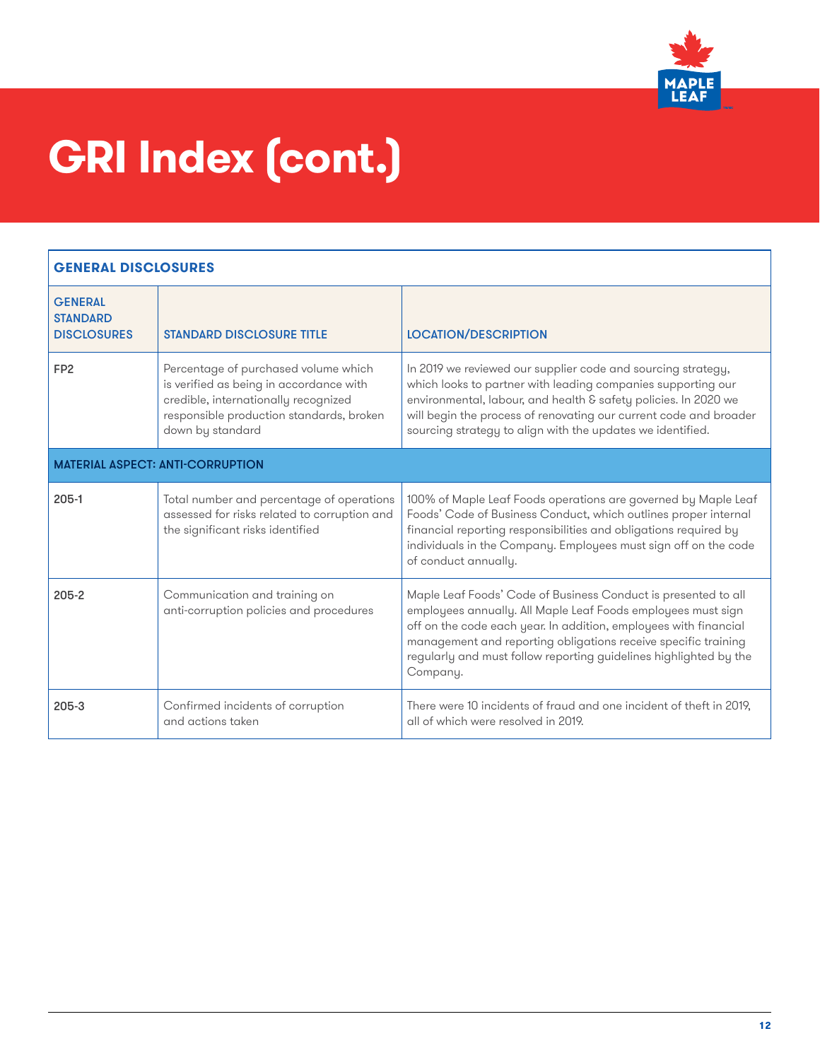

| <b>GENERAL DISCLOSURES</b>                              |                                                                                                                                                                                         |                                                                                                                                                                                                                                                                                                                                                       |
|---------------------------------------------------------|-----------------------------------------------------------------------------------------------------------------------------------------------------------------------------------------|-------------------------------------------------------------------------------------------------------------------------------------------------------------------------------------------------------------------------------------------------------------------------------------------------------------------------------------------------------|
| <b>GENERAL</b><br><b>STANDARD</b><br><b>DISCLOSURES</b> | <b>STANDARD DISCLOSURE TITLE</b>                                                                                                                                                        | <b>LOCATION/DESCRIPTION</b>                                                                                                                                                                                                                                                                                                                           |
| FP <sub>2</sub>                                         | Percentage of purchased volume which<br>is verified as being in accordance with<br>credible, internationally recognized<br>responsible production standards, broken<br>down by standard | In 2019 we reviewed our supplier code and sourcing strategy,<br>which looks to partner with leading companies supporting our<br>environmental, labour, and health & safety policies. In 2020 we<br>will begin the process of renovating our current code and broader<br>sourcing strategy to align with the updates we identified.                    |
|                                                         | <b>MATERIAL ASPECT: ANTI-CORRUPTION</b>                                                                                                                                                 |                                                                                                                                                                                                                                                                                                                                                       |
| $205-1$                                                 | Total number and percentage of operations<br>assessed for risks related to corruption and<br>the significant risks identified                                                           | 100% of Maple Leaf Foods operations are governed by Maple Leaf<br>Foods' Code of Business Conduct, which outlines proper internal<br>financial reporting responsibilities and obligations required by<br>individuals in the Company. Employees must sign off on the code<br>of conduct annually.                                                      |
| $205 - 2$                                               | Communication and training on<br>anti-corruption policies and procedures                                                                                                                | Maple Leaf Foods' Code of Business Conduct is presented to all<br>employees annually. All Maple Leaf Foods employees must sign<br>off on the code each year. In addition, employees with financial<br>management and reporting obligations receive specific training<br>regularly and must follow reporting guidelines highlighted by the<br>Company. |
| 205-3                                                   | Confirmed incidents of corruption<br>and actions taken                                                                                                                                  | There were 10 incidents of fraud and one incident of theft in 2019,<br>all of which were resolved in 2019.                                                                                                                                                                                                                                            |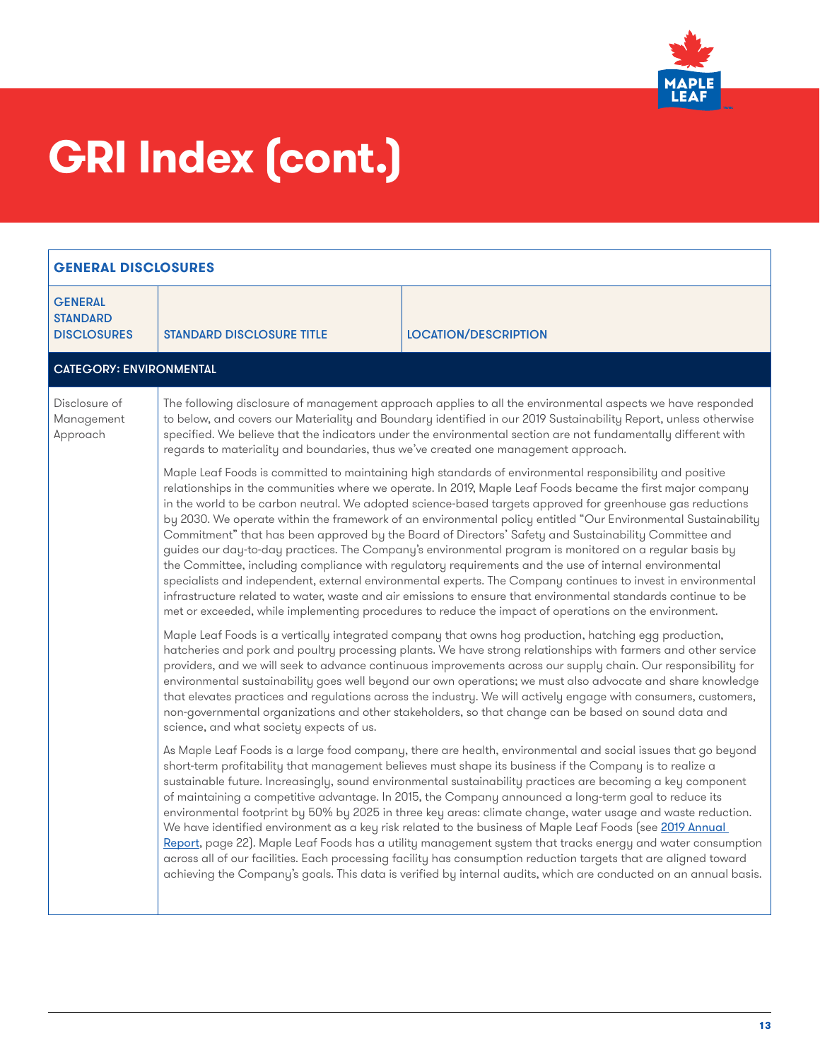

| <b>GENERAL DISCLOSURES</b>                              |                                                                                                                                                                                                                                                                                                                                                                                                                                                                                                                                                                                                                                                                                                                                                                                                                                                                                                                                                                                                                                                                                                                                   |                                                                                                                                                                                                                                                                                                                                                                                                                                                                                                                                                                                                                                                                                                                                                                                                                                                                                                                                                                                                                                      |
|---------------------------------------------------------|-----------------------------------------------------------------------------------------------------------------------------------------------------------------------------------------------------------------------------------------------------------------------------------------------------------------------------------------------------------------------------------------------------------------------------------------------------------------------------------------------------------------------------------------------------------------------------------------------------------------------------------------------------------------------------------------------------------------------------------------------------------------------------------------------------------------------------------------------------------------------------------------------------------------------------------------------------------------------------------------------------------------------------------------------------------------------------------------------------------------------------------|--------------------------------------------------------------------------------------------------------------------------------------------------------------------------------------------------------------------------------------------------------------------------------------------------------------------------------------------------------------------------------------------------------------------------------------------------------------------------------------------------------------------------------------------------------------------------------------------------------------------------------------------------------------------------------------------------------------------------------------------------------------------------------------------------------------------------------------------------------------------------------------------------------------------------------------------------------------------------------------------------------------------------------------|
| <b>GENERAL</b><br><b>STANDARD</b><br><b>DISCLOSURES</b> | <b>STANDARD DISCLOSURE TITLE</b>                                                                                                                                                                                                                                                                                                                                                                                                                                                                                                                                                                                                                                                                                                                                                                                                                                                                                                                                                                                                                                                                                                  | <b>LOCATION/DESCRIPTION</b>                                                                                                                                                                                                                                                                                                                                                                                                                                                                                                                                                                                                                                                                                                                                                                                                                                                                                                                                                                                                          |
| <b>CATEGORY: ENVIRONMENTAL</b>                          |                                                                                                                                                                                                                                                                                                                                                                                                                                                                                                                                                                                                                                                                                                                                                                                                                                                                                                                                                                                                                                                                                                                                   |                                                                                                                                                                                                                                                                                                                                                                                                                                                                                                                                                                                                                                                                                                                                                                                                                                                                                                                                                                                                                                      |
| Disclosure of<br>Management<br>Approach                 | The following disclosure of management approach applies to all the environmental aspects we have responded<br>to below, and covers our Materiality and Boundary identified in our 2019 Sustainability Report, unless otherwise<br>specified. We believe that the indicators under the environmental section are not fundamentally different with<br>regards to materiality and boundaries, thus we've created one management approach.                                                                                                                                                                                                                                                                                                                                                                                                                                                                                                                                                                                                                                                                                            |                                                                                                                                                                                                                                                                                                                                                                                                                                                                                                                                                                                                                                                                                                                                                                                                                                                                                                                                                                                                                                      |
|                                                         | Maple Leaf Foods is committed to maintaining high standards of environmental responsibility and positive<br>relationships in the communities where we operate. In 2019, Maple Leaf Foods became the first major company<br>in the world to be carbon neutral. We adopted science-based targets approved for greenhouse gas reductions<br>by 2030. We operate within the framework of an environmental policy entitled "Our Environmental Sustainability<br>Commitment" that has been approved by the Board of Directors' Safety and Sustainability Committee and<br>guides our day-to-day practices. The Company's environmental program is monitored on a regular basis by<br>the Committee, including compliance with regulatory requirements and the use of internal environmental<br>specialists and independent, external environmental experts. The Company continues to invest in environmental<br>infrastructure related to water, waste and air emissions to ensure that environmental standards continue to be<br>met or exceeded, while implementing procedures to reduce the impact of operations on the environment. |                                                                                                                                                                                                                                                                                                                                                                                                                                                                                                                                                                                                                                                                                                                                                                                                                                                                                                                                                                                                                                      |
|                                                         | Maple Leaf Foods is a vertically integrated company that owns hog production, hatching egg production,<br>hatcheries and pork and poultry processing plants. We have strong relationships with farmers and other service<br>providers, and we will seek to advance continuous improvements across our supply chain. Our responsibility for<br>environmental sustainability goes well beyond our own operations; we must also advocate and share knowledge<br>that elevates practices and regulations across the industry. We will actively engage with consumers, customers,<br>non-governmental organizations and other stakeholders, so that change can be based on sound data and<br>science, and what society expects of us.                                                                                                                                                                                                                                                                                                                                                                                                  |                                                                                                                                                                                                                                                                                                                                                                                                                                                                                                                                                                                                                                                                                                                                                                                                                                                                                                                                                                                                                                      |
|                                                         |                                                                                                                                                                                                                                                                                                                                                                                                                                                                                                                                                                                                                                                                                                                                                                                                                                                                                                                                                                                                                                                                                                                                   | As Maple Leaf Foods is a large food company, there are health, environmental and social issues that go beyond<br>short-term profitability that management believes must shape its business if the Company is to realize a<br>sustainable future. Increasingly, sound environmental sustainability practices are becoming a key component<br>of maintaining a competitive advantage. In 2015, the Company announced a long-term goal to reduce its<br>environmental footprint by 50% by 2025 in three key areas: climate change, water usage and waste reduction.<br>We have identified environment as a key risk related to the business of Maple Leaf Foods (see 2019 Annual<br>Report, page 22). Maple Leaf Foods has a utility management system that tracks energy and water consumption<br>across all of our facilities. Each processing facility has consumption reduction targets that are aligned toward<br>achieving the Company's goals. This data is verified by internal audits, which are conducted on an annual basis. |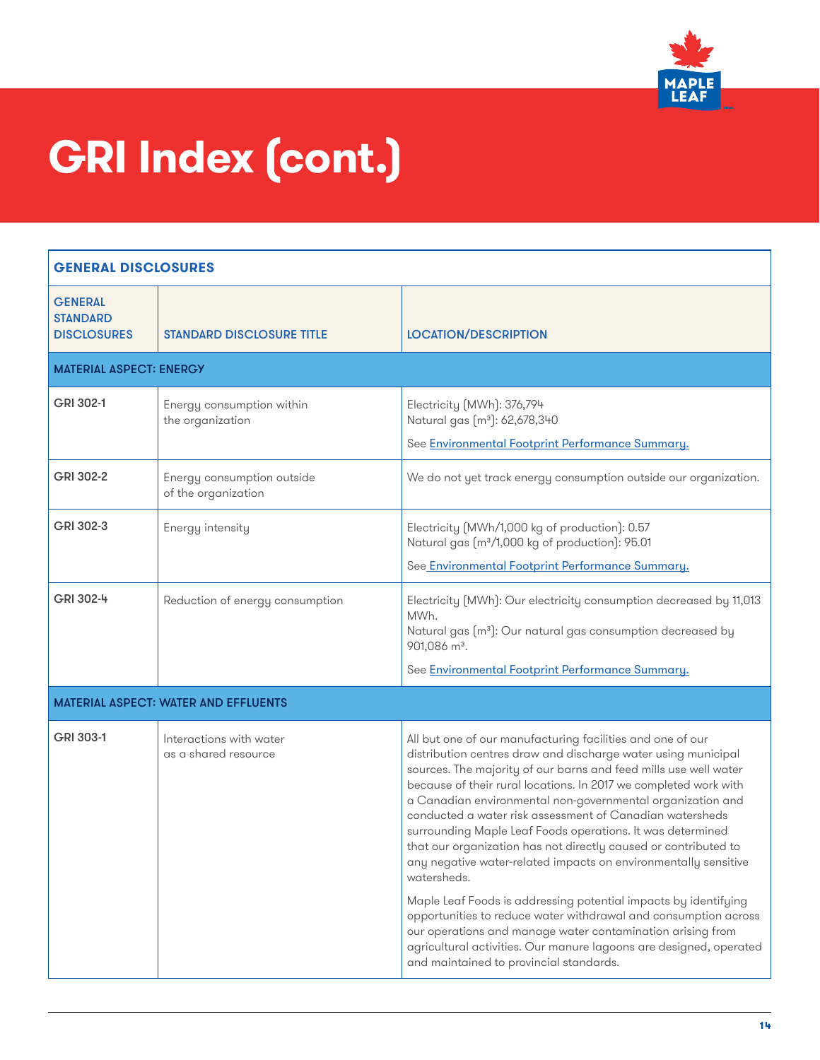

| <b>GENERAL DISCLOSURES</b>                              |                                                   |                                                                                                                                                                                                                                                                                                                                                                                                                                                                                                                                                                                                                                                                                                                                                                                                                                                                                                                                       |
|---------------------------------------------------------|---------------------------------------------------|---------------------------------------------------------------------------------------------------------------------------------------------------------------------------------------------------------------------------------------------------------------------------------------------------------------------------------------------------------------------------------------------------------------------------------------------------------------------------------------------------------------------------------------------------------------------------------------------------------------------------------------------------------------------------------------------------------------------------------------------------------------------------------------------------------------------------------------------------------------------------------------------------------------------------------------|
| <b>GENERAL</b><br><b>STANDARD</b><br><b>DISCLOSURES</b> | <b>STANDARD DISCLOSURE TITLE</b>                  | <b>LOCATION/DESCRIPTION</b>                                                                                                                                                                                                                                                                                                                                                                                                                                                                                                                                                                                                                                                                                                                                                                                                                                                                                                           |
| <b>MATERIAL ASPECT: ENERGY</b>                          |                                                   |                                                                                                                                                                                                                                                                                                                                                                                                                                                                                                                                                                                                                                                                                                                                                                                                                                                                                                                                       |
| GRI 302-1                                               | Energy consumption within<br>the organization     | Electricity (MWh): 376,794<br>Natural gas (m <sup>3</sup> ): 62,678,340<br>See Environmental Footprint Performance Summary.                                                                                                                                                                                                                                                                                                                                                                                                                                                                                                                                                                                                                                                                                                                                                                                                           |
| GRI 302-2                                               | Energy consumption outside<br>of the organization | We do not yet track energy consumption outside our organization.                                                                                                                                                                                                                                                                                                                                                                                                                                                                                                                                                                                                                                                                                                                                                                                                                                                                      |
| GRI 302-3                                               | Energy intensity                                  | Electricity (MWh/1,000 kg of production): 0.57<br>Natural gas (m <sup>3</sup> /1,000 kg of production): 95.01<br>See Environmental Footprint Performance Summary.                                                                                                                                                                                                                                                                                                                                                                                                                                                                                                                                                                                                                                                                                                                                                                     |
| GRI 302-4                                               | Reduction of energy consumption                   | Electricity (MWh): Our electricity consumption decreased by 11,013<br>MWh.<br>Natural gas (m <sup>3</sup> ): Our natural gas consumption decreased by<br>901,086 m <sup>3</sup> .<br>See Environmental Footprint Performance Summary.                                                                                                                                                                                                                                                                                                                                                                                                                                                                                                                                                                                                                                                                                                 |
|                                                         | <b>MATERIAL ASPECT: WATER AND EFFLUENTS</b>       |                                                                                                                                                                                                                                                                                                                                                                                                                                                                                                                                                                                                                                                                                                                                                                                                                                                                                                                                       |
| GRI 303-1                                               | Interactions with water<br>as a shared resource   | All but one of our manufacturing facilities and one of our<br>distribution centres draw and discharge water using municipal<br>sources. The majority of our barns and feed mills use well water<br>because of their rural locations. In 2017 we completed work with<br>a Canadian environmental non-governmental organization and<br>conducted a water risk assessment of Canadian watersheds<br>surrounding Maple Leaf Foods operations. It was determined<br>that our organization has not directly caused or contributed to<br>any negative water-related impacts on environmentally sensitive<br>watersheds.<br>Maple Leaf Foods is addressing potential impacts by identifying<br>opportunities to reduce water withdrawal and consumption across<br>our operations and manage water contamination arising from<br>agricultural activities. Our manure lagoons are designed, operated<br>and maintained to provincial standards. |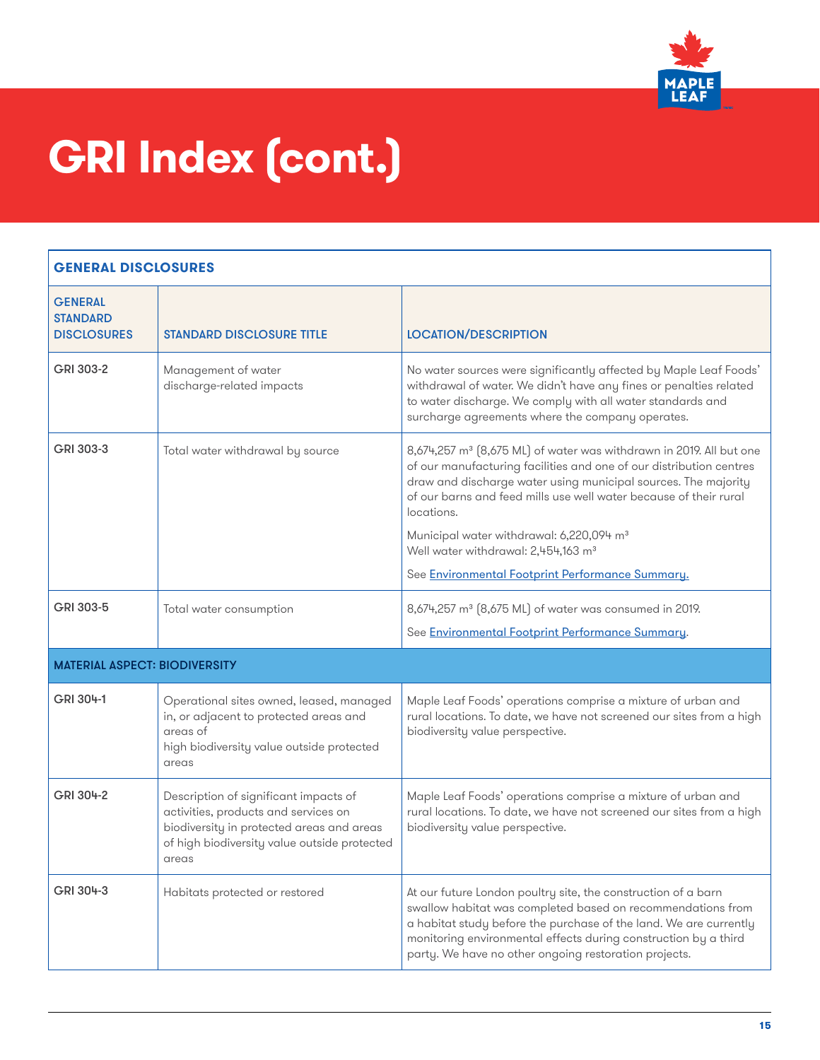

#### **GENERAL DISCLOSURES GENERAL STANDARD** DISCLOSURES STANDARD DISCLOSURE TITLE LOCATION/DESCRIPTION GRI 303-2 | Management of water discharge-related impacts No water sources were significantly affected by Maple Leaf Foods' withdrawal of water. We didn't have any fines or penalties related to water discharge. We comply with all water standards and surcharge agreements where the company operates. GRI 303-3 Total water withdrawal by source  $8,674,257 \text{ m}^3 \text{ } (8,675 \text{ ML})$  of water was withdrawn in 2019. All but one of our manufacturing facilities and one of our distribution centres draw and discharge water using municipal sources. The majority of our barns and feed mills use well water because of their rural locations. Municipal water withdrawal: 6,220,094 m<sup>3</sup> Well water withdrawal: 2,454,163 m<sup>3</sup> See [Environmental Footprint Performance Summary.](https://mapleleaffoods.com/sustainability/better-planet/overview/#environmental-footprint-performance-summary ) GRI 303-5 Total water consumption  $8,674,257$  m<sup>3</sup> (8,675 ML) of water was consumed in 2019. See **[Environmental Footprint Performance Summary](https://mapleleaffoods.com/sustainability/better-planet/overview/#environmental-footprint-performance-summary )**. MATERIAL ASPECT: BIODIVERSITY GRI 304-1 Operational sites owned, leased, managed in, or adjacent to protected areas and areas of high biodiversity value outside protected areas Maple Leaf Foods' operations comprise a mixture of urban and rural locations. To date, we have not screened our sites from a high biodiversity value perspective. GRI 304-2 **Description of significant impacts of** activities, products and services on biodiversity in protected areas and areas of high biodiversity value outside protected areas Maple Leaf Foods' operations comprise a mixture of urban and rural locations. To date, we have not screened our sites from a high biodiversity value perspective. GRI 304-3 Habitats protected or restored At our future London poultry site, the construction of a barn swallow habitat was completed based on recommendations from a habitat study before the purchase of the land. We are currently monitoring environmental effects during construction by a third party. We have no other ongoing restoration projects.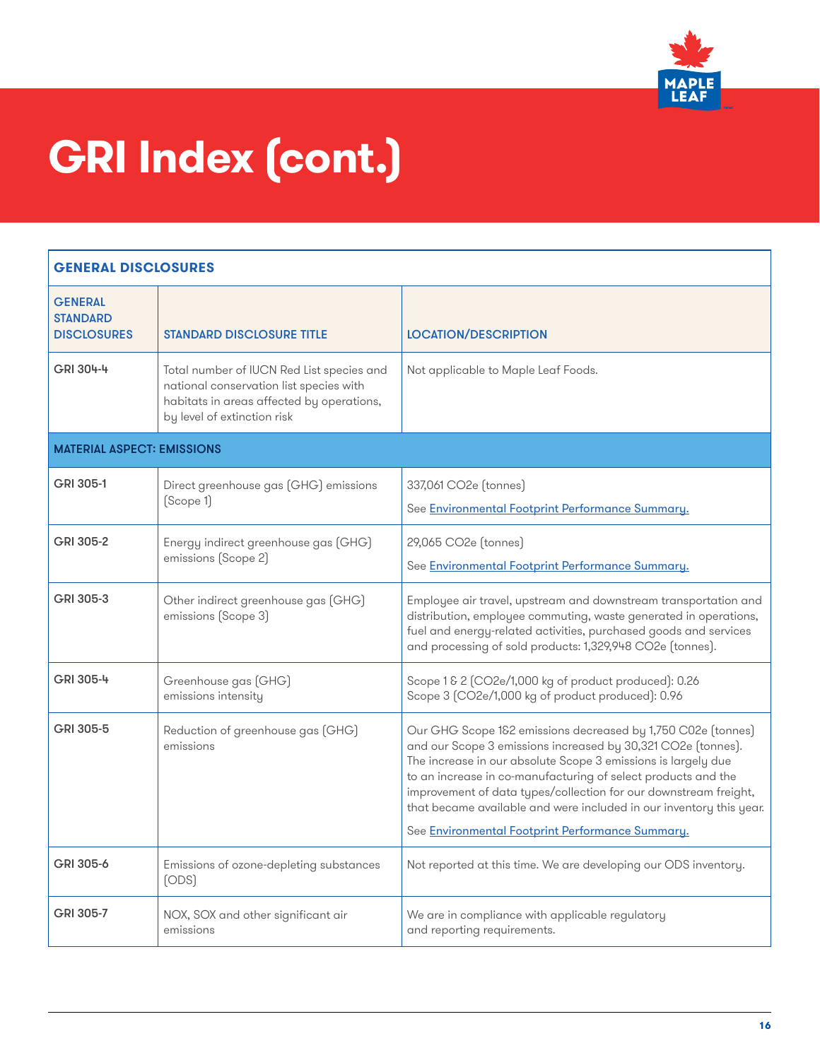

| <b>GENERAL DISCLOSURES</b>                              |                                                                                                                                                                  |                                                                                                                                                                                                                                                                                                                                                                                                                                                               |
|---------------------------------------------------------|------------------------------------------------------------------------------------------------------------------------------------------------------------------|---------------------------------------------------------------------------------------------------------------------------------------------------------------------------------------------------------------------------------------------------------------------------------------------------------------------------------------------------------------------------------------------------------------------------------------------------------------|
| <b>GENERAL</b><br><b>STANDARD</b><br><b>DISCLOSURES</b> | <b>STANDARD DISCLOSURE TITLE</b>                                                                                                                                 | <b>LOCATION/DESCRIPTION</b>                                                                                                                                                                                                                                                                                                                                                                                                                                   |
| GRI 304-4                                               | Total number of IUCN Red List species and<br>national conservation list species with<br>habitats in areas affected by operations,<br>by level of extinction risk | Not applicable to Maple Leaf Foods.                                                                                                                                                                                                                                                                                                                                                                                                                           |
| <b>MATERIAL ASPECT: EMISSIONS</b>                       |                                                                                                                                                                  |                                                                                                                                                                                                                                                                                                                                                                                                                                                               |
| GRI 305-1                                               | Direct greenhouse gas (GHG) emissions<br>[Scope 1]                                                                                                               | 337,061 CO2e (tonnes)<br>See Environmental Footprint Performance Summary.                                                                                                                                                                                                                                                                                                                                                                                     |
| GRI 305-2                                               | Energy indirect greenhouse gas (GHG)<br>emissions (Scope 2)                                                                                                      | 29,065 CO2e (tonnes)<br>See Environmental Footprint Performance Summary.                                                                                                                                                                                                                                                                                                                                                                                      |
| GRI 305-3                                               | Other indirect greenhouse gas (GHG)<br>emissions (Scope 3)                                                                                                       | Employee air travel, upstream and downstream transportation and<br>distribution, employee commuting, waste generated in operations,<br>fuel and energy-related activities, purchased goods and services<br>and processing of sold products: 1,329,948 CO2e (tonnes).                                                                                                                                                                                          |
| GRI 305-4                                               | Greenhouse gas (GHG)<br>emissions intensity                                                                                                                      | Scope 1 & 2 (CO2e/1,000 kg of product produced): 0.26<br>Scope 3 (CO2e/1,000 kg of product produced): 0.96                                                                                                                                                                                                                                                                                                                                                    |
| GRI 305-5                                               | Reduction of greenhouse gas (GHG)<br>emissions                                                                                                                   | Our GHG Scope 1&2 emissions decreased by 1,750 C02e (tonnes)<br>and our Scope 3 emissions increased by 30,321 CO2e (tonnes).<br>The increase in our absolute Scope 3 emissions is largely due<br>to an increase in co-manufacturing of select products and the<br>improvement of data types/collection for our downstream freight,<br>that became available and were included in our inventory this year.<br>See Environmental Footprint Performance Summary. |
| GRI 305-6                                               | Emissions of ozone-depleting substances<br>(ODS)                                                                                                                 | Not reported at this time. We are developing our ODS inventory.                                                                                                                                                                                                                                                                                                                                                                                               |
| GRI 305-7                                               | NOX, SOX and other significant air<br>emissions                                                                                                                  | We are in compliance with applicable regulatory<br>and reporting requirements.                                                                                                                                                                                                                                                                                                                                                                                |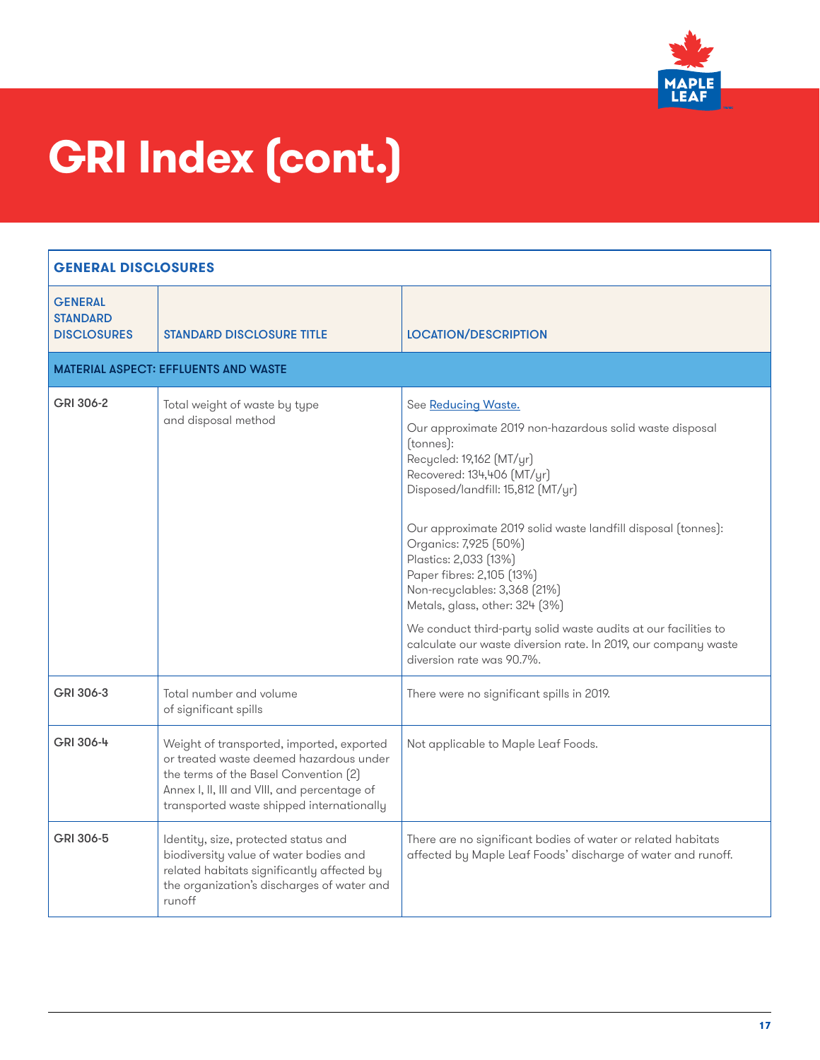

| <b>GENERAL DISCLOSURES</b>                              |                                                                                                                                                                                                                            |                                                                                                                                                                                                                                                                                                                                                                                                                                                                                                                                                                              |
|---------------------------------------------------------|----------------------------------------------------------------------------------------------------------------------------------------------------------------------------------------------------------------------------|------------------------------------------------------------------------------------------------------------------------------------------------------------------------------------------------------------------------------------------------------------------------------------------------------------------------------------------------------------------------------------------------------------------------------------------------------------------------------------------------------------------------------------------------------------------------------|
| <b>GENERAL</b><br><b>STANDARD</b><br><b>DISCLOSURES</b> | <b>STANDARD DISCLOSURE TITLE</b>                                                                                                                                                                                           | <b>LOCATION/DESCRIPTION</b>                                                                                                                                                                                                                                                                                                                                                                                                                                                                                                                                                  |
|                                                         | <b>MATERIAL ASPECT: EFFLUENTS AND WASTE</b>                                                                                                                                                                                |                                                                                                                                                                                                                                                                                                                                                                                                                                                                                                                                                                              |
| GRI 306-2                                               | Total weight of waste by type<br>and disposal method                                                                                                                                                                       | See Reducing Waste.<br>Our approximate 2019 non-hazardous solid waste disposal<br>(tonnes):<br>Recycled: 19,162 (MT/yr)<br>Recovered: 134,406 [MT/yr]<br>Disposed/landfill: 15,812 (MT/yr)<br>Our approximate 2019 solid waste landfill disposal (tonnes):<br>Organics: 7,925 (50%)<br>Plastics: 2,033 (13%)<br>Paper fibres: 2,105 (13%)<br>Non-recyclables: 3,368 [21%]<br>Metals, glass, other: 324 (3%)<br>We conduct third-party solid waste audits at our facilities to<br>calculate our waste diversion rate. In 2019, our company waste<br>diversion rate was 90.7%. |
| GRI 306-3                                               | Total number and volume<br>of significant spills                                                                                                                                                                           | There were no significant spills in 2019.                                                                                                                                                                                                                                                                                                                                                                                                                                                                                                                                    |
| GRI 306-4                                               | Weight of transported, imported, exported<br>or treated waste deemed hazardous under<br>the terms of the Basel Convention [2]<br>Annex I, II, III and VIII, and percentage of<br>transported waste shipped internationally | Not applicable to Maple Leaf Foods.                                                                                                                                                                                                                                                                                                                                                                                                                                                                                                                                          |
| GRI 306-5                                               | Identity, size, protected status and<br>biodiversity value of water bodies and<br>related habitats significantly affected by<br>the organization's discharges of water and<br>runoff                                       | There are no significant bodies of water or related habitats<br>affected by Maple Leaf Foods' discharge of water and runoff.                                                                                                                                                                                                                                                                                                                                                                                                                                                 |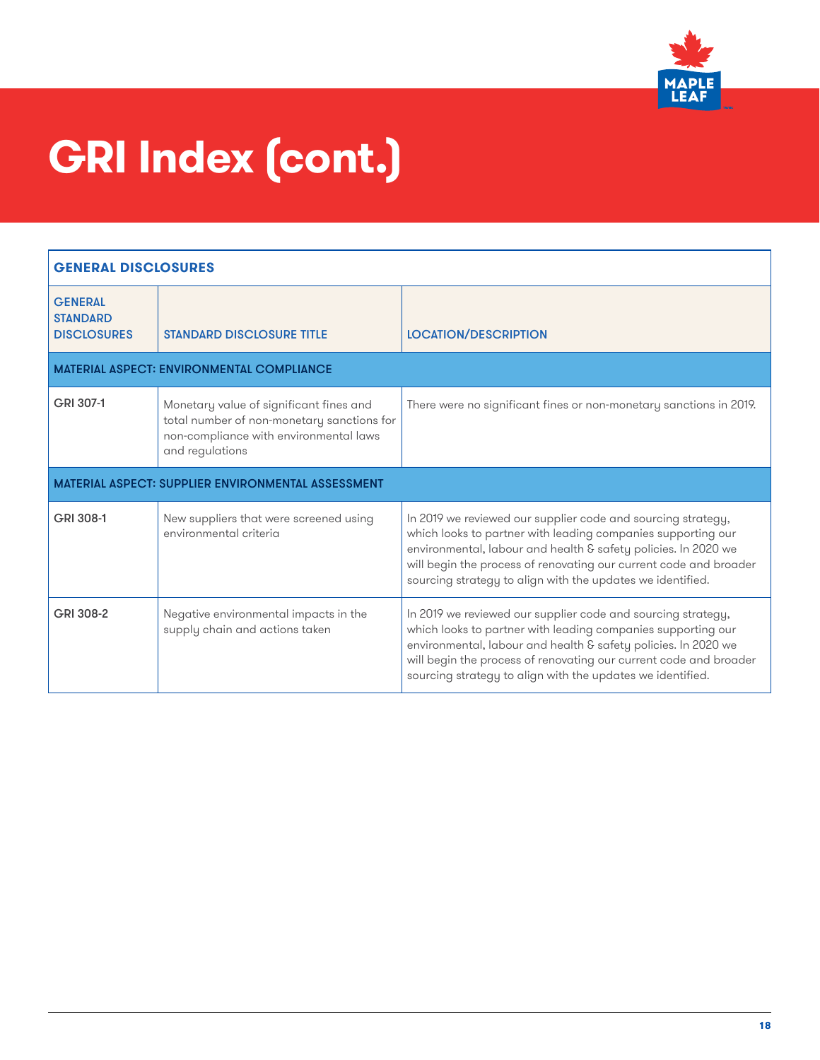

| <b>GENERAL DISCLOSURES</b>                                |                                                                                                                                                    |                                                                                                                                                                                                                                                                                                                                   |
|-----------------------------------------------------------|----------------------------------------------------------------------------------------------------------------------------------------------------|-----------------------------------------------------------------------------------------------------------------------------------------------------------------------------------------------------------------------------------------------------------------------------------------------------------------------------------|
| <b>GENERAL</b><br><b>STANDARD</b><br><b>DISCLOSURES</b>   | <b>STANDARD DISCLOSURE TITLE</b>                                                                                                                   | <b>LOCATION/DESCRIPTION</b>                                                                                                                                                                                                                                                                                                       |
|                                                           | <b>MATERIAL ASPECT: ENVIRONMENTAL COMPLIANCE</b>                                                                                                   |                                                                                                                                                                                                                                                                                                                                   |
| GRI 307-1                                                 | Monetary value of significant fines and<br>total number of non-monetary sanctions for<br>non-compliance with environmental laws<br>and regulations | There were no significant fines or non-monetary sanctions in 2019.                                                                                                                                                                                                                                                                |
| <b>MATERIAL ASPECT: SUPPLIER ENVIRONMENTAL ASSESSMENT</b> |                                                                                                                                                    |                                                                                                                                                                                                                                                                                                                                   |
| GRI 308-1                                                 | New suppliers that were screened using<br>environmental criteria                                                                                   | In 2019 we reviewed our supplier code and sourcing strategy,<br>which looks to partner with leading companies supporting our<br>environmental, labour and health & safety policies. In 2020 we<br>will begin the process of renovating our current code and broader<br>sourcing strategy to align with the updates we identified. |
| GRI 308-2                                                 | Negative environmental impacts in the<br>supply chain and actions taken                                                                            | In 2019 we reviewed our supplier code and sourcing strategy,<br>which looks to partner with leading companies supporting our<br>environmental, labour and health & safety policies. In 2020 we<br>will begin the process of renovating our current code and broader<br>sourcing strategy to align with the updates we identified. |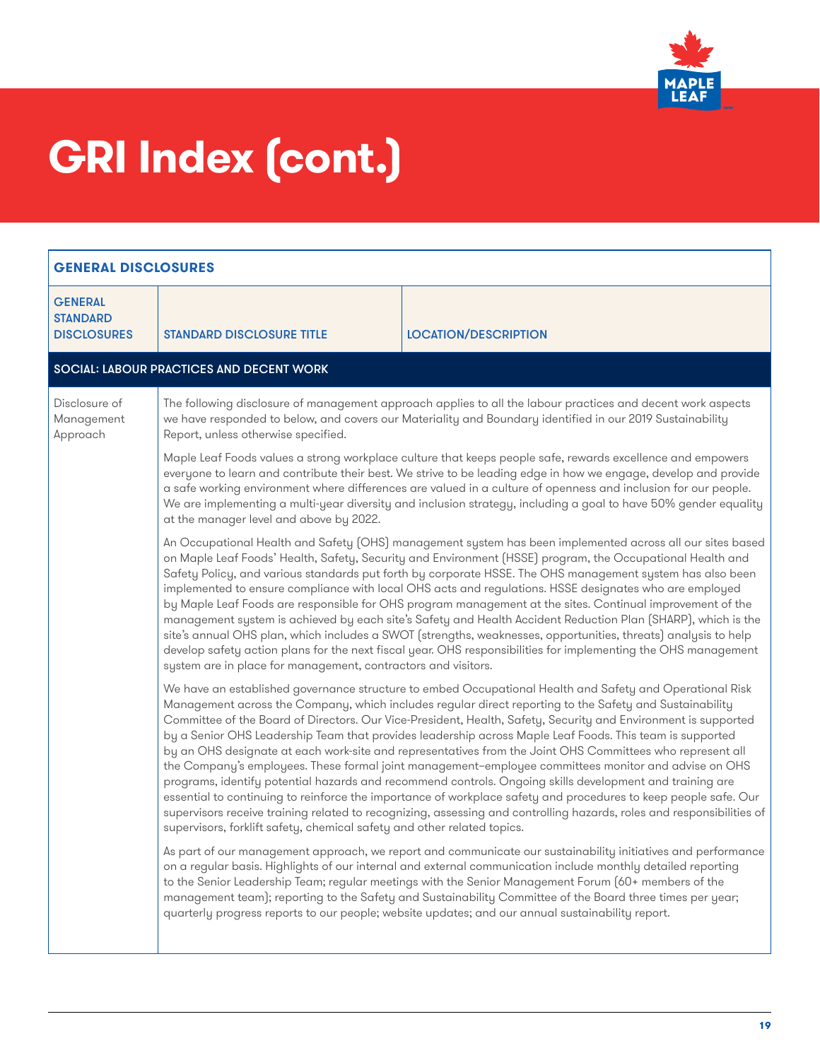

<span id="page-18-0"></span>

| <b>GENERAL DISCLOSURES</b>                                                                                                                                                                                                                                                                                                                                                                                                                                                                                                                            |                                                                                                                                                                                                                                                                                                                                                                                                                                                                                                                                                                                                                                                                                                                                                                                                                                                                                                                                                                                                                                                                                                                                                                                                                                                                                                                                                                                                                                                                                                                                                                                                                                                                                                                                                                                                                                                                                                                                                                                                                                                                                              |                             |
|-------------------------------------------------------------------------------------------------------------------------------------------------------------------------------------------------------------------------------------------------------------------------------------------------------------------------------------------------------------------------------------------------------------------------------------------------------------------------------------------------------------------------------------------------------|----------------------------------------------------------------------------------------------------------------------------------------------------------------------------------------------------------------------------------------------------------------------------------------------------------------------------------------------------------------------------------------------------------------------------------------------------------------------------------------------------------------------------------------------------------------------------------------------------------------------------------------------------------------------------------------------------------------------------------------------------------------------------------------------------------------------------------------------------------------------------------------------------------------------------------------------------------------------------------------------------------------------------------------------------------------------------------------------------------------------------------------------------------------------------------------------------------------------------------------------------------------------------------------------------------------------------------------------------------------------------------------------------------------------------------------------------------------------------------------------------------------------------------------------------------------------------------------------------------------------------------------------------------------------------------------------------------------------------------------------------------------------------------------------------------------------------------------------------------------------------------------------------------------------------------------------------------------------------------------------------------------------------------------------------------------------------------------------|-----------------------------|
| <b>GENERAL</b><br><b>STANDARD</b><br><b>DISCLOSURES</b>                                                                                                                                                                                                                                                                                                                                                                                                                                                                                               | <b>STANDARD DISCLOSURE TITLE</b>                                                                                                                                                                                                                                                                                                                                                                                                                                                                                                                                                                                                                                                                                                                                                                                                                                                                                                                                                                                                                                                                                                                                                                                                                                                                                                                                                                                                                                                                                                                                                                                                                                                                                                                                                                                                                                                                                                                                                                                                                                                             | <b>LOCATION/DESCRIPTION</b> |
|                                                                                                                                                                                                                                                                                                                                                                                                                                                                                                                                                       | <b>SOCIAL: LABOUR PRACTICES AND DECENT WORK</b>                                                                                                                                                                                                                                                                                                                                                                                                                                                                                                                                                                                                                                                                                                                                                                                                                                                                                                                                                                                                                                                                                                                                                                                                                                                                                                                                                                                                                                                                                                                                                                                                                                                                                                                                                                                                                                                                                                                                                                                                                                              |                             |
| Disclosure of<br>Management<br>Approach                                                                                                                                                                                                                                                                                                                                                                                                                                                                                                               | The following disclosure of management approach applies to all the labour practices and decent work aspects<br>we have responded to below, and covers our Materiality and Boundary identified in our 2019 Sustainability<br>Report, unless otherwise specified.                                                                                                                                                                                                                                                                                                                                                                                                                                                                                                                                                                                                                                                                                                                                                                                                                                                                                                                                                                                                                                                                                                                                                                                                                                                                                                                                                                                                                                                                                                                                                                                                                                                                                                                                                                                                                              |                             |
|                                                                                                                                                                                                                                                                                                                                                                                                                                                                                                                                                       | Maple Leaf Foods values a strong workplace culture that keeps people safe, rewards excellence and empowers<br>everyone to learn and contribute their best. We strive to be leading edge in how we engage, develop and provide<br>a safe working environment where differences are valued in a culture of openness and inclusion for our people.<br>We are implementing a multi-year diversity and inclusion strategy, including a goal to have 50% gender equality<br>at the manager level and above by 2022.                                                                                                                                                                                                                                                                                                                                                                                                                                                                                                                                                                                                                                                                                                                                                                                                                                                                                                                                                                                                                                                                                                                                                                                                                                                                                                                                                                                                                                                                                                                                                                                |                             |
|                                                                                                                                                                                                                                                                                                                                                                                                                                                                                                                                                       | An Occupational Health and Safety (OHS) management system has been implemented across all our sites based<br>on Maple Leaf Foods' Health, Safety, Security and Environment (HSSE) program, the Occupational Health and<br>Safety Policy, and various standards put forth by corporate HSSE. The OHS management system has also been<br>implemented to ensure compliance with local OHS acts and regulations. HSSE designates who are employed<br>by Maple Leaf Foods are responsible for OHS program management at the sites. Continual improvement of the<br>management system is achieved by each site's Safety and Health Accident Reduction Plan (SHARP), which is the<br>site's annual OHS plan, which includes a SWOT (strengths, weaknesses, opportunities, threats) analysis to help<br>develop safety action plans for the next fiscal year. OHS responsibilities for implementing the OHS management<br>system are in place for management, contractors and visitors.<br>We have an established governance structure to embed Occupational Health and Safety and Operational Risk<br>Management across the Company, which includes regular direct reporting to the Safety and Sustainability<br>Committee of the Board of Directors. Our Vice-President, Health, Safety, Security and Environment is supported<br>by a Senior OHS Leadership Team that provides leadership across Maple Leaf Foods. This team is supported<br>by an OHS designate at each work-site and representatives from the Joint OHS Committees who represent all<br>the Company's employees. These formal joint management-employee committees monitor and advise on OHS<br>programs, identify potential hazards and recommend controls. Ongoing skills development and training are<br>essential to continuing to reinforce the importance of workplace safety and procedures to keep people safe. Our<br>supervisors receive training related to recognizing, assessing and controlling hazards, roles and responsibilities of<br>supervisors, forklift safety, chemical safety and other related topics. |                             |
|                                                                                                                                                                                                                                                                                                                                                                                                                                                                                                                                                       |                                                                                                                                                                                                                                                                                                                                                                                                                                                                                                                                                                                                                                                                                                                                                                                                                                                                                                                                                                                                                                                                                                                                                                                                                                                                                                                                                                                                                                                                                                                                                                                                                                                                                                                                                                                                                                                                                                                                                                                                                                                                                              |                             |
| As part of our management approach, we report and communicate our sustainability initiatives and performance<br>on a regular basis. Highlights of our internal and external communication include monthly detailed reporting<br>to the Senior Leadership Team; regular meetings with the Senior Management Forum (60+ members of the<br>management team); reporting to the Safety and Sustainability Committee of the Board three times per year;<br>quarterly progress reports to our people; website updates; and our annual sustainability report. |                                                                                                                                                                                                                                                                                                                                                                                                                                                                                                                                                                                                                                                                                                                                                                                                                                                                                                                                                                                                                                                                                                                                                                                                                                                                                                                                                                                                                                                                                                                                                                                                                                                                                                                                                                                                                                                                                                                                                                                                                                                                                              |                             |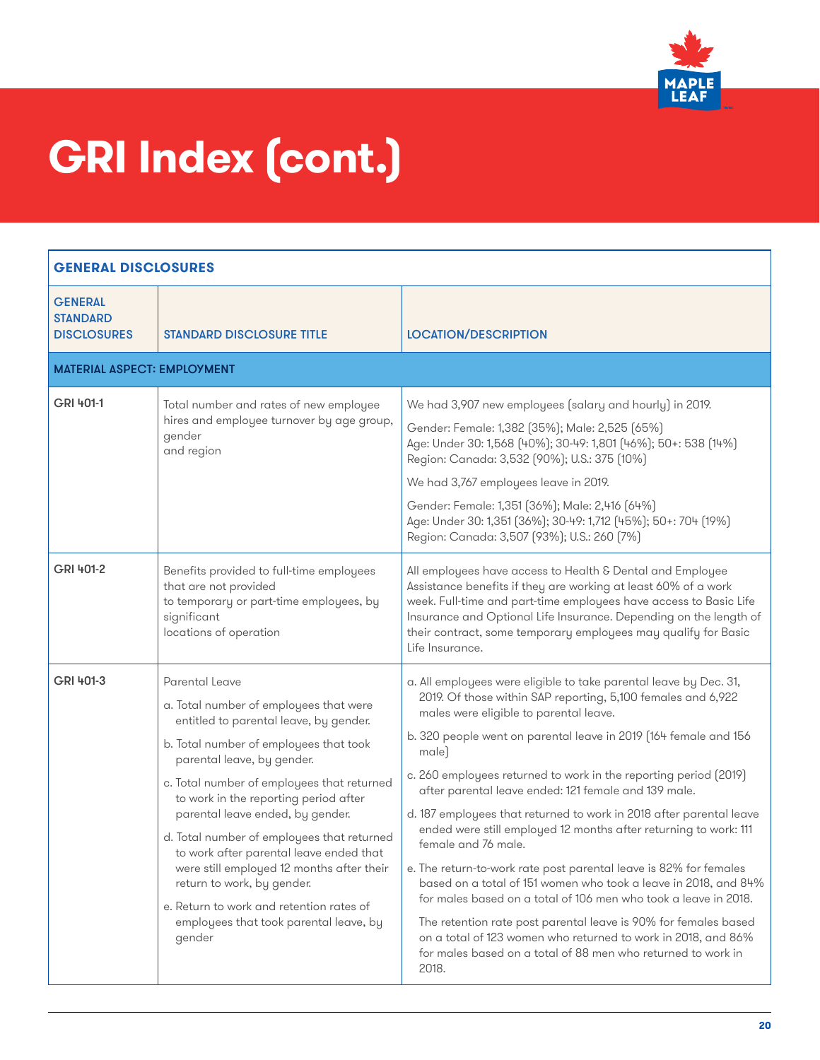

| <b>GENERAL DISCLOSURES</b>                              |                                                                                                                                                                                                                                                                                                                                                                                                                                                                                                                                                                           |                                                                                                                                                                                                                                                                                                                                                                                                                                                                                                                                                                                                                                                                                                                                                                                                                                                                                                                                                                                |
|---------------------------------------------------------|---------------------------------------------------------------------------------------------------------------------------------------------------------------------------------------------------------------------------------------------------------------------------------------------------------------------------------------------------------------------------------------------------------------------------------------------------------------------------------------------------------------------------------------------------------------------------|--------------------------------------------------------------------------------------------------------------------------------------------------------------------------------------------------------------------------------------------------------------------------------------------------------------------------------------------------------------------------------------------------------------------------------------------------------------------------------------------------------------------------------------------------------------------------------------------------------------------------------------------------------------------------------------------------------------------------------------------------------------------------------------------------------------------------------------------------------------------------------------------------------------------------------------------------------------------------------|
| <b>GENERAL</b><br><b>STANDARD</b><br><b>DISCLOSURES</b> | <b>STANDARD DISCLOSURE TITLE</b>                                                                                                                                                                                                                                                                                                                                                                                                                                                                                                                                          | <b>LOCATION/DESCRIPTION</b>                                                                                                                                                                                                                                                                                                                                                                                                                                                                                                                                                                                                                                                                                                                                                                                                                                                                                                                                                    |
| <b>MATERIAL ASPECT: EMPLOYMENT</b>                      |                                                                                                                                                                                                                                                                                                                                                                                                                                                                                                                                                                           |                                                                                                                                                                                                                                                                                                                                                                                                                                                                                                                                                                                                                                                                                                                                                                                                                                                                                                                                                                                |
| GRI 401-1                                               | Total number and rates of new employee<br>hires and employee turnover by age group,<br>gender<br>and region                                                                                                                                                                                                                                                                                                                                                                                                                                                               | We had 3,907 new employees (salary and hourly) in 2019.<br>Gender: Female: 1,382 [35%]; Male: 2,525 [65%]<br>Age: Under 30: 1,568 [40%]; 30-49: 1,801 [46%]; 50+: 538 [14%]<br>Region: Canada: 3,532 (90%); U.S.: 375 (10%)<br>We had 3,767 employees leave in 2019.<br>Gender: Female: 1,351 (36%); Male: 2,416 (64%)<br>Age: Under 30: 1,351 (36%); 30-49: 1,712 (45%); 50+: 704 (19%)<br>Region: Canada: 3,507 (93%); U.S.: 260 (7%)                                                                                                                                                                                                                                                                                                                                                                                                                                                                                                                                        |
| GRI 401-2                                               | Benefits provided to full-time employees<br>that are not provided<br>to temporary or part-time employees, by<br>significant<br>locations of operation                                                                                                                                                                                                                                                                                                                                                                                                                     | All employees have access to Health & Dental and Employee<br>Assistance benefits if they are working at least 60% of a work<br>week. Full-time and part-time employees have access to Basic Life<br>Insurance and Optional Life Insurance. Depending on the length of<br>their contract, some temporary employees may qualify for Basic<br>Life Insurance.                                                                                                                                                                                                                                                                                                                                                                                                                                                                                                                                                                                                                     |
| GRI 401-3                                               | Parental Leave<br>a. Total number of employees that were<br>entitled to parental leave, by gender.<br>b. Total number of employees that took<br>parental leave, by gender.<br>c. Total number of employees that returned<br>to work in the reporting period after<br>parental leave ended, by gender.<br>d. Total number of employees that returned<br>to work after parental leave ended that<br>were still employed 12 months after their<br>return to work, by gender.<br>e. Return to work and retention rates of<br>employees that took parental leave, by<br>gender | a. All employees were eligible to take parental leave by Dec. 31,<br>2019. Of those within SAP reporting, 5,100 females and 6,922<br>males were eligible to parental leave.<br>b. 320 people went on parental leave in 2019 (164 female and 156<br>male)<br>c. 260 employees returned to work in the reporting period (2019)<br>after parental leave ended: 121 female and 139 male.<br>d. 187 employees that returned to work in 2018 after parental leave<br>ended were still employed 12 months after returning to work: 111<br>female and 76 male.<br>e. The return-to-work rate post parental leave is 82% for females<br>based on a total of 151 women who took a leave in 2018, and 84%<br>for males based on a total of 106 men who took a leave in 2018.<br>The retention rate post parental leave is 90% for females based<br>on a total of 123 women who returned to work in 2018, and 86%<br>for males based on a total of 88 men who returned to work in<br>2018. |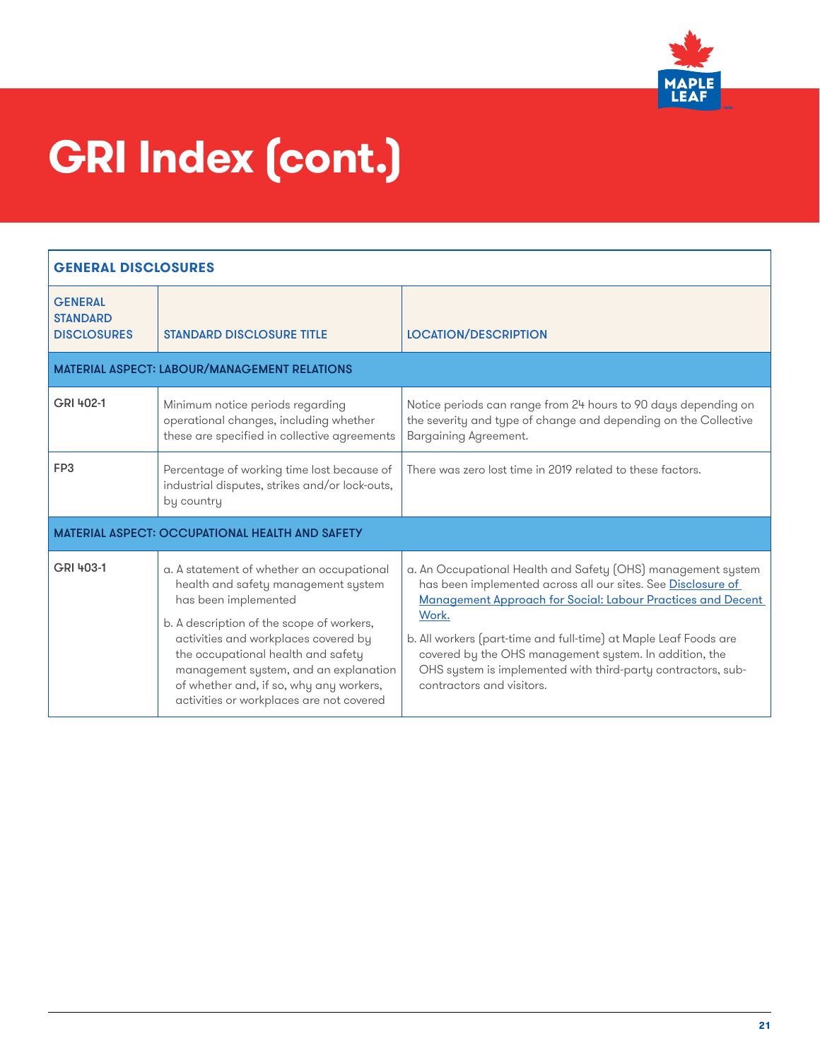

| <b>GENERAL DISCLOSURES</b>                              |                                                                                                                                                                                                                                                                                                                                                                     |                                                                                                                                                                                                                                                                                                                                                                                                                                 |
|---------------------------------------------------------|---------------------------------------------------------------------------------------------------------------------------------------------------------------------------------------------------------------------------------------------------------------------------------------------------------------------------------------------------------------------|---------------------------------------------------------------------------------------------------------------------------------------------------------------------------------------------------------------------------------------------------------------------------------------------------------------------------------------------------------------------------------------------------------------------------------|
| <b>GENERAL</b><br><b>STANDARD</b><br><b>DISCLOSURES</b> | <b>STANDARD DISCLOSURE TITLE</b>                                                                                                                                                                                                                                                                                                                                    | <b>LOCATION/DESCRIPTION</b>                                                                                                                                                                                                                                                                                                                                                                                                     |
|                                                         | <b>MATERIAL ASPECT: LABOUR/MANAGEMENT RELATIONS</b>                                                                                                                                                                                                                                                                                                                 |                                                                                                                                                                                                                                                                                                                                                                                                                                 |
| GRI 402-1                                               | Minimum notice periods regarding<br>operational changes, including whether<br>these are specified in collective agreements                                                                                                                                                                                                                                          | Notice periods can range from 24 hours to 90 days depending on<br>the severity and type of change and depending on the Collective<br>Bargaining Agreement.                                                                                                                                                                                                                                                                      |
| FP3                                                     | Percentage of working time lost because of<br>industrial disputes, strikes and/or lock-outs,<br>by country                                                                                                                                                                                                                                                          | There was zero lost time in 2019 related to these factors.                                                                                                                                                                                                                                                                                                                                                                      |
|                                                         | <b>MATERIAL ASPECT: OCCUPATIONAL HEALTH AND SAFETY</b>                                                                                                                                                                                                                                                                                                              |                                                                                                                                                                                                                                                                                                                                                                                                                                 |
| GRI 403-1                                               | a. A statement of whether an occupational<br>health and safety management system<br>has been implemented<br>b. A description of the scope of workers,<br>activities and workplaces covered by<br>the occupational health and safety<br>management system, and an explanation<br>of whether and, if so, why any workers,<br>activities or workplaces are not covered | a. An Occupational Health and Safety (OHS) management system<br>has been implemented across all our sites. See Disclosure of<br>Management Approach for Social: Labour Practices and Decent<br>Work.<br>b. All workers (part-time and full-time) at Maple Leaf Foods are<br>covered by the OHS management system. In addition, the<br>OHS system is implemented with third-party contractors, sub-<br>contractors and visitors. |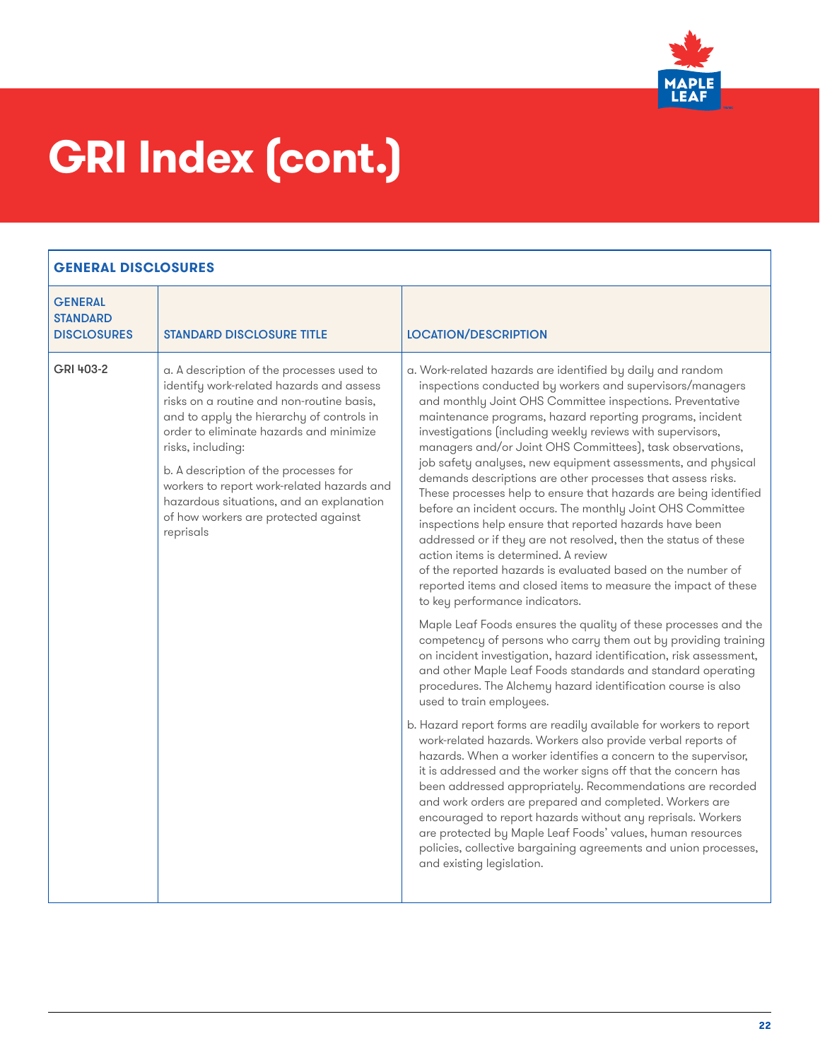

| <b>GENERAL</b><br><b>STANDARD</b><br><b>DISCLOSURES</b> | <b>STANDARD DISCLOSURE TITLE</b>                                                                                                                                                                                                                                                                                                                                                                                                        | <b>LOCATION/DESCRIPTION</b>                                                                                                                                                                                                                                                                                                                                                                                                                                                                                                                                                                                                                                                                                                                                                                                                                                                                                                                                                                                                                                                                                                                                                                                                                                                                                                                                                                                                                                                                                                                                                                                                                                                                                                                                                                                                                                                                                                                                                                 |
|---------------------------------------------------------|-----------------------------------------------------------------------------------------------------------------------------------------------------------------------------------------------------------------------------------------------------------------------------------------------------------------------------------------------------------------------------------------------------------------------------------------|---------------------------------------------------------------------------------------------------------------------------------------------------------------------------------------------------------------------------------------------------------------------------------------------------------------------------------------------------------------------------------------------------------------------------------------------------------------------------------------------------------------------------------------------------------------------------------------------------------------------------------------------------------------------------------------------------------------------------------------------------------------------------------------------------------------------------------------------------------------------------------------------------------------------------------------------------------------------------------------------------------------------------------------------------------------------------------------------------------------------------------------------------------------------------------------------------------------------------------------------------------------------------------------------------------------------------------------------------------------------------------------------------------------------------------------------------------------------------------------------------------------------------------------------------------------------------------------------------------------------------------------------------------------------------------------------------------------------------------------------------------------------------------------------------------------------------------------------------------------------------------------------------------------------------------------------------------------------------------------------|
| GRI 403-2                                               | a. A description of the processes used to<br>identify work-related hazards and assess<br>risks on a routine and non-routine basis,<br>and to apply the hierarchy of controls in<br>order to eliminate hazards and minimize<br>risks, including:<br>b. A description of the processes for<br>workers to report work-related hazards and<br>hazardous situations, and an explanation<br>of how workers are protected against<br>reprisals | a. Work-related hazards are identified by daily and random<br>inspections conducted by workers and supervisors/managers<br>and monthly Joint OHS Committee inspections. Preventative<br>maintenance programs, hazard reporting programs, incident<br>investigations (including weekly reviews with supervisors,<br>managers and/or Joint OHS Committees), task observations,<br>job safety analyses, new equipment assessments, and physical<br>demands descriptions are other processes that assess risks.<br>These processes help to ensure that hazards are being identified<br>before an incident occurs. The monthly Joint OHS Committee<br>inspections help ensure that reported hazards have been<br>addressed or if they are not resolved, then the status of these<br>action items is determined. A review<br>of the reported hazards is evaluated based on the number of<br>reported items and closed items to measure the impact of these<br>to key performance indicators.<br>Maple Leaf Foods ensures the quality of these processes and the<br>competency of persons who carry them out by providing training<br>on incident investigation, hazard identification, risk assessment,<br>and other Maple Leaf Foods standards and standard operating<br>procedures. The Alchemy hazard identification course is also<br>used to train employees.<br>b. Hazard report forms are readily available for workers to report<br>work-related hazards. Workers also provide verbal reports of<br>hazards. When a worker identifies a concern to the supervisor,<br>it is addressed and the worker signs off that the concern has<br>been addressed appropriately. Recommendations are recorded<br>and work orders are prepared and completed. Workers are<br>encouraged to report hazards without any reprisals. Workers<br>are protected by Maple Leaf Foods' values, human resources<br>policies, collective bargaining agreements and union processes,<br>and existing legislation. |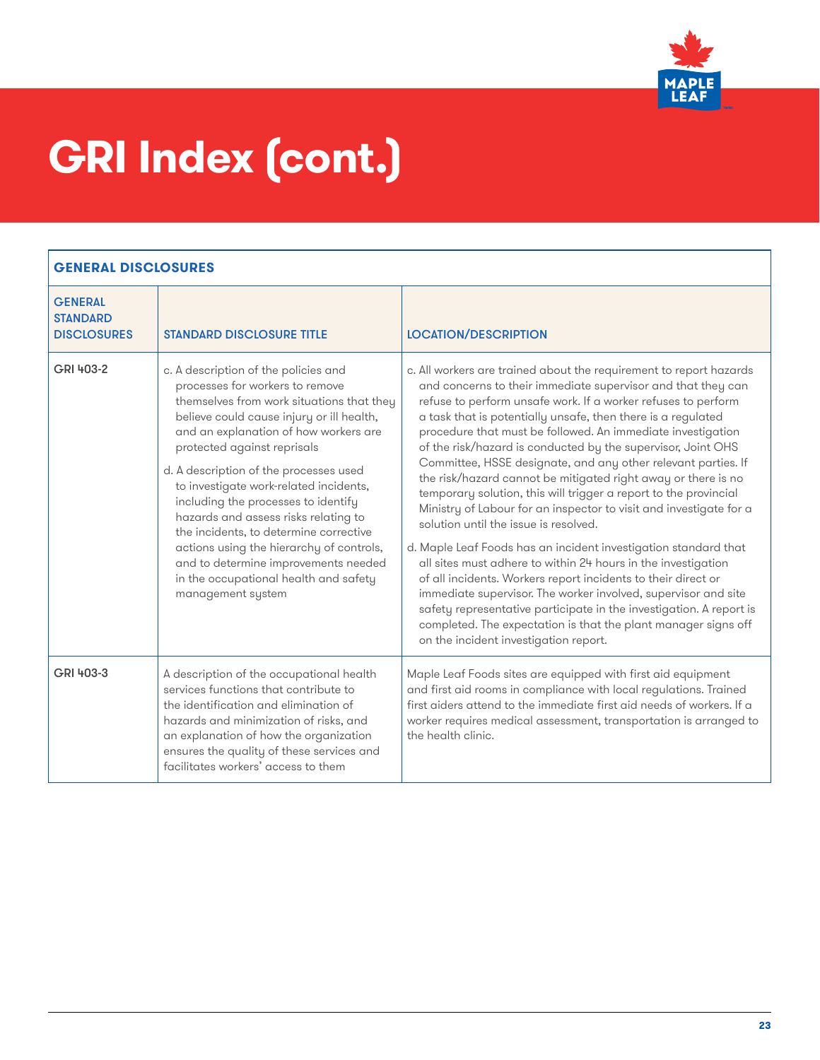

| <b>GENERAL</b><br><b>STANDARD</b><br><b>DISCLOSURES</b> | <b>STANDARD DISCLOSURE TITLE</b>                                                                                                                                                                                                                                                                                                                                                                                                                                                                                                                                                                         | <b>LOCATION/DESCRIPTION</b>                                                                                                                                                                                                                                                                                                                                                                                                                                                                                                                                                                                                                                                                                                                                                                                                                                                                                                                                                                                                                                                                                                                                                      |
|---------------------------------------------------------|----------------------------------------------------------------------------------------------------------------------------------------------------------------------------------------------------------------------------------------------------------------------------------------------------------------------------------------------------------------------------------------------------------------------------------------------------------------------------------------------------------------------------------------------------------------------------------------------------------|----------------------------------------------------------------------------------------------------------------------------------------------------------------------------------------------------------------------------------------------------------------------------------------------------------------------------------------------------------------------------------------------------------------------------------------------------------------------------------------------------------------------------------------------------------------------------------------------------------------------------------------------------------------------------------------------------------------------------------------------------------------------------------------------------------------------------------------------------------------------------------------------------------------------------------------------------------------------------------------------------------------------------------------------------------------------------------------------------------------------------------------------------------------------------------|
| GRI 403-2                                               | c. A description of the policies and<br>processes for workers to remove<br>themselves from work situations that they<br>believe could cause injury or ill health,<br>and an explanation of how workers are<br>protected against reprisals<br>d. A description of the processes used<br>to investigate work-related incidents,<br>including the processes to identify<br>hazards and assess risks relating to<br>the incidents, to determine corrective<br>actions using the hierarchy of controls,<br>and to determine improvements needed<br>in the occupational health and safety<br>management system | c. All workers are trained about the requirement to report hazards<br>and concerns to their immediate supervisor and that they can<br>refuse to perform unsafe work. If a worker refuses to perform<br>a task that is potentially unsafe, then there is a regulated<br>procedure that must be followed. An immediate investigation<br>of the risk/hazard is conducted by the supervisor, Joint OHS<br>Committee, HSSE designate, and any other relevant parties. If<br>the risk/hazard cannot be mitigated right away or there is no<br>temporary solution, this will trigger a report to the provincial<br>Ministry of Labour for an inspector to visit and investigate for a<br>solution until the issue is resolved.<br>d. Maple Leaf Foods has an incident investigation standard that<br>all sites must adhere to within 24 hours in the investigation<br>of all incidents. Workers report incidents to their direct or<br>immediate supervisor. The worker involved, supervisor and site<br>safety representative participate in the investigation. A report is<br>completed. The expectation is that the plant manager signs off<br>on the incident investigation report. |
| GRI 403-3                                               | A description of the occupational health<br>services functions that contribute to<br>the identification and elimination of<br>hazards and minimization of risks, and<br>an explanation of how the organization<br>ensures the quality of these services and<br>facilitates workers' access to them                                                                                                                                                                                                                                                                                                       | Maple Leaf Foods sites are equipped with first aid equipment<br>and first aid rooms in compliance with local regulations. Trained<br>first aiders attend to the immediate first aid needs of workers. If a<br>worker requires medical assessment, transportation is arranged to<br>the health clinic.                                                                                                                                                                                                                                                                                                                                                                                                                                                                                                                                                                                                                                                                                                                                                                                                                                                                            |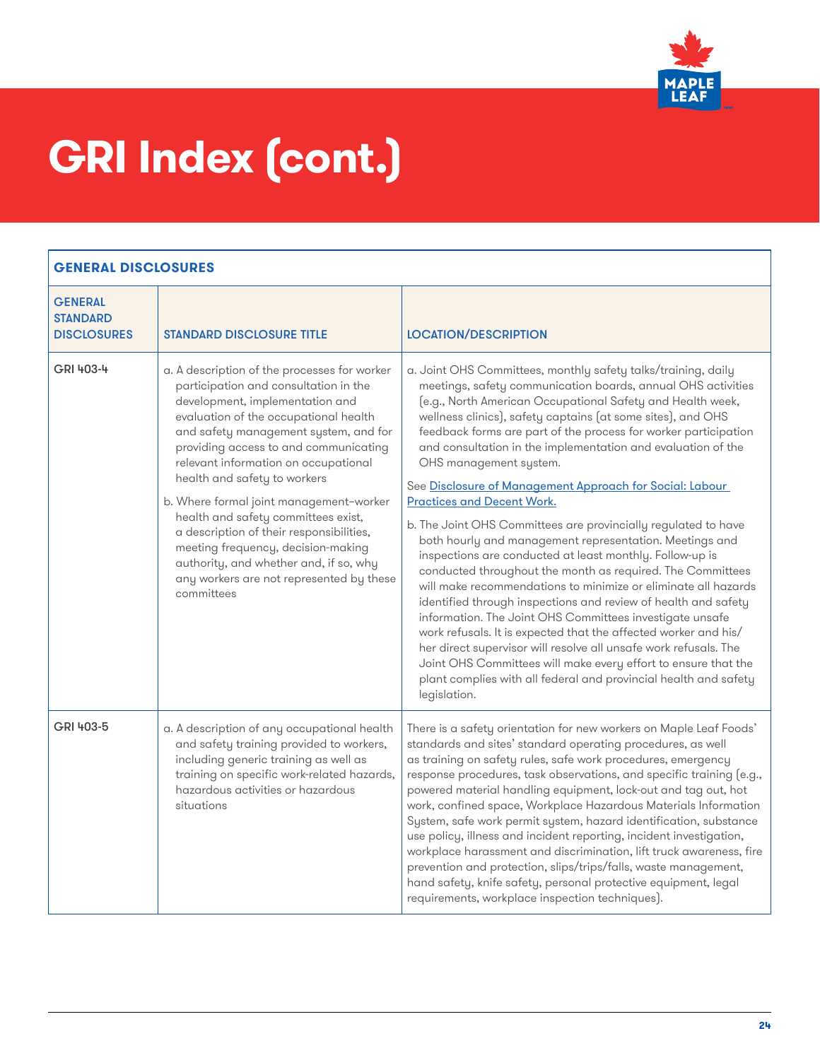

| <b>GENERAL</b><br><b>STANDARD</b> |                                                                                                                                                                                                                                                                                                                                                                                                                                                                                                                                                                                                     |                                                                                                                                                                                                                                                                                                                                                                                                                                                                                                                                                                                                                                                                                                                                                                                                                                                                                                                                                                                                                                                                                                                                                                                                                                                                              |
|-----------------------------------|-----------------------------------------------------------------------------------------------------------------------------------------------------------------------------------------------------------------------------------------------------------------------------------------------------------------------------------------------------------------------------------------------------------------------------------------------------------------------------------------------------------------------------------------------------------------------------------------------------|------------------------------------------------------------------------------------------------------------------------------------------------------------------------------------------------------------------------------------------------------------------------------------------------------------------------------------------------------------------------------------------------------------------------------------------------------------------------------------------------------------------------------------------------------------------------------------------------------------------------------------------------------------------------------------------------------------------------------------------------------------------------------------------------------------------------------------------------------------------------------------------------------------------------------------------------------------------------------------------------------------------------------------------------------------------------------------------------------------------------------------------------------------------------------------------------------------------------------------------------------------------------------|
| <b>DISCLOSURES</b>                | <b>STANDARD DISCLOSURE TITLE</b>                                                                                                                                                                                                                                                                                                                                                                                                                                                                                                                                                                    | <b>LOCATION/DESCRIPTION</b>                                                                                                                                                                                                                                                                                                                                                                                                                                                                                                                                                                                                                                                                                                                                                                                                                                                                                                                                                                                                                                                                                                                                                                                                                                                  |
| GRI 403-4                         | a. A description of the processes for worker<br>participation and consultation in the<br>development, implementation and<br>evaluation of the occupational health<br>and safety management system, and for<br>providing access to and communicating<br>relevant information on occupational<br>health and safety to workers<br>b. Where formal joint management-worker<br>health and safety committees exist,<br>a description of their responsibilities,<br>meeting frequency, decision-making<br>authority, and whether and, if so, why<br>any workers are not represented by these<br>committees | a. Joint OHS Committees, monthly safety talks/training, daily<br>meetings, safety communication boards, annual OHS activities<br>(e.g., North American Occupational Safety and Health week,<br>wellness clinics), safety captains (at some sites), and OHS<br>feedback forms are part of the process for worker participation<br>and consultation in the implementation and evaluation of the<br>OHS management system.<br>See Disclosure of Management Approach for Social: Labour<br><b>Practices and Decent Work.</b><br>b. The Joint OHS Committees are provincially regulated to have<br>both hourly and management representation. Meetings and<br>inspections are conducted at least monthly. Follow-up is<br>conducted throughout the month as required. The Committees<br>will make recommendations to minimize or eliminate all hazards<br>identified through inspections and review of health and safety<br>information. The Joint OHS Committees investigate unsafe<br>work refusals. It is expected that the affected worker and his/<br>her direct supervisor will resolve all unsafe work refusals. The<br>Joint OHS Committees will make every effort to ensure that the<br>plant complies with all federal and provincial health and safety<br>legislation. |
| GRI 403-5                         | a. A description of any occupational health<br>and safety training provided to workers,<br>including generic training as well as<br>training on specific work-related hazards,<br>hazardous activities or hazardous<br>situations                                                                                                                                                                                                                                                                                                                                                                   | There is a safety orientation for new workers on Maple Leaf Foods'<br>standards and sites' standard operating procedures, as well<br>as training on safety rules, safe work procedures, emergency<br>response procedures, task observations, and specific training (e.g.,<br>powered material handling equipment, lock-out and tag out, hot<br>work, confined space, Workplace Hazardous Materials Information<br>System, safe work permit system, hazard identification, substance<br>use policy, illness and incident reporting, incident investigation,<br>workplace harassment and discrimination, lift truck awareness, fire<br>prevention and protection, slips/trips/falls, waste management,<br>hand safety, knife safety, personal protective equipment, legal<br>requirements, workplace inspection techniques).                                                                                                                                                                                                                                                                                                                                                                                                                                                   |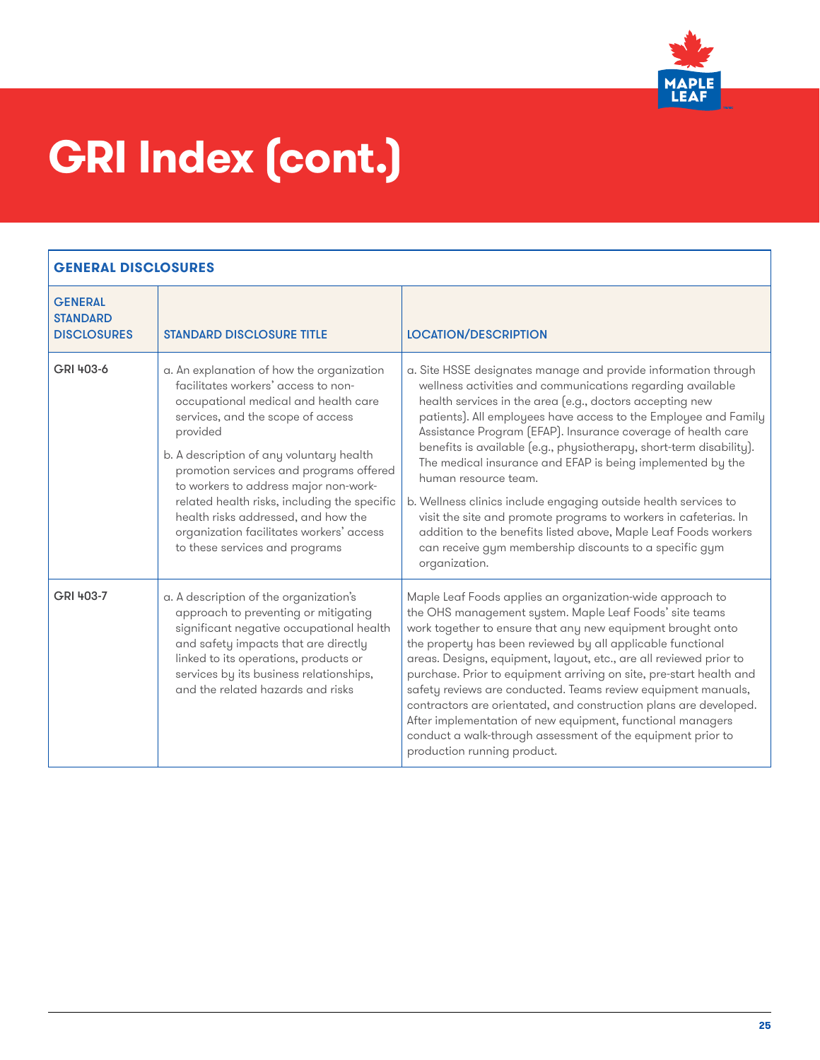

| <b>GENERAL</b><br><b>STANDARD</b><br><b>DISCLOSURES</b> | <b>STANDARD DISCLOSURE TITLE</b>                                                                                                                                                                                                                                                                                                                                                                                                                                               | <b>LOCATION/DESCRIPTION</b>                                                                                                                                                                                                                                                                                                                                                                                                                                                                                                                                                                                                                                                                                                                                                   |
|---------------------------------------------------------|--------------------------------------------------------------------------------------------------------------------------------------------------------------------------------------------------------------------------------------------------------------------------------------------------------------------------------------------------------------------------------------------------------------------------------------------------------------------------------|-------------------------------------------------------------------------------------------------------------------------------------------------------------------------------------------------------------------------------------------------------------------------------------------------------------------------------------------------------------------------------------------------------------------------------------------------------------------------------------------------------------------------------------------------------------------------------------------------------------------------------------------------------------------------------------------------------------------------------------------------------------------------------|
| GRI 403-6                                               | a. An explanation of how the organization<br>facilitates workers' access to non-<br>occupational medical and health care<br>services, and the scope of access<br>provided<br>b. A description of any voluntary health<br>promotion services and programs offered<br>to workers to address major non-work-<br>related health risks, including the specific<br>health risks addressed, and how the<br>organization facilitates workers' access<br>to these services and programs | a. Site HSSE designates manage and provide information through<br>wellness activities and communications regarding available<br>health services in the area (e.g., doctors accepting new<br>patients). All employees have access to the Employee and Family<br>Assistance Program (EFAP). Insurance coverage of health care<br>benefits is available (e.g., physiotherapy, short-term disability).<br>The medical insurance and EFAP is being implemented by the<br>human resource team.<br>b. Wellness clinics include engaging outside health services to<br>visit the site and promote programs to workers in cafeterias. In<br>addition to the benefits listed above, Maple Leaf Foods workers<br>can receive gym membership discounts to a specific gym<br>organization. |
| GRI 403-7                                               | a. A description of the organization's<br>approach to preventing or mitigating<br>significant negative occupational health<br>and safety impacts that are directly<br>linked to its operations, products or<br>services by its business relationships,<br>and the related hazards and risks                                                                                                                                                                                    | Maple Leaf Foods applies an organization-wide approach to<br>the OHS management system. Maple Leaf Foods' site teams<br>work together to ensure that any new equipment brought onto<br>the property has been reviewed by all applicable functional<br>areas. Designs, equipment, layout, etc., are all reviewed prior to<br>purchase. Prior to equipment arriving on site, pre-start health and<br>safety reviews are conducted. Teams review equipment manuals,<br>contractors are orientated, and construction plans are developed.<br>After implementation of new equipment, functional managers<br>conduct a walk-through assessment of the equipment prior to<br>production running product.                                                                             |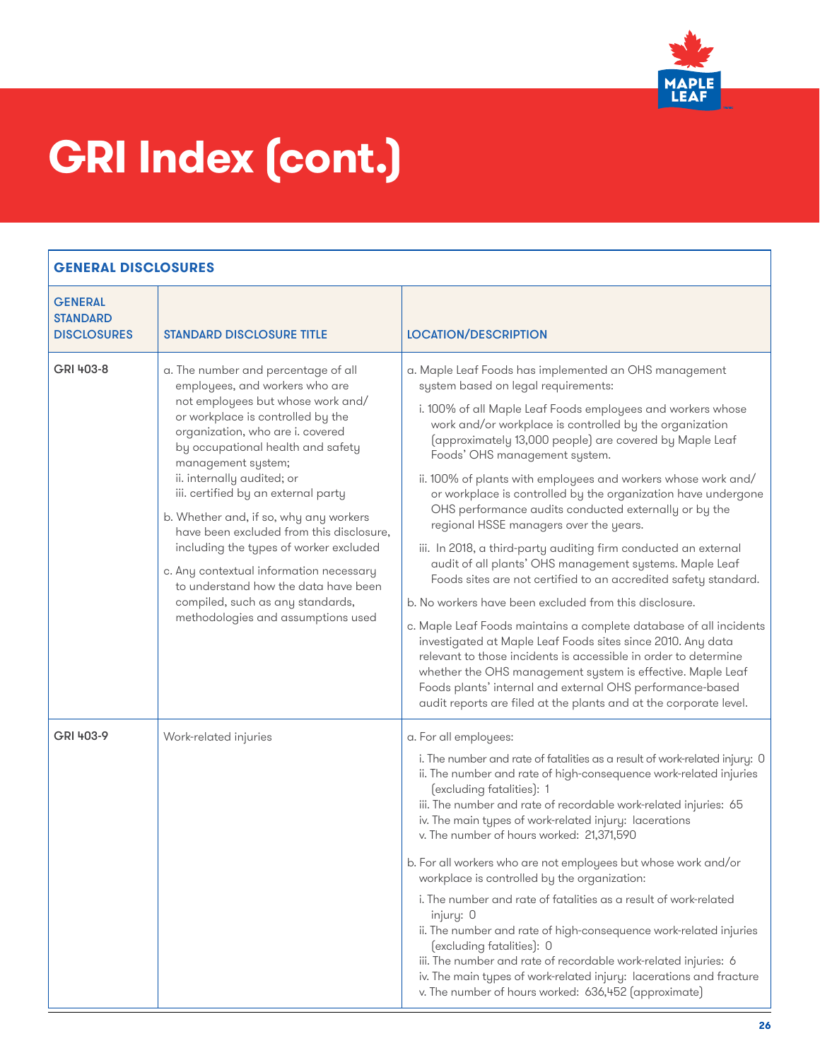

| <b>GENERAL</b><br><b>STANDARD</b><br><b>DISCLOSURES</b> | <b>STANDARD DISCLOSURE TITLE</b>                                                                                                                                                                                                                                                                                                                                                                                                                                                                                                                                                                                 | <b>LOCATION/DESCRIPTION</b>                                                                                                                                                                                                                                                                                                                                                                                                                                                                                                                                                                                                                                                                                                                                                                                                                                                                                                                                                                                                                                                                                                                                                                                                |
|---------------------------------------------------------|------------------------------------------------------------------------------------------------------------------------------------------------------------------------------------------------------------------------------------------------------------------------------------------------------------------------------------------------------------------------------------------------------------------------------------------------------------------------------------------------------------------------------------------------------------------------------------------------------------------|----------------------------------------------------------------------------------------------------------------------------------------------------------------------------------------------------------------------------------------------------------------------------------------------------------------------------------------------------------------------------------------------------------------------------------------------------------------------------------------------------------------------------------------------------------------------------------------------------------------------------------------------------------------------------------------------------------------------------------------------------------------------------------------------------------------------------------------------------------------------------------------------------------------------------------------------------------------------------------------------------------------------------------------------------------------------------------------------------------------------------------------------------------------------------------------------------------------------------|
| GRI 403-8                                               | a. The number and percentage of all<br>employees, and workers who are<br>not employees but whose work and/<br>or workplace is controlled by the<br>organization, who are i. covered<br>by occupational health and safety<br>management system;<br>ii. internally audited; or<br>iii. certified by an external party<br>b. Whether and, if so, why any workers<br>have been excluded from this disclosure,<br>including the types of worker excluded<br>c. Any contextual information necessary<br>to understand how the data have been<br>compiled, such as any standards,<br>methodologies and assumptions used | a. Maple Leaf Foods has implemented an OHS management<br>system based on legal requirements:<br>i. 100% of all Maple Leaf Foods employees and workers whose<br>work and/or workplace is controlled by the organization<br>(approximately 13,000 people) are covered by Maple Leaf<br>Foods' OHS management system.<br>ii. 100% of plants with employees and workers whose work and/<br>or workplace is controlled by the organization have undergone<br>OHS performance audits conducted externally or by the<br>regional HSSE managers over the years.<br>iii. In 2018, a third-party auditing firm conducted an external<br>audit of all plants' OHS management systems. Maple Leaf<br>Foods sites are not certified to an accredited safety standard.<br>b. No workers have been excluded from this disclosure.<br>c. Maple Leaf Foods maintains a complete database of all incidents<br>investigated at Maple Leaf Foods sites since 2010. Any data<br>relevant to those incidents is accessible in order to determine<br>whether the OHS management system is effective. Maple Leaf<br>Foods plants' internal and external OHS performance-based<br>audit reports are filed at the plants and at the corporate level. |
| GRI 403-9                                               | Work-related injuries                                                                                                                                                                                                                                                                                                                                                                                                                                                                                                                                                                                            | a. For all employees:<br>i. The number and rate of fatalities as a result of work-related injury: 0<br>ii. The number and rate of high-consequence work-related injuries<br>(excluding fatalities): 1<br>iii. The number and rate of recordable work-related injuries: 65<br>iv. The main types of work-related injury: lacerations<br>v. The number of hours worked: 21,371,590<br>b. For all workers who are not employees but whose work and/or<br>workplace is controlled by the organization:<br>i. The number and rate of fatalities as a result of work-related<br>injury: 0<br>ii. The number and rate of high-consequence work-related injuries<br>(excluding fatalities): 0<br>iii. The number and rate of recordable work-related injuries: 6<br>iv. The main types of work-related injury: lacerations and fracture<br>v. The number of hours worked: 636,452 (approximate)                                                                                                                                                                                                                                                                                                                                    |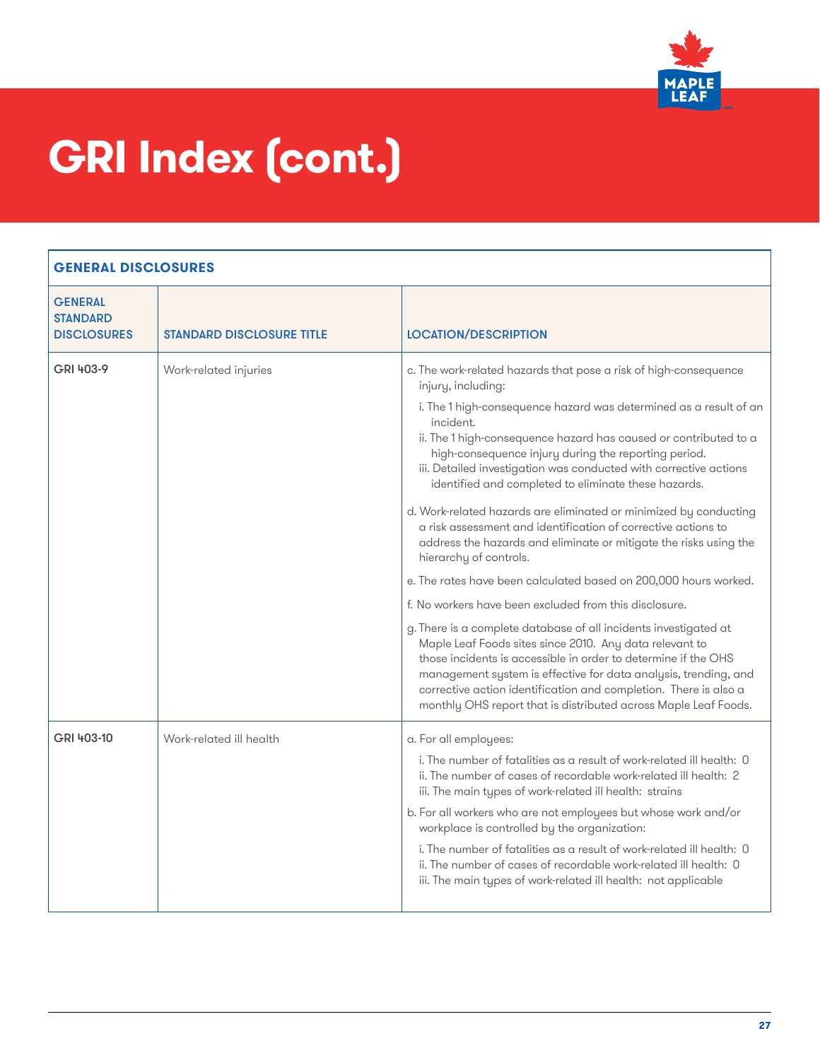

<span id="page-26-0"></span>

| <b>GENERAL</b><br><b>STANDARD</b><br><b>DISCLOSURES</b> | <b><i>STANDARD DISCLOSURE TITLE</i></b> | <b>LOCATION/DESCRIPTION</b>                                                                                                                                                                                                                                                                                                                                                                                                                                                                                                                                                                                                                                                                                                                                                                                                                                                                                                                                                                                                                                                                                                                                                                                     |
|---------------------------------------------------------|-----------------------------------------|-----------------------------------------------------------------------------------------------------------------------------------------------------------------------------------------------------------------------------------------------------------------------------------------------------------------------------------------------------------------------------------------------------------------------------------------------------------------------------------------------------------------------------------------------------------------------------------------------------------------------------------------------------------------------------------------------------------------------------------------------------------------------------------------------------------------------------------------------------------------------------------------------------------------------------------------------------------------------------------------------------------------------------------------------------------------------------------------------------------------------------------------------------------------------------------------------------------------|
| GRI 403-9                                               | Work-related injuries                   | c. The work-related hazards that pose a risk of high-consequence<br>injury, including:<br>i. The 1 high-consequence hazard was determined as a result of an<br>incident.<br>ii. The 1 high-consequence hazard has caused or contributed to a<br>high-consequence injury during the reporting period.<br>iii. Detailed investigation was conducted with corrective actions<br>identified and completed to eliminate these hazards.<br>d. Work-related hazards are eliminated or minimized by conducting<br>a risk assessment and identification of corrective actions to<br>address the hazards and eliminate or mitigate the risks using the<br>hierarchy of controls.<br>e. The rates have been calculated based on 200,000 hours worked.<br>f. No workers have been excluded from this disclosure.<br>g. There is a complete database of all incidents investigated at<br>Maple Leaf Foods sites since 2010. Any data relevant to<br>those incidents is accessible in order to determine if the OHS<br>management system is effective for data analysis, trending, and<br>corrective action identification and completion. There is also a<br>monthly OHS report that is distributed across Maple Leaf Foods. |
| GRI 403-10                                              | Work-related ill health                 | a. For all employees:<br>i. The number of fatalities as a result of work-related ill health: 0<br>ii. The number of cases of recordable work-related ill health: 2<br>iii. The main types of work-related ill health: strains<br>b. For all workers who are not employees but whose work and/or<br>workplace is controlled by the organization:<br>i. The number of fatalities as a result of work-related ill health: 0<br>ii. The number of cases of recordable work-related ill health: 0<br>iii. The main types of work-related ill health: not applicable                                                                                                                                                                                                                                                                                                                                                                                                                                                                                                                                                                                                                                                  |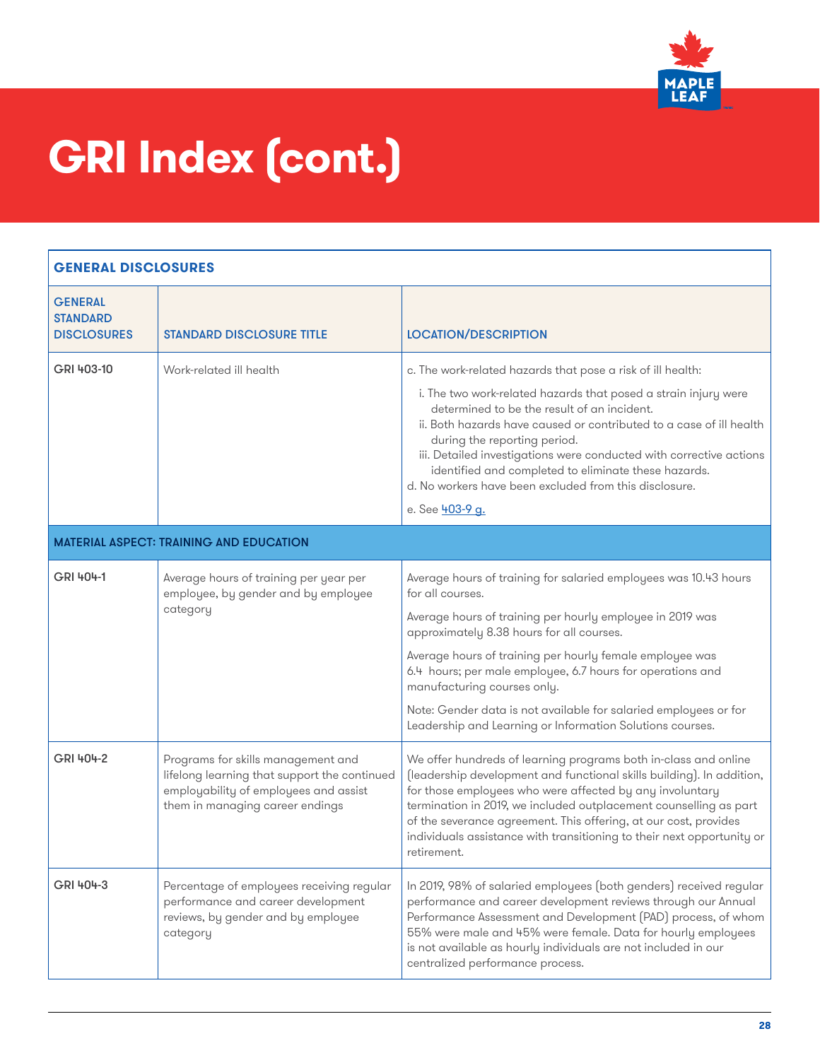

| <b>GENERAL DISCLOSURES</b>                              |                                                                                                                                                                |                                                                                                                                                                                                                                                                                                                                                                                                                                                                                                         |
|---------------------------------------------------------|----------------------------------------------------------------------------------------------------------------------------------------------------------------|---------------------------------------------------------------------------------------------------------------------------------------------------------------------------------------------------------------------------------------------------------------------------------------------------------------------------------------------------------------------------------------------------------------------------------------------------------------------------------------------------------|
| <b>GENERAL</b><br><b>STANDARD</b><br><b>DISCLOSURES</b> | <b>STANDARD DISCLOSURE TITLE</b>                                                                                                                               | <b>LOCATION/DESCRIPTION</b>                                                                                                                                                                                                                                                                                                                                                                                                                                                                             |
| GRI 403-10                                              | Work-related ill health                                                                                                                                        | c. The work-related hazards that pose a risk of ill health:<br>i. The two work-related hazards that posed a strain injury were<br>determined to be the result of an incident.<br>ii. Both hazards have caused or contributed to a case of ill health<br>during the reporting period.<br>iii. Detailed investigations were conducted with corrective actions<br>identified and completed to eliminate these hazards.<br>d. No workers have been excluded from this disclosure.<br>e. See <b>403-9 g.</b> |
|                                                         | <b>MATERIAL ASPECT: TRAINING AND EDUCATION</b>                                                                                                                 |                                                                                                                                                                                                                                                                                                                                                                                                                                                                                                         |
| GRI 404-1                                               | Average hours of training per year per<br>employee, by gender and by employee<br>category                                                                      | Average hours of training for salaried employees was 10.43 hours<br>for all courses.<br>Average hours of training per hourly employee in 2019 was<br>approximately 8.38 hours for all courses.<br>Average hours of training per hourly female employee was<br>6.4 hours; per male employee, 6.7 hours for operations and<br>manufacturing courses only.<br>Note: Gender data is not available for salaried employees or for                                                                             |
| GRI 404-2                                               | Programs for skills management and<br>lifelong learning that support the continued<br>employability of employees and assist<br>them in managing career endings | Leadership and Learning or Information Solutions courses.<br>We offer hundreds of learning programs both in-class and online<br>(leadership development and functional skills building). In addition,<br>for those employees who were affected by any involuntary<br>termination in 2019, we included outplacement counselling as part<br>of the severance agreement. This offering, at our cost, provides<br>individuals assistance with transitioning to their next opportunity or<br>retirement.     |
| GRI 404-3                                               | Percentage of employees receiving regular<br>performance and career development<br>reviews, by gender and by employee<br>category                              | In 2019, 98% of salaried employees (both genders) received regular<br>performance and career development reviews through our Annual<br>Performance Assessment and Development (PAD) process, of whom<br>55% were male and 45% were female. Data for hourly employees<br>is not available as hourly individuals are not included in our<br>centralized performance process.                                                                                                                              |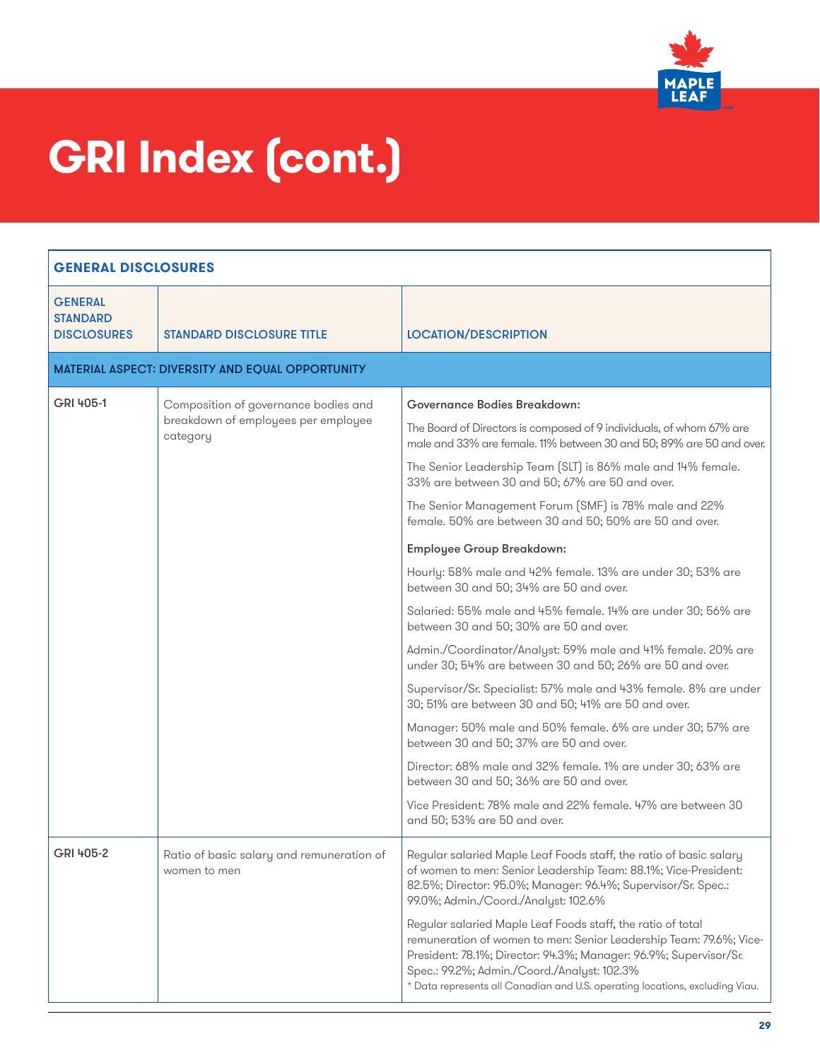

| <b>GENERAL DISCLOSURES</b>                              |                                                                                         |                                                                                                                                                                                                                                                                                                                                                                                                                                                                                                                                                                                                                                                                                                                                                                                                                                                                                                                                                                                                                                                                                                                                                                                                                              |
|---------------------------------------------------------|-----------------------------------------------------------------------------------------|------------------------------------------------------------------------------------------------------------------------------------------------------------------------------------------------------------------------------------------------------------------------------------------------------------------------------------------------------------------------------------------------------------------------------------------------------------------------------------------------------------------------------------------------------------------------------------------------------------------------------------------------------------------------------------------------------------------------------------------------------------------------------------------------------------------------------------------------------------------------------------------------------------------------------------------------------------------------------------------------------------------------------------------------------------------------------------------------------------------------------------------------------------------------------------------------------------------------------|
| <b>GENERAL</b><br><b>STANDARD</b><br><b>DISCLOSURES</b> | <b>STANDARD DISCLOSURE TITLE</b>                                                        | <b>LOCATION/DESCRIPTION</b>                                                                                                                                                                                                                                                                                                                                                                                                                                                                                                                                                                                                                                                                                                                                                                                                                                                                                                                                                                                                                                                                                                                                                                                                  |
|                                                         | <b>MATERIAL ASPECT: DIVERSITY AND EQUAL OPPORTUNITY</b>                                 |                                                                                                                                                                                                                                                                                                                                                                                                                                                                                                                                                                                                                                                                                                                                                                                                                                                                                                                                                                                                                                                                                                                                                                                                                              |
| GRI 405-1                                               | Composition of governance bodies and<br>breakdown of employees per employee<br>category | <b>Governance Bodies Breakdown:</b><br>The Board of Directors is composed of 9 individuals, of whom 67% are<br>male and 33% are female. 11% between 30 and 50; 89% are 50 and over.<br>The Senior Leadership Team (SLT) is 86% male and 14% female.<br>33% are between 30 and 50; 67% are 50 and over.<br>The Senior Management Forum (SMF) is 78% male and 22%<br>female. 50% are between 30 and 50; 50% are 50 and over.<br><b>Employee Group Breakdown:</b><br>Hourly: 58% male and 42% female. 13% are under 30; 53% are<br>between 30 and 50; 34% are 50 and over.<br>Salaried: 55% male and 45% female. 14% are under 30; 56% are<br>between 30 and 50; 30% are 50 and over.<br>Admin./Coordinator/Analyst: 59% male and 41% female. 20% are<br>under 30; 54% are between 30 and 50; 26% are 50 and over.<br>Supervisor/Sr. Specialist: 57% male and 43% female. 8% are under<br>30; 51% are between 30 and 50; 41% are 50 and over.<br>Manager: 50% male and 50% female. 6% are under 30; 57% are<br>between 30 and 50; 37% are 50 and over.<br>Director: 68% male and 32% female. 1% are under 30; 63% are<br>between 30 and 50; 36% are 50 and over.<br>Vice President: 78% male and 22% female. 47% are between 30 |
| GRI 405-2                                               | Ratio of basic salary and remuneration of<br>women to men                               | and 50; 53% are 50 and over.<br>Regular salaried Maple Leaf Foods staff, the ratio of basic salary<br>of women to men: Senior Leadership Team: 88.1%; Vice-President:<br>82.5%; Director: 95.0%; Manager: 96.4%; Supervisor/Sr. Spec.:<br>99.0%; Admin./Coord./Analyst: 102.6%<br>Regular salaried Maple Leaf Foods staff, the ratio of total<br>remuneration of women to men: Senior Leadership Team: 79.6%; Vice-<br>President: 78.1%; Director: 94.3%; Manager: 96.9%; Supervisor/Sr.<br>Spec.: 99.2%; Admin./Coord./Analyst: 102.3%<br>* Data represents all Canadian and U.S. operating locations, excluding Viau.                                                                                                                                                                                                                                                                                                                                                                                                                                                                                                                                                                                                      |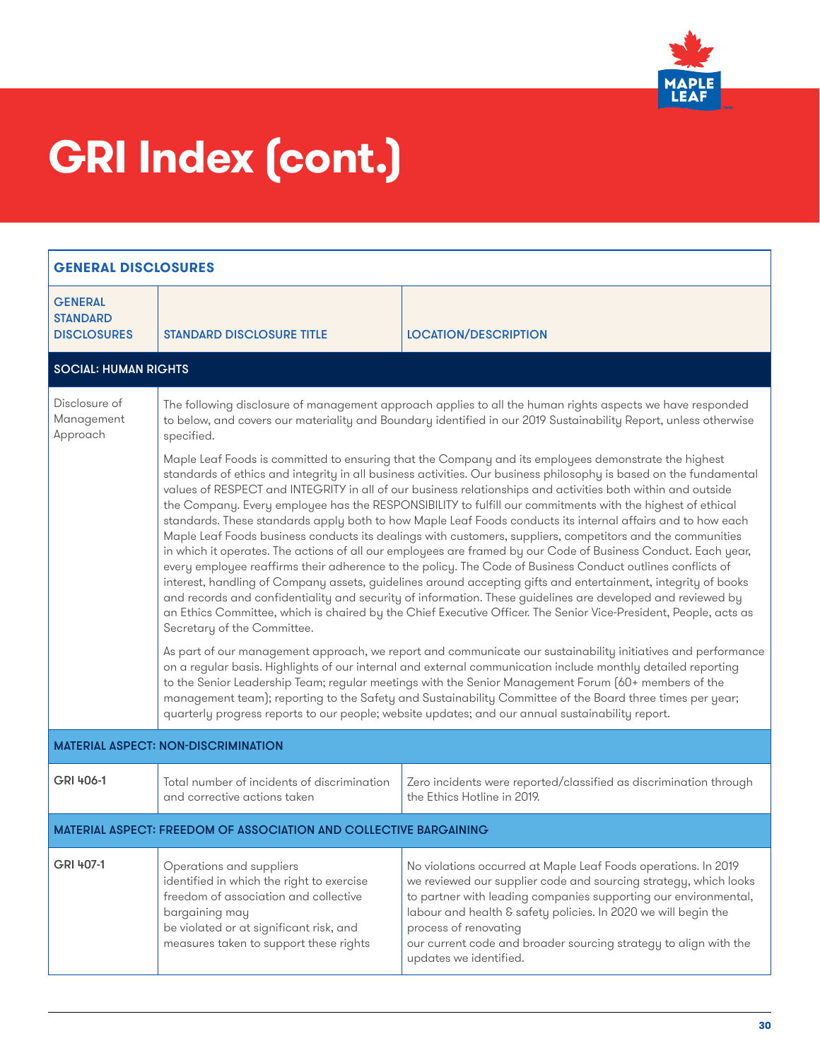

| <b>GENERAL DISCLOSURES</b>                              |                                                                                                                                                                                                                                                                                                                                                                                                                                                                                                                                                       |                                                                                                                                                                                                                                                                                                                                                                                                                                                                                                                                                                                                                                                                                                                                                                                                                                                                                                                                                                                                                                                                                                                                                                                                                                                                       |  |
|---------------------------------------------------------|-------------------------------------------------------------------------------------------------------------------------------------------------------------------------------------------------------------------------------------------------------------------------------------------------------------------------------------------------------------------------------------------------------------------------------------------------------------------------------------------------------------------------------------------------------|-----------------------------------------------------------------------------------------------------------------------------------------------------------------------------------------------------------------------------------------------------------------------------------------------------------------------------------------------------------------------------------------------------------------------------------------------------------------------------------------------------------------------------------------------------------------------------------------------------------------------------------------------------------------------------------------------------------------------------------------------------------------------------------------------------------------------------------------------------------------------------------------------------------------------------------------------------------------------------------------------------------------------------------------------------------------------------------------------------------------------------------------------------------------------------------------------------------------------------------------------------------------------|--|
| <b>GENERAL</b><br><b>STANDARD</b><br><b>DISCLOSURES</b> | <b>STANDARD DISCLOSURE TITLE</b>                                                                                                                                                                                                                                                                                                                                                                                                                                                                                                                      | <b>LOCATION/DESCRIPTION</b>                                                                                                                                                                                                                                                                                                                                                                                                                                                                                                                                                                                                                                                                                                                                                                                                                                                                                                                                                                                                                                                                                                                                                                                                                                           |  |
| <b>SOCIAL: HUMAN RIGHTS</b>                             |                                                                                                                                                                                                                                                                                                                                                                                                                                                                                                                                                       |                                                                                                                                                                                                                                                                                                                                                                                                                                                                                                                                                                                                                                                                                                                                                                                                                                                                                                                                                                                                                                                                                                                                                                                                                                                                       |  |
| Disclosure of<br>Management<br>Approach                 | specified.                                                                                                                                                                                                                                                                                                                                                                                                                                                                                                                                            | The following disclosure of management approach applies to all the human rights aspects we have responded<br>to below, and covers our materiality and Boundary identified in our 2019 Sustainability Report, unless otherwise                                                                                                                                                                                                                                                                                                                                                                                                                                                                                                                                                                                                                                                                                                                                                                                                                                                                                                                                                                                                                                         |  |
|                                                         | Secretary of the Committee.                                                                                                                                                                                                                                                                                                                                                                                                                                                                                                                           | Maple Leaf Foods is committed to ensuring that the Company and its employees demonstrate the highest<br>standards of ethics and integrity in all business activities. Our business philosophy is based on the fundamental<br>values of RESPECT and INTEGRITY in all of our business relationships and activities both within and outside<br>the Company. Every employee has the RESPONSIBILITY to fulfill our commitments with the highest of ethical<br>standards. These standards apply both to how Maple Leaf Foods conducts its internal affairs and to how each<br>Maple Leaf Foods business conducts its dealings with customers, suppliers, competitors and the communities<br>in which it operates. The actions of all our employees are framed by our Code of Business Conduct. Each year,<br>every employee reaffirms their adherence to the policy. The Code of Business Conduct outlines conflicts of<br>interest, handling of Company assets, guidelines around accepting gifts and entertainment, integrity of books<br>and records and confidentiality and security of information. These guidelines are developed and reviewed by<br>an Ethics Committee, which is chaired by the Chief Executive Officer. The Senior Vice-President, People, acts as |  |
|                                                         | As part of our management approach, we report and communicate our sustainability initiatives and performance<br>on a regular basis. Highlights of our internal and external communication include monthly detailed reporting<br>to the Senior Leadership Team; regular meetings with the Senior Management Forum (60+ members of the<br>management team); reporting to the Safety and Sustainability Committee of the Board three times per year;<br>quarterly progress reports to our people; website updates; and our annual sustainability report. |                                                                                                                                                                                                                                                                                                                                                                                                                                                                                                                                                                                                                                                                                                                                                                                                                                                                                                                                                                                                                                                                                                                                                                                                                                                                       |  |
| <b>MATERIAL ASPECT: NON-DISCRIMINATION</b>              |                                                                                                                                                                                                                                                                                                                                                                                                                                                                                                                                                       |                                                                                                                                                                                                                                                                                                                                                                                                                                                                                                                                                                                                                                                                                                                                                                                                                                                                                                                                                                                                                                                                                                                                                                                                                                                                       |  |
| GRI 406-1                                               | Total number of incidents of discrimination<br>and corrective actions taken                                                                                                                                                                                                                                                                                                                                                                                                                                                                           | Zero incidents were reported/classified as discrimination through<br>the Ethics Hotline in 2019.                                                                                                                                                                                                                                                                                                                                                                                                                                                                                                                                                                                                                                                                                                                                                                                                                                                                                                                                                                                                                                                                                                                                                                      |  |
|                                                         | <b>MATERIAL ASPECT: FREEDOM OF ASSOCIATION AND COLLECTIVE BARGAINING</b>                                                                                                                                                                                                                                                                                                                                                                                                                                                                              |                                                                                                                                                                                                                                                                                                                                                                                                                                                                                                                                                                                                                                                                                                                                                                                                                                                                                                                                                                                                                                                                                                                                                                                                                                                                       |  |
| GRI 407-1                                               | Operations and suppliers<br>identified in which the right to exercise<br>freedom of association and collective<br>bargaining may<br>be violated or at significant risk, and<br>measures taken to support these rights                                                                                                                                                                                                                                                                                                                                 | No violations occurred at Maple Leaf Foods operations. In 2019<br>we reviewed our supplier code and sourcing strategy, which looks<br>to partner with leading companies supporting our environmental,<br>labour and health & safety policies. In 2020 we will begin the<br>process of renovating<br>our current code and broader sourcing strategy to align with the<br>updates we identified.                                                                                                                                                                                                                                                                                                                                                                                                                                                                                                                                                                                                                                                                                                                                                                                                                                                                        |  |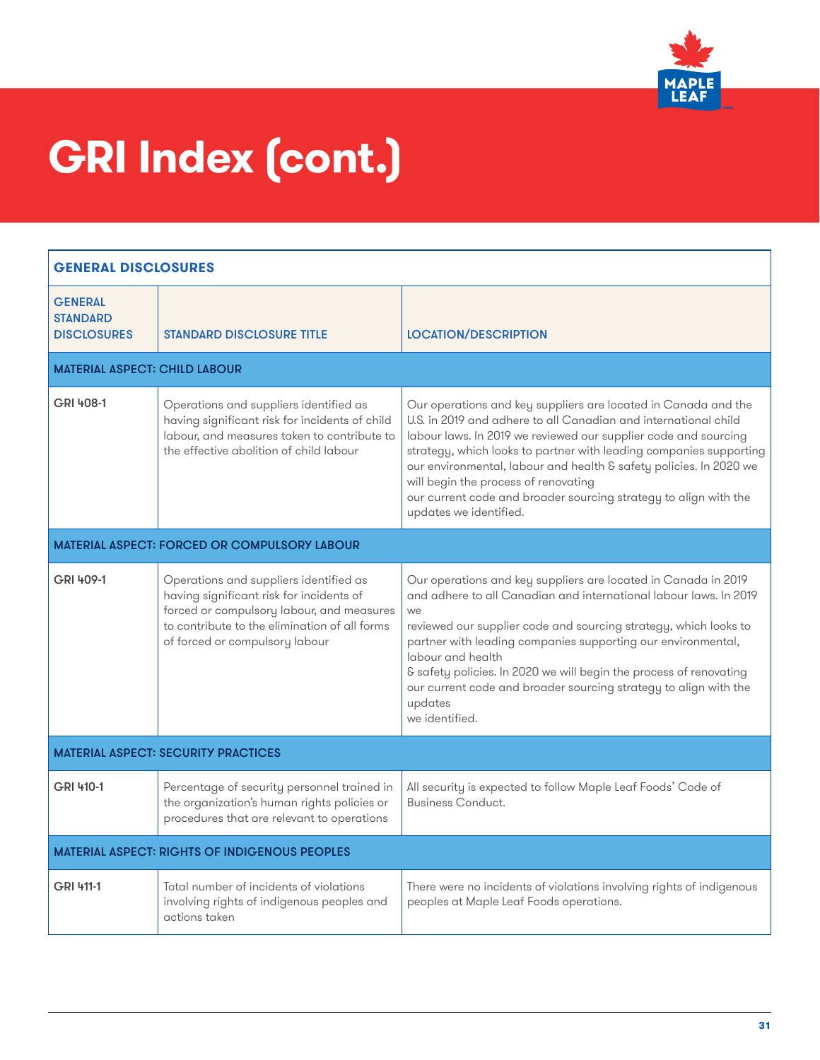

| <b>GENERAL DISCLOSURES</b>                              |                                                                                                                                                                                                                    |                                                                                                                                                                                                                                                                                                                                                                                                                                                                                        |
|---------------------------------------------------------|--------------------------------------------------------------------------------------------------------------------------------------------------------------------------------------------------------------------|----------------------------------------------------------------------------------------------------------------------------------------------------------------------------------------------------------------------------------------------------------------------------------------------------------------------------------------------------------------------------------------------------------------------------------------------------------------------------------------|
| <b>GENERAL</b><br><b>STANDARD</b><br><b>DISCLOSURES</b> | <b>STANDARD DISCLOSURE TITLE</b>                                                                                                                                                                                   | <b>LOCATION/DESCRIPTION</b>                                                                                                                                                                                                                                                                                                                                                                                                                                                            |
| <b>MATERIAL ASPECT: CHILD LABOUR</b>                    |                                                                                                                                                                                                                    |                                                                                                                                                                                                                                                                                                                                                                                                                                                                                        |
| GRI 408-1                                               | Operations and suppliers identified as<br>having significant risk for incidents of child<br>labour, and measures taken to contribute to<br>the effective abolition of child labour                                 | Our operations and key suppliers are located in Canada and the<br>U.S. in 2019 and adhere to all Canadian and international child<br>labour laws. In 2019 we reviewed our supplier code and sourcing<br>strategy, which looks to partner with leading companies supporting<br>our environmental, labour and health & safety policies. In 2020 we<br>will begin the process of renovating<br>our current code and broader sourcing strategy to align with the<br>updates we identified. |
|                                                         | <b>MATERIAL ASPECT: FORCED OR COMPULSORY LABOUR</b>                                                                                                                                                                |                                                                                                                                                                                                                                                                                                                                                                                                                                                                                        |
| GRI 409-1                                               | Operations and suppliers identified as<br>having significant risk for incidents of<br>forced or compulsory labour, and measures<br>to contribute to the elimination of all forms<br>of forced or compulsory labour | Our operations and key suppliers are located in Canada in 2019<br>and adhere to all Canadian and international labour laws. In 2019<br>we<br>reviewed our supplier code and sourcing strategy, which looks to<br>partner with leading companies supporting our environmental,<br>labour and health<br>& safety policies. In 2020 we will begin the process of renovating<br>our current code and broader sourcing strategy to align with the<br>updates<br>we identified.              |
|                                                         | <b>MATERIAL ASPECT: SECURITY PRACTICES</b>                                                                                                                                                                         |                                                                                                                                                                                                                                                                                                                                                                                                                                                                                        |
| GRI 410-1                                               | Percentage of security personnel trained in<br>the organization's human rights policies or<br>procedures that are relevant to operations                                                                           | All security is expected to follow Maple Leaf Foods' Code of<br><b>Business Conduct.</b>                                                                                                                                                                                                                                                                                                                                                                                               |
| <b>MATERIAL ASPECT: RIGHTS OF INDIGENOUS PEOPLES</b>    |                                                                                                                                                                                                                    |                                                                                                                                                                                                                                                                                                                                                                                                                                                                                        |
| GRI 411-1                                               | Total number of incidents of violations<br>involving rights of indigenous peoples and<br>actions taken                                                                                                             | There were no incidents of violations involving rights of indigenous<br>peoples at Maple Leaf Foods operations.                                                                                                                                                                                                                                                                                                                                                                        |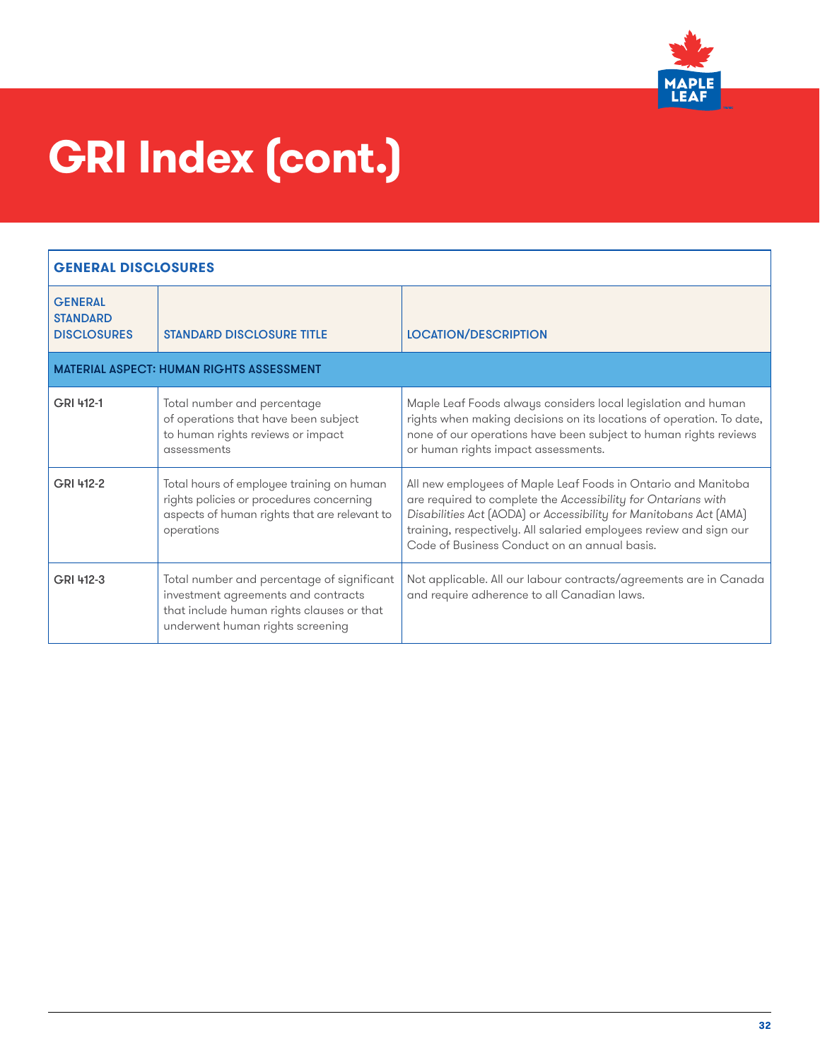

| <b>GENERAL DISCLOSURES</b>                              |                                                                                                                                                                    |                                                                                                                                                                                                                                                                                                                           |
|---------------------------------------------------------|--------------------------------------------------------------------------------------------------------------------------------------------------------------------|---------------------------------------------------------------------------------------------------------------------------------------------------------------------------------------------------------------------------------------------------------------------------------------------------------------------------|
| <b>GENERAL</b><br><b>STANDARD</b><br><b>DISCLOSURES</b> | <b>STANDARD DISCLOSURE TITLE</b>                                                                                                                                   | <b>LOCATION/DESCRIPTION</b>                                                                                                                                                                                                                                                                                               |
|                                                         | <b>MATERIAL ASPECT: HUMAN RIGHTS ASSESSMENT</b>                                                                                                                    |                                                                                                                                                                                                                                                                                                                           |
| GRI 412-1                                               | Total number and percentage<br>of operations that have been subject<br>to human rights reviews or impact<br>assessments                                            | Maple Leaf Foods always considers local legislation and human<br>rights when making decisions on its locations of operation. To date,<br>none of our operations have been subject to human rights reviews<br>or human rights impact assessments.                                                                          |
| GRI 412-2                                               | Total hours of employee training on human<br>rights policies or procedures concerning<br>aspects of human rights that are relevant to<br>operations                | All new employees of Maple Leaf Foods in Ontario and Manitoba<br>are required to complete the Accessibility for Ontarians with<br>Disabilities Act (AODA) or Accessibility for Manitobans Act (AMA)<br>training, respectively. All salaried employees review and sign our<br>Code of Business Conduct on an annual basis. |
| GRI 412-3                                               | Total number and percentage of significant<br>investment agreements and contracts<br>that include human rights clauses or that<br>underwent human rights screening | Not applicable. All our labour contracts/agreements are in Canada<br>and require adherence to all Canadian laws.                                                                                                                                                                                                          |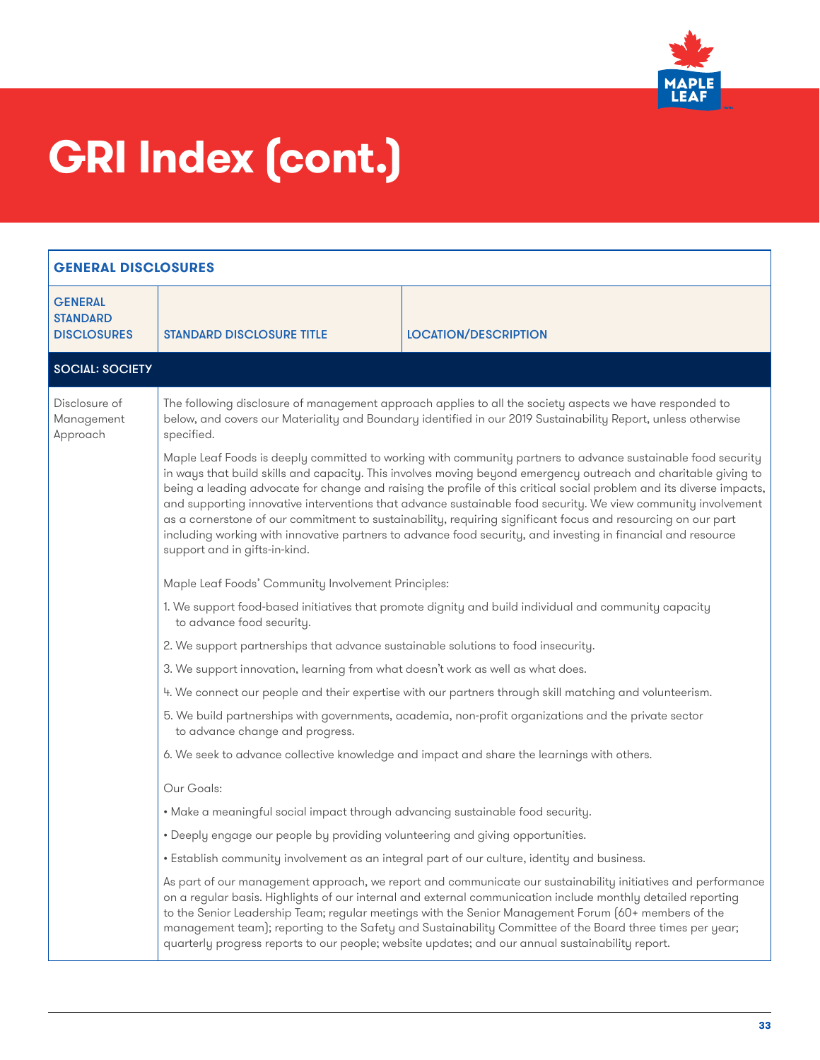

| <b>GENERAL DISCLOSURES</b>                              |                                                                                   |                                                                                                                                                                                                                                                                                                                                                                                                                                                                                                                                                                                                                                                                                                          |
|---------------------------------------------------------|-----------------------------------------------------------------------------------|----------------------------------------------------------------------------------------------------------------------------------------------------------------------------------------------------------------------------------------------------------------------------------------------------------------------------------------------------------------------------------------------------------------------------------------------------------------------------------------------------------------------------------------------------------------------------------------------------------------------------------------------------------------------------------------------------------|
| <b>GENERAL</b><br><b>STANDARD</b><br><b>DISCLOSURES</b> | <b><i>STANDARD DISCLOSURE TITLE</i></b>                                           | <b>LOCATION/DESCRIPTION</b>                                                                                                                                                                                                                                                                                                                                                                                                                                                                                                                                                                                                                                                                              |
| <b>SOCIAL: SOCIETY</b>                                  |                                                                                   |                                                                                                                                                                                                                                                                                                                                                                                                                                                                                                                                                                                                                                                                                                          |
| Disclosure of<br>Management<br>Approach                 | specified.                                                                        | The following disclosure of management approach applies to all the society aspects we have responded to<br>below, and covers our Materiality and Boundary identified in our 2019 Sustainability Report, unless otherwise                                                                                                                                                                                                                                                                                                                                                                                                                                                                                 |
|                                                         | support and in gifts-in-kind.                                                     | Maple Leaf Foods is deeply committed to working with community partners to advance sustainable food security<br>in ways that build skills and capacity. This involves moving beyond emergency outreach and charitable giving to<br>being a leading advocate for change and raising the profile of this critical social problem and its diverse impacts,<br>and supporting innovative interventions that advance sustainable food security. We view community involvement<br>as a cornerstone of our commitment to sustainability, requiring significant focus and resourcing on our part<br>including working with innovative partners to advance food security, and investing in financial and resource |
|                                                         | Maple Leaf Foods' Community Involvement Principles:                               |                                                                                                                                                                                                                                                                                                                                                                                                                                                                                                                                                                                                                                                                                                          |
|                                                         | to advance food security.                                                         | 1. We support food-based initiatives that promote dignity and build individual and community capacity                                                                                                                                                                                                                                                                                                                                                                                                                                                                                                                                                                                                    |
|                                                         | 2. We support partnerships that advance sustainable solutions to food insecurity. |                                                                                                                                                                                                                                                                                                                                                                                                                                                                                                                                                                                                                                                                                                          |
|                                                         | 3. We support innovation, learning from what doesn't work as well as what does.   |                                                                                                                                                                                                                                                                                                                                                                                                                                                                                                                                                                                                                                                                                                          |
|                                                         |                                                                                   | 4. We connect our people and their expertise with our partners through skill matching and volunteerism.                                                                                                                                                                                                                                                                                                                                                                                                                                                                                                                                                                                                  |
|                                                         | to advance change and progress.                                                   | 5. We build partnerships with governments, academia, non-profit organizations and the private sector                                                                                                                                                                                                                                                                                                                                                                                                                                                                                                                                                                                                     |
|                                                         |                                                                                   | 6. We seek to advance collective knowledge and impact and share the learnings with others.                                                                                                                                                                                                                                                                                                                                                                                                                                                                                                                                                                                                               |
|                                                         | Our Goals:                                                                        |                                                                                                                                                                                                                                                                                                                                                                                                                                                                                                                                                                                                                                                                                                          |
|                                                         | . Make a meaningful social impact through advancing sustainable food security.    |                                                                                                                                                                                                                                                                                                                                                                                                                                                                                                                                                                                                                                                                                                          |
|                                                         | • Deeply engage our people by providing volunteering and giving opportunities.    |                                                                                                                                                                                                                                                                                                                                                                                                                                                                                                                                                                                                                                                                                                          |
|                                                         |                                                                                   | · Establish community involvement as an integral part of our culture, identity and business.                                                                                                                                                                                                                                                                                                                                                                                                                                                                                                                                                                                                             |
|                                                         |                                                                                   | As part of our management approach, we report and communicate our sustainability initiatives and performance<br>on a regular basis. Highlights of our internal and external communication include monthly detailed reporting<br>to the Senior Leadership Team; regular meetings with the Senior Management Forum (60+ members of the<br>management team); reporting to the Safety and Sustainability Committee of the Board three times per year;<br>quarterly progress reports to our people; website updates; and our annual sustainability report.                                                                                                                                                    |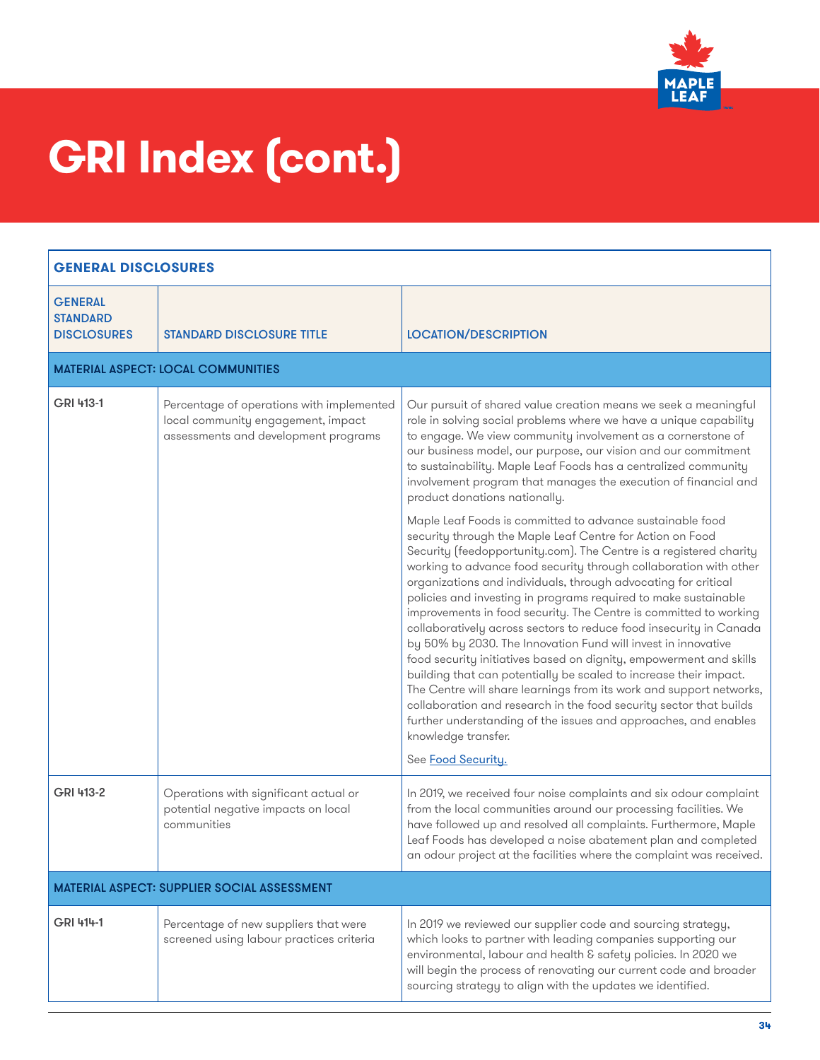

| <b>GENERAL DISCLOSURES</b>                              |                                                                                                                         |                                                                                                                                                                                                                                                                                                                                                                                                                                                                                                                                                                                                                                                                                                                                                                                                                                                                                                                                                                                                                            |
|---------------------------------------------------------|-------------------------------------------------------------------------------------------------------------------------|----------------------------------------------------------------------------------------------------------------------------------------------------------------------------------------------------------------------------------------------------------------------------------------------------------------------------------------------------------------------------------------------------------------------------------------------------------------------------------------------------------------------------------------------------------------------------------------------------------------------------------------------------------------------------------------------------------------------------------------------------------------------------------------------------------------------------------------------------------------------------------------------------------------------------------------------------------------------------------------------------------------------------|
| <b>GENERAL</b><br><b>STANDARD</b><br><b>DISCLOSURES</b> | <b>STANDARD DISCLOSURE TITLE</b>                                                                                        | <b>LOCATION/DESCRIPTION</b>                                                                                                                                                                                                                                                                                                                                                                                                                                                                                                                                                                                                                                                                                                                                                                                                                                                                                                                                                                                                |
|                                                         | <b>MATERIAL ASPECT: LOCAL COMMUNITIES</b>                                                                               |                                                                                                                                                                                                                                                                                                                                                                                                                                                                                                                                                                                                                                                                                                                                                                                                                                                                                                                                                                                                                            |
| GRI 413-1                                               | Percentage of operations with implemented<br>local community engagement, impact<br>assessments and development programs | Our pursuit of shared value creation means we seek a meaningful<br>role in solving social problems where we have a unique capability<br>to engage. We view community involvement as a cornerstone of<br>our business model, our purpose, our vision and our commitment<br>to sustainability. Maple Leaf Foods has a centralized community<br>involvement program that manages the execution of financial and<br>product donations nationally.                                                                                                                                                                                                                                                                                                                                                                                                                                                                                                                                                                              |
|                                                         |                                                                                                                         | Maple Leaf Foods is committed to advance sustainable food<br>security through the Maple Leaf Centre for Action on Food<br>Security (feedopportunity.com). The Centre is a registered charity<br>working to advance food security through collaboration with other<br>organizations and individuals, through advocating for critical<br>policies and investing in programs required to make sustainable<br>improvements in food security. The Centre is committed to working<br>collaboratively across sectors to reduce food insecurity in Canada<br>by 50% by 2030. The Innovation Fund will invest in innovative<br>food security initiatives based on dignity, empowerment and skills<br>building that can potentially be scaled to increase their impact.<br>The Centre will share learnings from its work and support networks,<br>collaboration and research in the food security sector that builds<br>further understanding of the issues and approaches, and enables<br>knowledge transfer.<br>See Food Security. |
| GRI 413-2                                               | Operations with significant actual or<br>potential negative impacts on local<br>communities                             | In 2019, we received four noise complaints and six odour complaint<br>from the local communities around our processing facilities. We<br>have followed up and resolved all complaints. Furthermore, Maple<br>Leaf Foods has developed a noise abatement plan and completed<br>an odour project at the facilities where the complaint was received.                                                                                                                                                                                                                                                                                                                                                                                                                                                                                                                                                                                                                                                                         |
|                                                         | <b>MATERIAL ASPECT: SUPPLIER SOCIAL ASSESSMENT</b>                                                                      |                                                                                                                                                                                                                                                                                                                                                                                                                                                                                                                                                                                                                                                                                                                                                                                                                                                                                                                                                                                                                            |
| GRI 414-1                                               | Percentage of new suppliers that were<br>screened using labour practices criteria                                       | In 2019 we reviewed our supplier code and sourcing strategy,<br>which looks to partner with leading companies supporting our<br>environmental, labour and health & safety policies. In 2020 we<br>will begin the process of renovating our current code and broader<br>sourcing strategy to align with the updates we identified.                                                                                                                                                                                                                                                                                                                                                                                                                                                                                                                                                                                                                                                                                          |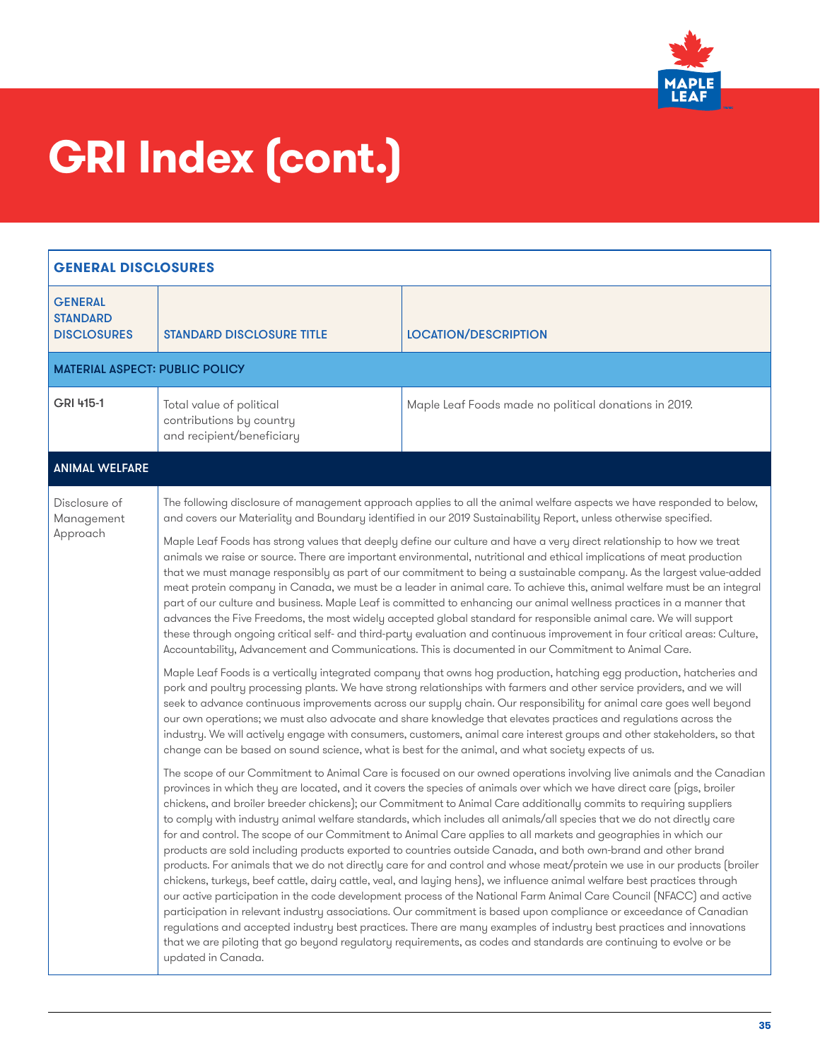

| <b>GENERAL DISCLOSURES</b>                              |                                                                                   |                                                                                                                                                                                                                                                                                                                                                                                                                                                                                                                                                                                                                                                                                                                                                                                                                                                                                                                                                                                                                                                                                                                                                                                                                                                                                                                                                                                                                                                                                                                                                                                                                                                                                                                                                                                                                                                                                                                                                                                                                                                                                                                                                                                                                                                                                                                                                                                                                                                                                                                                                                                                                                                                                                                                                                                                                                                                                                                                                                                                                                                                                                                                                                                                                                                                                                                                                                                                                                                                    |
|---------------------------------------------------------|-----------------------------------------------------------------------------------|--------------------------------------------------------------------------------------------------------------------------------------------------------------------------------------------------------------------------------------------------------------------------------------------------------------------------------------------------------------------------------------------------------------------------------------------------------------------------------------------------------------------------------------------------------------------------------------------------------------------------------------------------------------------------------------------------------------------------------------------------------------------------------------------------------------------------------------------------------------------------------------------------------------------------------------------------------------------------------------------------------------------------------------------------------------------------------------------------------------------------------------------------------------------------------------------------------------------------------------------------------------------------------------------------------------------------------------------------------------------------------------------------------------------------------------------------------------------------------------------------------------------------------------------------------------------------------------------------------------------------------------------------------------------------------------------------------------------------------------------------------------------------------------------------------------------------------------------------------------------------------------------------------------------------------------------------------------------------------------------------------------------------------------------------------------------------------------------------------------------------------------------------------------------------------------------------------------------------------------------------------------------------------------------------------------------------------------------------------------------------------------------------------------------------------------------------------------------------------------------------------------------------------------------------------------------------------------------------------------------------------------------------------------------------------------------------------------------------------------------------------------------------------------------------------------------------------------------------------------------------------------------------------------------------------------------------------------------------------------------------------------------------------------------------------------------------------------------------------------------------------------------------------------------------------------------------------------------------------------------------------------------------------------------------------------------------------------------------------------------------------------------------------------------------------------------------------------------|
| <b>GENERAL</b><br><b>STANDARD</b><br><b>DISCLOSURES</b> | <b>STANDARD DISCLOSURE TITLE</b>                                                  | <b>LOCATION/DESCRIPTION</b>                                                                                                                                                                                                                                                                                                                                                                                                                                                                                                                                                                                                                                                                                                                                                                                                                                                                                                                                                                                                                                                                                                                                                                                                                                                                                                                                                                                                                                                                                                                                                                                                                                                                                                                                                                                                                                                                                                                                                                                                                                                                                                                                                                                                                                                                                                                                                                                                                                                                                                                                                                                                                                                                                                                                                                                                                                                                                                                                                                                                                                                                                                                                                                                                                                                                                                                                                                                                                                        |
| <b>MATERIAL ASPECT: PUBLIC POLICY</b>                   |                                                                                   |                                                                                                                                                                                                                                                                                                                                                                                                                                                                                                                                                                                                                                                                                                                                                                                                                                                                                                                                                                                                                                                                                                                                                                                                                                                                                                                                                                                                                                                                                                                                                                                                                                                                                                                                                                                                                                                                                                                                                                                                                                                                                                                                                                                                                                                                                                                                                                                                                                                                                                                                                                                                                                                                                                                                                                                                                                                                                                                                                                                                                                                                                                                                                                                                                                                                                                                                                                                                                                                                    |
| GRI 415-1                                               | Total value of political<br>contributions by country<br>and recipient/beneficiary | Maple Leaf Foods made no political donations in 2019.                                                                                                                                                                                                                                                                                                                                                                                                                                                                                                                                                                                                                                                                                                                                                                                                                                                                                                                                                                                                                                                                                                                                                                                                                                                                                                                                                                                                                                                                                                                                                                                                                                                                                                                                                                                                                                                                                                                                                                                                                                                                                                                                                                                                                                                                                                                                                                                                                                                                                                                                                                                                                                                                                                                                                                                                                                                                                                                                                                                                                                                                                                                                                                                                                                                                                                                                                                                                              |
| <b>ANIMAL WELFARE</b>                                   |                                                                                   |                                                                                                                                                                                                                                                                                                                                                                                                                                                                                                                                                                                                                                                                                                                                                                                                                                                                                                                                                                                                                                                                                                                                                                                                                                                                                                                                                                                                                                                                                                                                                                                                                                                                                                                                                                                                                                                                                                                                                                                                                                                                                                                                                                                                                                                                                                                                                                                                                                                                                                                                                                                                                                                                                                                                                                                                                                                                                                                                                                                                                                                                                                                                                                                                                                                                                                                                                                                                                                                                    |
| Disclosure of<br>Management<br>Approach                 | updated in Canada.                                                                | The following disclosure of management approach applies to all the animal welfare aspects we have responded to below,<br>and covers our Materiality and Boundary identified in our 2019 Sustainability Report, unless otherwise specified.<br>Maple Leaf Foods has strong values that deeply define our culture and have a very direct relationship to how we treat<br>animals we raise or source. There are important environmental, nutritional and ethical implications of meat production<br>that we must manage responsibly as part of our commitment to being a sustainable company. As the largest value-added<br>meat protein company in Canada, we must be a leader in animal care. To achieve this, animal welfare must be an integral<br>part of our culture and business. Maple Leaf is committed to enhancing our animal wellness practices in a manner that<br>advances the Five Freedoms, the most widely accepted global standard for responsible animal care. We will support<br>these through ongoing critical self- and third-party evaluation and continuous improvement in four critical areas: Culture,<br>Accountability, Advancement and Communications. This is documented in our Commitment to Animal Care.<br>Maple Leaf Foods is a vertically integrated company that owns hog production, hatching egg production, hatcheries and<br>pork and poultry processing plants. We have strong relationships with farmers and other service providers, and we will<br>seek to advance continuous improvements across our supply chain. Our responsibility for animal care goes well beyond<br>our own operations; we must also advocate and share knowledge that elevates practices and regulations across the<br>industry. We will actively engage with consumers, customers, animal care interest groups and other stakeholders, so that<br>change can be based on sound science, what is best for the animal, and what society expects of us.<br>The scope of our Commitment to Animal Care is focused on our owned operations involving live animals and the Canadian<br>provinces in which they are located, and it covers the species of animals over which we have direct care (pigs, broiler<br>chickens, and broiler breeder chickens); our Commitment to Animal Care additionally commits to requiring suppliers<br>to comply with industry animal welfare standards, which includes all animals/all species that we do not directly care<br>for and control. The scope of our Commitment to Animal Care applies to all markets and geographies in which our<br>products are sold including products exported to countries outside Canada, and both own-brand and other brand<br>products. For animals that we do not directly care for and control and whose meat/protein we use in our products (broiler<br>chickens, turkeys, beef cattle, dairy cattle, veal, and laying hens), we influence animal welfare best practices through<br>our active participation in the code development process of the National Farm Animal Care Council (NFACC) and active<br>participation in relevant industry associations. Our commitment is based upon compliance or exceedance of Canadian<br>regulations and accepted industry best practices. There are many examples of industry best practices and innovations<br>that we are piloting that go beyond regulatory requirements, as codes and standards are continuing to evolve or be |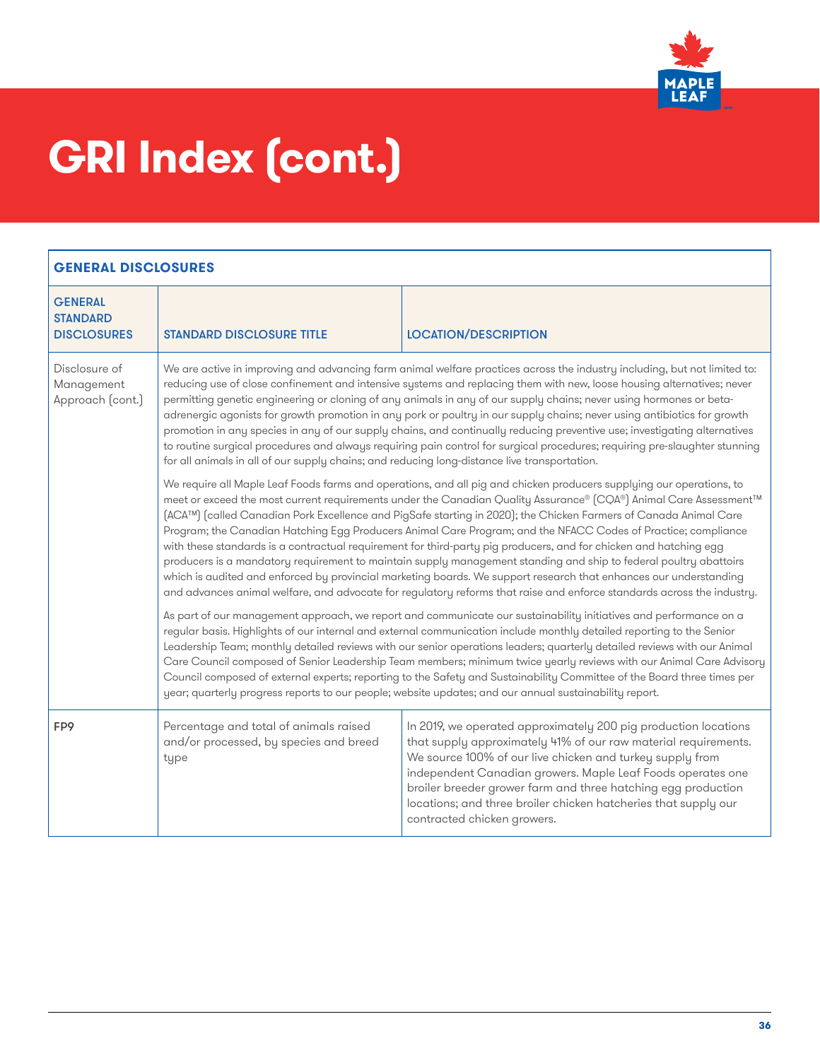

| <b>GENERAL</b><br><b>STANDARD</b><br><b>DISCLOSURES</b> | <b>STANDARD DISCLOSURE TITLE</b>                                                                                                                                                                                                                                                                                                                                                                                                                                                                                                                                                                                                                                                                                                                                                                                                                                                                                                                                        | <b>LOCATION/DESCRIPTION</b>                                                                                                                                                                                                                                                                                                                                                                                                                                                                                                                                                                                                                                                                                                        |
|---------------------------------------------------------|-------------------------------------------------------------------------------------------------------------------------------------------------------------------------------------------------------------------------------------------------------------------------------------------------------------------------------------------------------------------------------------------------------------------------------------------------------------------------------------------------------------------------------------------------------------------------------------------------------------------------------------------------------------------------------------------------------------------------------------------------------------------------------------------------------------------------------------------------------------------------------------------------------------------------------------------------------------------------|------------------------------------------------------------------------------------------------------------------------------------------------------------------------------------------------------------------------------------------------------------------------------------------------------------------------------------------------------------------------------------------------------------------------------------------------------------------------------------------------------------------------------------------------------------------------------------------------------------------------------------------------------------------------------------------------------------------------------------|
| Disclosure of<br>Management<br>Approach (cont.)         | We are active in improving and advancing farm animal welfare practices across the industry including, but not limited to:<br>reducing use of close confinement and intensive systems and replacing them with new, loose housing alternatives; never<br>permitting genetic engineering or cloning of any animals in any of our supply chains; never using hormones or beta-<br>adrenergic agonists for growth promotion in any pork or poultry in our supply chains; never using antibiotics for growth<br>promotion in any species in any of our supply chains, and continually reducing preventive use; investigating alternatives<br>to routine surgical procedures and always requiring pain control for surgical procedures; requiring pre-slaughter stunning<br>for all animals in all of our supply chains; and reducing long-distance live transportation.                                                                                                       |                                                                                                                                                                                                                                                                                                                                                                                                                                                                                                                                                                                                                                                                                                                                    |
|                                                         | We require all Maple Leaf Foods farms and operations, and all pig and chicken producers supplying our operations, to<br>meet or exceed the most current requirements under the Canadian Quality Assurance® (CQA®) Animal Care Assessment™<br>(ACA™) (called Canadian Pork Excellence and PigSafe starting in 2020); the Chicken Farmers of Canada Animal Care<br>Program; the Canadian Hatching Egg Producers Animal Care Program; and the NFACC Codes of Practice; compliance<br>with these standards is a contractual requirement for third-party pig producers, and for chicken and hatching egg<br>producers is a mandatory requirement to maintain supply management standing and ship to federal poultry abattoirs<br>which is audited and enforced by provincial marketing boards. We support research that enhances our understanding<br>and advances animal welfare, and advocate for regulatory reforms that raise and enforce standards across the industry. |                                                                                                                                                                                                                                                                                                                                                                                                                                                                                                                                                                                                                                                                                                                                    |
|                                                         |                                                                                                                                                                                                                                                                                                                                                                                                                                                                                                                                                                                                                                                                                                                                                                                                                                                                                                                                                                         | As part of our management approach, we report and communicate our sustainability initiatives and performance on a<br>regular basis. Highlights of our internal and external communication include monthly detailed reporting to the Senior<br>Leadership Team; monthly detailed reviews with our senior operations leaders; quarterly detailed reviews with our Animal<br>Care Council composed of Senior Leadership Team members; minimum twice yearly reviews with our Animal Care Advisory<br>Council composed of external experts; reporting to the Safety and Sustainability Committee of the Board three times per<br>year; quarterly progress reports to our people; website updates; and our annual sustainability report. |
| FP9                                                     | Percentage and total of animals raised<br>and/or processed, by species and breed<br>type                                                                                                                                                                                                                                                                                                                                                                                                                                                                                                                                                                                                                                                                                                                                                                                                                                                                                | In 2019, we operated approximately 200 pig production locations<br>that supply approximately 41% of our raw material requirements.<br>We source 100% of our live chicken and turkey supply from<br>independent Canadian growers. Maple Leaf Foods operates one<br>broiler breeder grower farm and three hatching egg production<br>locations; and three broiler chicken hatcheries that supply our<br>contracted chicken growers.                                                                                                                                                                                                                                                                                                  |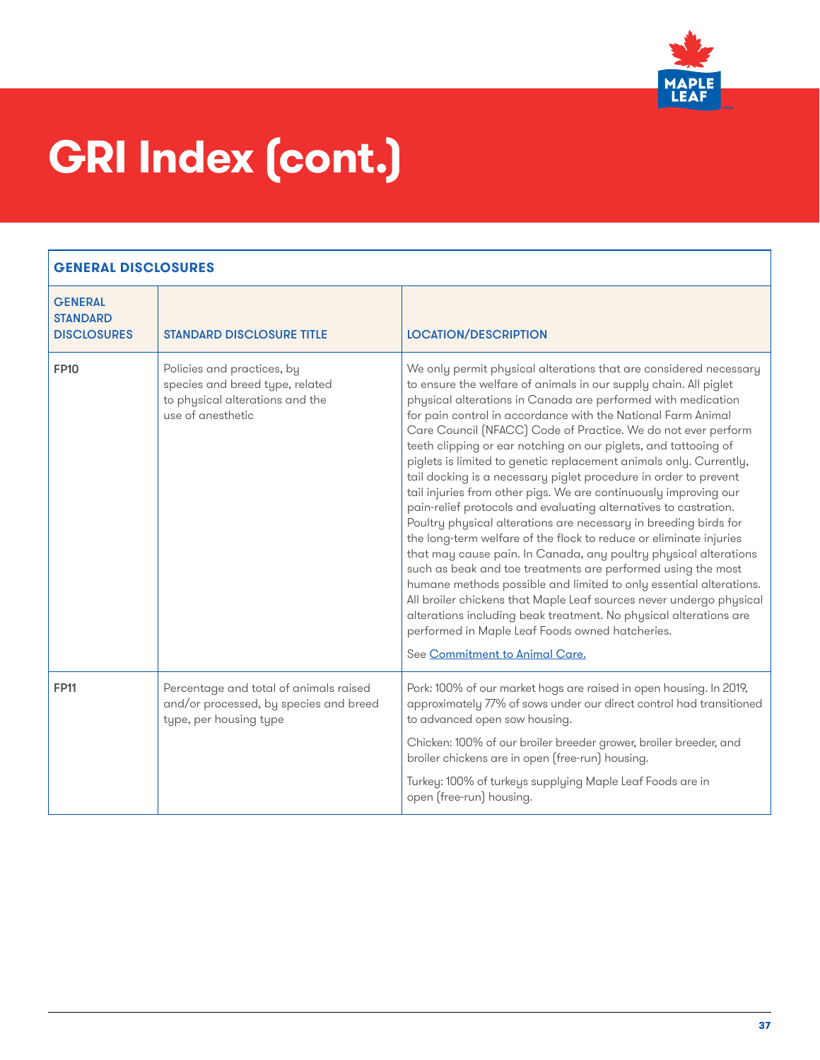

| <b>GENERAL</b><br><b>STANDARD</b><br><b>DISCLOSURES</b> | <b>STANDARD DISCLOSURE TITLE</b>                                                                                      | <b>LOCATION/DESCRIPTION</b>                                                                                                                                                                                                                                                                                                                                                                                                                                                                                                                                                                                                                                                                                                                                                                                                                                                                                                                                                                                                                                                                                                                                                                                                                                                      |
|---------------------------------------------------------|-----------------------------------------------------------------------------------------------------------------------|----------------------------------------------------------------------------------------------------------------------------------------------------------------------------------------------------------------------------------------------------------------------------------------------------------------------------------------------------------------------------------------------------------------------------------------------------------------------------------------------------------------------------------------------------------------------------------------------------------------------------------------------------------------------------------------------------------------------------------------------------------------------------------------------------------------------------------------------------------------------------------------------------------------------------------------------------------------------------------------------------------------------------------------------------------------------------------------------------------------------------------------------------------------------------------------------------------------------------------------------------------------------------------|
| <b>FP10</b>                                             | Policies and practices, by<br>species and breed type, related<br>to physical alterations and the<br>use of anesthetic | We only permit physical alterations that are considered necessary<br>to ensure the welfare of animals in our supply chain. All piglet<br>physical alterations in Canada are performed with medication<br>for pain control in accordance with the National Farm Animal<br>Care Council (NFACC) Code of Practice. We do not ever perform<br>teeth clipping or ear notching on our piglets, and tattooing of<br>piglets is limited to genetic replacement animals only. Currently,<br>tail docking is a necessary piglet procedure in order to prevent<br>tail injuries from other pigs. We are continuously improving our<br>pain-relief protocols and evaluating alternatives to castration.<br>Poultry physical alterations are necessary in breeding birds for<br>the long-term welfare of the flock to reduce or eliminate injuries<br>that may cause pain. In Canada, any poultry physical alterations<br>such as beak and toe treatments are performed using the most<br>humane methods possible and limited to only essential alterations.<br>All broiler chickens that Maple Leaf sources never undergo physical<br>alterations including beak treatment. No physical alterations are<br>performed in Maple Leaf Foods owned hatcheries.<br>See Commitment to Animal Care. |
| <b>FP11</b>                                             | Percentage and total of animals raised<br>and/or processed, by species and breed<br>type, per housing type            | Pork: 100% of our market hogs are raised in open housing. In 2019,<br>approximately 77% of sows under our direct control had transitioned<br>to advanced open sow housing.<br>Chicken: 100% of our broiler breeder grower, broiler breeder, and<br>broiler chickens are in open (free-run) housing.<br>Turkey: 100% of turkeys supplying Maple Leaf Foods are in<br>open (free-run) housing.                                                                                                                                                                                                                                                                                                                                                                                                                                                                                                                                                                                                                                                                                                                                                                                                                                                                                     |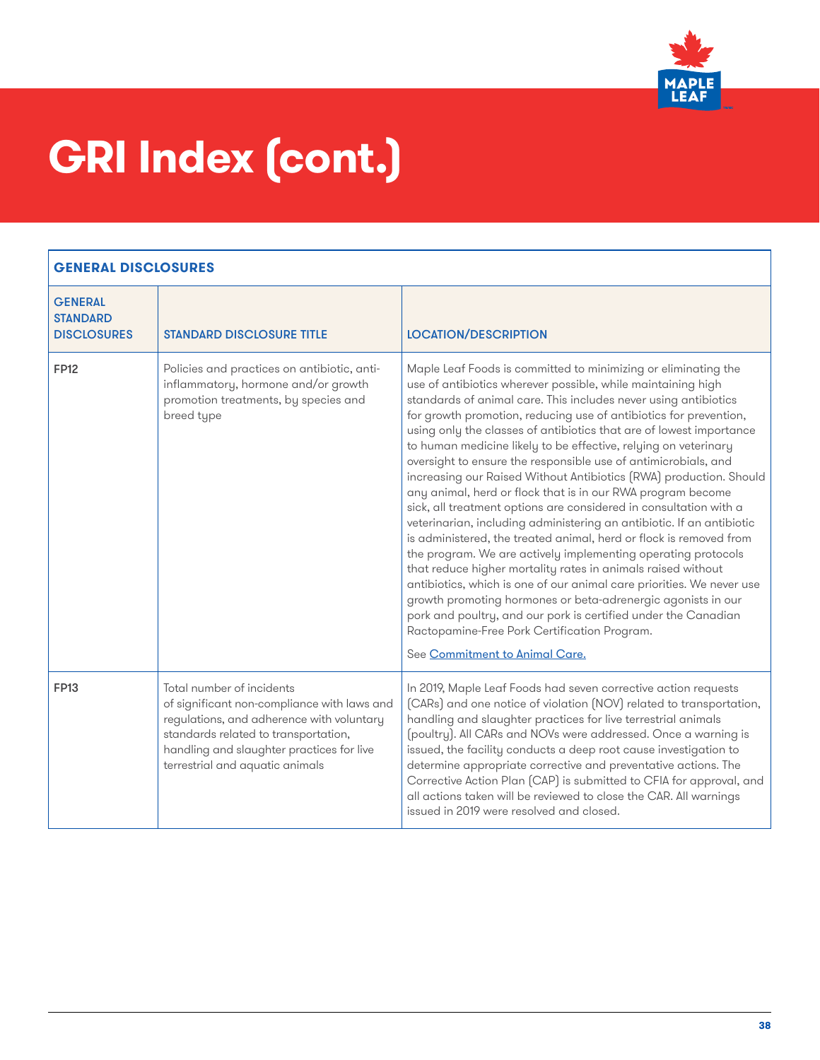

| <b>GENERAL</b><br><b>STANDARD</b><br><b>DISCLOSURES</b> | <b>STANDARD DISCLOSURE TITLE</b>                                                                                                                                                                                                              | <b>LOCATION/DESCRIPTION</b>                                                                                                                                                                                                                                                                                                                                                                                                                                                                                                                                                                                                                                                                                                                                                                                                                                                                                                                                                                                                                                                                                                                                                                                                                                               |
|---------------------------------------------------------|-----------------------------------------------------------------------------------------------------------------------------------------------------------------------------------------------------------------------------------------------|---------------------------------------------------------------------------------------------------------------------------------------------------------------------------------------------------------------------------------------------------------------------------------------------------------------------------------------------------------------------------------------------------------------------------------------------------------------------------------------------------------------------------------------------------------------------------------------------------------------------------------------------------------------------------------------------------------------------------------------------------------------------------------------------------------------------------------------------------------------------------------------------------------------------------------------------------------------------------------------------------------------------------------------------------------------------------------------------------------------------------------------------------------------------------------------------------------------------------------------------------------------------------|
| <b>FP12</b>                                             | Policies and practices on antibiotic, anti-<br>inflammatory, hormone and/or growth<br>promotion treatments, by species and<br>breed type                                                                                                      | Maple Leaf Foods is committed to minimizing or eliminating the<br>use of antibiotics wherever possible, while maintaining high<br>standards of animal care. This includes never using antibiotics<br>for growth promotion, reducing use of antibiotics for prevention,<br>using only the classes of antibiotics that are of lowest importance<br>to human medicine likely to be effective, relying on veterinary<br>oversight to ensure the responsible use of antimicrobials, and<br>increasing our Raised Without Antibiotics (RWA) production. Should<br>any animal, herd or flock that is in our RWA program become<br>sick, all treatment options are considered in consultation with a<br>veterinarian, including administering an antibiotic. If an antibiotic<br>is administered, the treated animal, herd or flock is removed from<br>the program. We are actively implementing operating protocols<br>that reduce higher mortality rates in animals raised without<br>antibiotics, which is one of our animal care priorities. We never use<br>growth promoting hormones or beta-adrenergic agonists in our<br>pork and poultry, and our pork is certified under the Canadian<br>Ractopamine-Free Pork Certification Program.<br>See Commitment to Animal Care. |
| <b>FP13</b>                                             | Total number of incidents<br>of significant non-compliance with laws and<br>regulations, and adherence with voluntary<br>standards related to transportation,<br>handling and slaughter practices for live<br>terrestrial and aquatic animals | In 2019, Maple Leaf Foods had seven corrective action requests<br>(CARs) and one notice of violation (NOV) related to transportation,<br>handling and slaughter practices for live terrestrial animals<br>(poultry). All CARs and NOVs were addressed. Once a warning is<br>issued, the facility conducts a deep root cause investigation to<br>determine appropriate corrective and preventative actions. The<br>Corrective Action Plan (CAP) is submitted to CFIA for approval, and<br>all actions taken will be reviewed to close the CAR. All warnings<br>issued in 2019 were resolved and closed.                                                                                                                                                                                                                                                                                                                                                                                                                                                                                                                                                                                                                                                                    |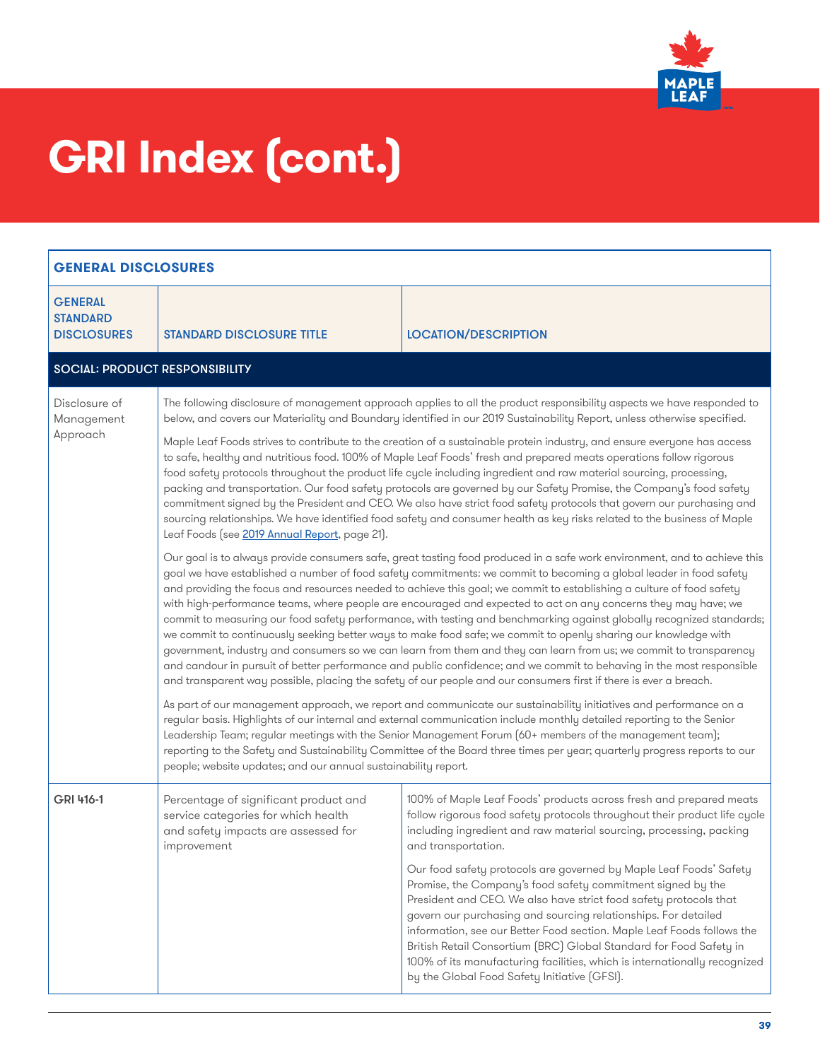

| <b>GENERAL DISCLOSURES</b>                              |                                                                                                                                                                                                                                                                                                                                                                                                                                                                                                                                                                                                                                                                                                                                                                                                                                                                                                                                                                                                                                                                                                            |                                                                                                                                                                                                                                                                                                                                                                                                                                                                                                                                                       |  |
|---------------------------------------------------------|------------------------------------------------------------------------------------------------------------------------------------------------------------------------------------------------------------------------------------------------------------------------------------------------------------------------------------------------------------------------------------------------------------------------------------------------------------------------------------------------------------------------------------------------------------------------------------------------------------------------------------------------------------------------------------------------------------------------------------------------------------------------------------------------------------------------------------------------------------------------------------------------------------------------------------------------------------------------------------------------------------------------------------------------------------------------------------------------------------|-------------------------------------------------------------------------------------------------------------------------------------------------------------------------------------------------------------------------------------------------------------------------------------------------------------------------------------------------------------------------------------------------------------------------------------------------------------------------------------------------------------------------------------------------------|--|
| <b>GENERAL</b><br><b>STANDARD</b><br><b>DISCLOSURES</b> | <b><i>STANDARD DISCLOSURE TITLE</i></b>                                                                                                                                                                                                                                                                                                                                                                                                                                                                                                                                                                                                                                                                                                                                                                                                                                                                                                                                                                                                                                                                    | <b>LOCATION/DESCRIPTION</b>                                                                                                                                                                                                                                                                                                                                                                                                                                                                                                                           |  |
|                                                         | <b>SOCIAL: PRODUCT RESPONSIBILITY</b>                                                                                                                                                                                                                                                                                                                                                                                                                                                                                                                                                                                                                                                                                                                                                                                                                                                                                                                                                                                                                                                                      |                                                                                                                                                                                                                                                                                                                                                                                                                                                                                                                                                       |  |
| Disclosure of<br>Management<br>Approach                 |                                                                                                                                                                                                                                                                                                                                                                                                                                                                                                                                                                                                                                                                                                                                                                                                                                                                                                                                                                                                                                                                                                            | The following disclosure of management approach applies to all the product responsibility aspects we have responded to<br>below, and covers our Materiality and Boundary identified in our 2019 Sustainability Report, unless otherwise specified.                                                                                                                                                                                                                                                                                                    |  |
|                                                         | Maple Leaf Foods strives to contribute to the creation of a sustainable protein industry, and ensure everyone has access<br>to safe, healthy and nutritious food. 100% of Maple Leaf Foods' fresh and prepared meats operations follow rigorous<br>food safety protocols throughout the product life cycle including ingredient and raw material sourcing, processing,<br>packing and transportation. Our food safety protocols are governed by our Safety Promise, the Company's food safety<br>commitment signed by the President and CEO. We also have strict food safety protocols that govern our purchasing and<br>sourcing relationships. We have identified food safety and consumer health as key risks related to the business of Maple<br>Leaf Foods (see 2019 Annual Report, page 21).                                                                                                                                                                                                                                                                                                         |                                                                                                                                                                                                                                                                                                                                                                                                                                                                                                                                                       |  |
|                                                         | Our goal is to always provide consumers safe, great tasting food produced in a safe work environment, and to achieve this<br>goal we have established a number of food safety commitments: we commit to becoming a global leader in food safety<br>and providing the focus and resources needed to achieve this goal; we commit to establishing a culture of food safety<br>with high-performance teams, where people are encouraged and expected to act on any concerns they may have; we<br>commit to measuring our food safety performance, with testing and benchmarking against globally recognized standards;<br>we commit to continuously seeking better ways to make food safe; we commit to openly sharing our knowledge with<br>government, industry and consumers so we can learn from them and they can learn from us; we commit to transparency<br>and candour in pursuit of better performance and public confidence; and we commit to behaving in the most responsible<br>and transparent way possible, placing the safety of our people and our consumers first if there is ever a breach. |                                                                                                                                                                                                                                                                                                                                                                                                                                                                                                                                                       |  |
|                                                         | As part of our management approach, we report and communicate our sustainability initiatives and performance on a<br>regular basis. Highlights of our internal and external communication include monthly detailed reporting to the Senior<br>Leadership Team; regular meetings with the Senior Management Forum (60+ members of the management team);<br>reporting to the Safety and Sustainability Committee of the Board three times per year; quarterly progress reports to our<br>people; website updates; and our annual sustainability report.                                                                                                                                                                                                                                                                                                                                                                                                                                                                                                                                                      |                                                                                                                                                                                                                                                                                                                                                                                                                                                                                                                                                       |  |
| GRI 416-1                                               | Percentage of significant product and<br>service categories for which health<br>and safety impacts are assessed for<br>improvement                                                                                                                                                                                                                                                                                                                                                                                                                                                                                                                                                                                                                                                                                                                                                                                                                                                                                                                                                                         | 100% of Maple Leaf Foods' products across fresh and prepared meats<br>follow rigorous food safety protocols throughout their product life cycle<br>including ingredient and raw material sourcing, processing, packing<br>and transportation.                                                                                                                                                                                                                                                                                                         |  |
|                                                         |                                                                                                                                                                                                                                                                                                                                                                                                                                                                                                                                                                                                                                                                                                                                                                                                                                                                                                                                                                                                                                                                                                            | Our food safety protocols are governed by Maple Leaf Foods' Safety<br>Promise, the Company's food safety commitment signed by the<br>President and CEO. We also have strict food safety protocols that<br>govern our purchasing and sourcing relationships. For detailed<br>information, see our Better Food section. Maple Leaf Foods follows the<br>British Retail Consortium (BRC) Global Standard for Food Safety in<br>100% of its manufacturing facilities, which is internationally recognized<br>by the Global Food Safety Initiative (GFSI). |  |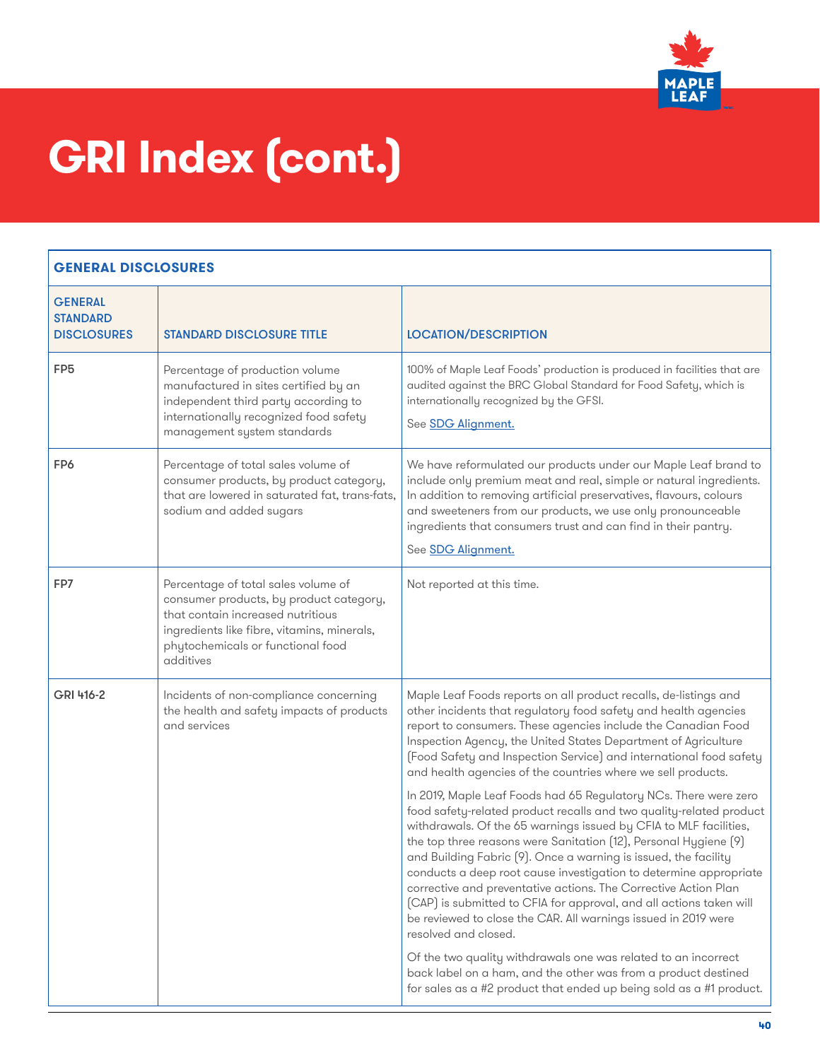

| <b>GENERAL</b><br><b>STANDARD</b><br><b>DISCLOSURES</b> | <b>STANDARD DISCLOSURE TITLE</b>                                                                                                                                                                                     | <b>LOCATION/DESCRIPTION</b>                                                                                                                                                                                                                                                                                                                                                                                                                                                                                                                                                                                                                                  |
|---------------------------------------------------------|----------------------------------------------------------------------------------------------------------------------------------------------------------------------------------------------------------------------|--------------------------------------------------------------------------------------------------------------------------------------------------------------------------------------------------------------------------------------------------------------------------------------------------------------------------------------------------------------------------------------------------------------------------------------------------------------------------------------------------------------------------------------------------------------------------------------------------------------------------------------------------------------|
| FP <sub>5</sub>                                         | Percentage of production volume<br>manufactured in sites certified by an<br>independent third party according to<br>internationally recognized food safety<br>management system standards                            | 100% of Maple Leaf Foods' production is produced in facilities that are<br>audited against the BRC Global Standard for Food Safety, which is<br>internationally recognized by the GFSI.<br>See <b>SDG Alignment.</b>                                                                                                                                                                                                                                                                                                                                                                                                                                         |
| FP6                                                     | Percentage of total sales volume of<br>consumer products, by product category,<br>that are lowered in saturated fat, trans-fats,<br>sodium and added sugars                                                          | We have reformulated our products under our Maple Leaf brand to<br>include only premium meat and real, simple or natural ingredients.<br>In addition to removing artificial preservatives, flavours, colours<br>and sweeteners from our products, we use only pronounceable<br>ingredients that consumers trust and can find in their pantry.<br>See <b>SDG Alignment.</b>                                                                                                                                                                                                                                                                                   |
| FP7                                                     | Percentage of total sales volume of<br>consumer products, by product category,<br>that contain increased nutritious<br>ingredients like fibre, vitamins, minerals,<br>phytochemicals or functional food<br>additives | Not reported at this time.                                                                                                                                                                                                                                                                                                                                                                                                                                                                                                                                                                                                                                   |
| GRI 416-2                                               | Incidents of non-compliance concerning<br>the health and safety impacts of products<br>and services                                                                                                                  | Maple Leaf Foods reports on all product recalls, de-listings and<br>other incidents that regulatory food safety and health agencies<br>report to consumers. These agencies include the Canadian Food<br>Inspection Agency, the United States Department of Agriculture<br>(Food Safety and Inspection Service) and international food safety<br>and health agencies of the countries where we sell products.                                                                                                                                                                                                                                                 |
|                                                         |                                                                                                                                                                                                                      | In 2019, Maple Leaf Foods had 65 Regulatory NCs. There were zero<br>food safety-related product recalls and two quality-related product<br>withdrawals. Of the 65 warnings issued by CFIA to MLF facilities,<br>the top three reasons were Sanitation (12), Personal Hygiene (9)<br>and Building Fabric (9). Once a warning is issued, the facility<br>conducts a deep root cause investigation to determine appropriate<br>corrective and preventative actions. The Corrective Action Plan<br>(CAP) is submitted to CFIA for approval, and all actions taken will<br>be reviewed to close the CAR. All warnings issued in 2019 were<br>resolved and closed. |
|                                                         |                                                                                                                                                                                                                      | Of the two quality withdrawals one was related to an incorrect<br>back label on a ham, and the other was from a product destined<br>for sales as a #2 product that ended up being sold as a #1 product.                                                                                                                                                                                                                                                                                                                                                                                                                                                      |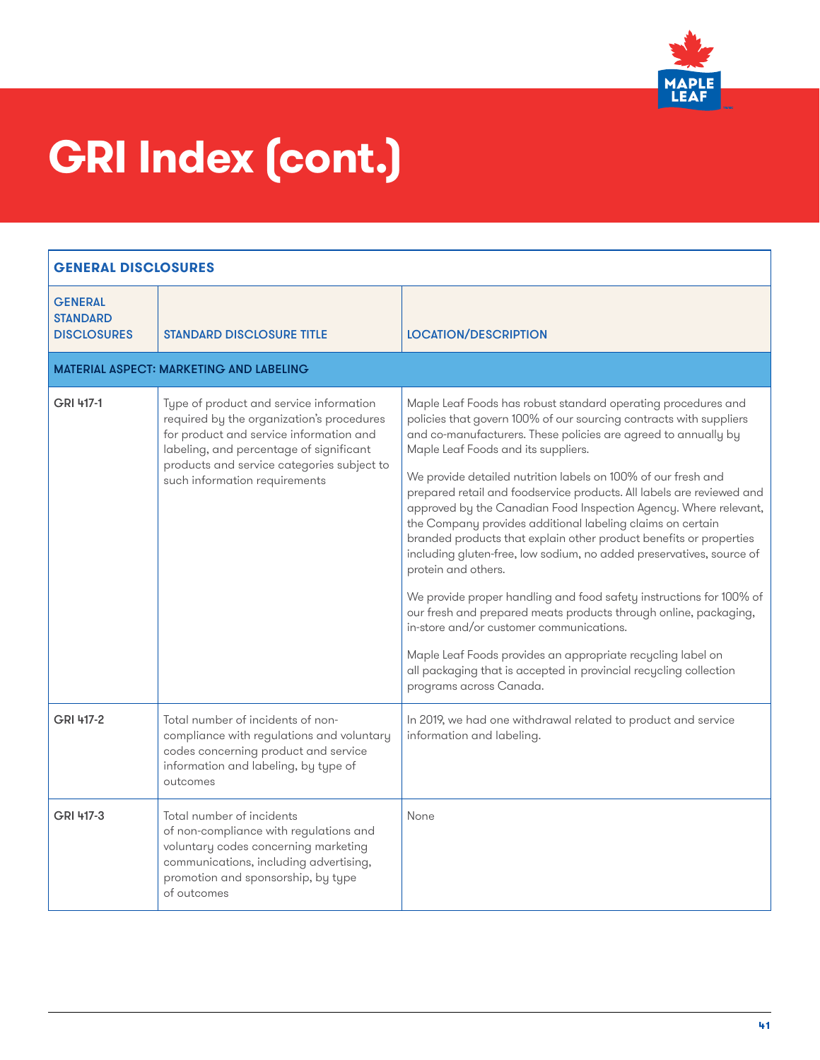

| <b>GENERAL DISCLOSURES</b>                              |                                                                                                                                                                                                                                                           |                                                                                                                                                                                                                                                                                                                                                                                                                                                                                                                                                                                                                                                                                                                                                                                                                                                                                                                                                                                                                                                     |  |  |
|---------------------------------------------------------|-----------------------------------------------------------------------------------------------------------------------------------------------------------------------------------------------------------------------------------------------------------|-----------------------------------------------------------------------------------------------------------------------------------------------------------------------------------------------------------------------------------------------------------------------------------------------------------------------------------------------------------------------------------------------------------------------------------------------------------------------------------------------------------------------------------------------------------------------------------------------------------------------------------------------------------------------------------------------------------------------------------------------------------------------------------------------------------------------------------------------------------------------------------------------------------------------------------------------------------------------------------------------------------------------------------------------------|--|--|
| <b>GENERAL</b><br><b>STANDARD</b><br><b>DISCLOSURES</b> | <b>STANDARD DISCLOSURE TITLE</b>                                                                                                                                                                                                                          | <b>LOCATION/DESCRIPTION</b>                                                                                                                                                                                                                                                                                                                                                                                                                                                                                                                                                                                                                                                                                                                                                                                                                                                                                                                                                                                                                         |  |  |
| <b>MATERIAL ASPECT: MARKETING AND LABELING</b>          |                                                                                                                                                                                                                                                           |                                                                                                                                                                                                                                                                                                                                                                                                                                                                                                                                                                                                                                                                                                                                                                                                                                                                                                                                                                                                                                                     |  |  |
| GRI 417-1                                               | Type of product and service information<br>required by the organization's procedures<br>for product and service information and<br>labeling, and percentage of significant<br>products and service categories subject to<br>such information requirements | Maple Leaf Foods has robust standard operating procedures and<br>policies that govern 100% of our sourcing contracts with suppliers<br>and co-manufacturers. These policies are agreed to annually by<br>Maple Leaf Foods and its suppliers.<br>We provide detailed nutrition labels on 100% of our fresh and<br>prepared retail and foodservice products. All labels are reviewed and<br>approved by the Canadian Food Inspection Agency. Where relevant,<br>the Company provides additional labeling claims on certain<br>branded products that explain other product benefits or properties<br>including gluten-free, low sodium, no added preservatives, source of<br>protein and others.<br>We provide proper handling and food safety instructions for 100% of<br>our fresh and prepared meats products through online, packaging,<br>in-store and/or customer communications.<br>Maple Leaf Foods provides an appropriate recycling label on<br>all packaging that is accepted in provincial recycling collection<br>programs across Canada. |  |  |
| GRI 417-2                                               | Total number of incidents of non-<br>compliance with regulations and voluntary<br>codes concerning product and service<br>information and labeling, by type of<br>outcomes                                                                                | In 2019, we had one withdrawal related to product and service<br>information and labeling.                                                                                                                                                                                                                                                                                                                                                                                                                                                                                                                                                                                                                                                                                                                                                                                                                                                                                                                                                          |  |  |
| GRI 417-3                                               | Total number of incidents<br>of non-compliance with regulations and<br>voluntary codes concerning marketing<br>communications, including advertising,<br>promotion and sponsorship, by type<br>of outcomes                                                | None                                                                                                                                                                                                                                                                                                                                                                                                                                                                                                                                                                                                                                                                                                                                                                                                                                                                                                                                                                                                                                                |  |  |